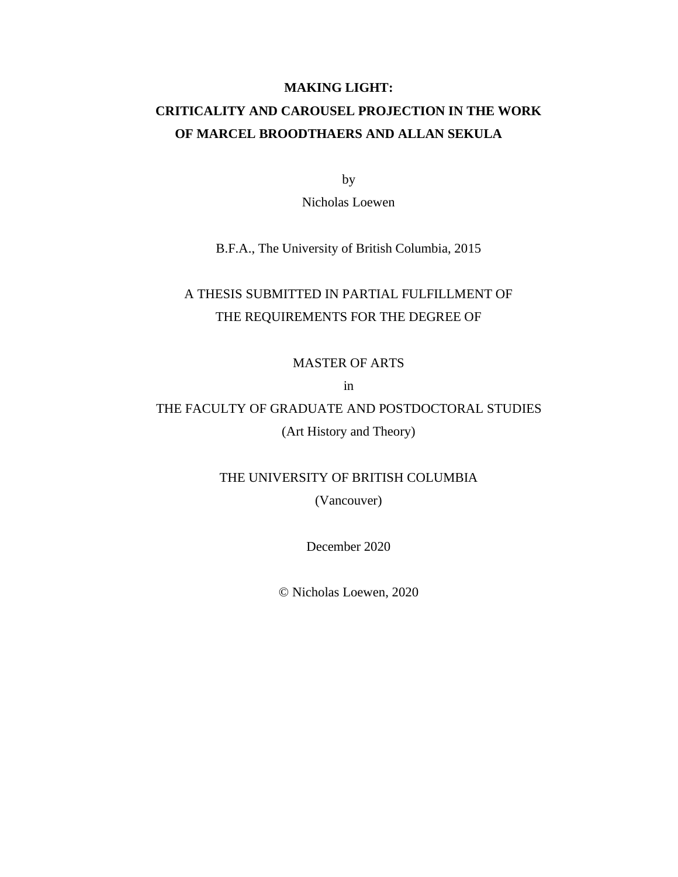## **MAKING LIGHT: CRITICALITY AND CAROUSEL PROJECTION IN THE WORK OF MARCEL BROODTHAERS AND ALLAN SEKULA**

by

Nicholas Loewen

B.F.A., The University of British Columbia, 2015

## A THESIS SUBMITTED IN PARTIAL FULFILLMENT OF THE REQUIREMENTS FOR THE DEGREE OF

MASTER OF ARTS

in

## THE FACULTY OF GRADUATE AND POSTDOCTORAL STUDIES (Art History and Theory)

THE UNIVERSITY OF BRITISH COLUMBIA

(Vancouver)

December 2020

© Nicholas Loewen, 2020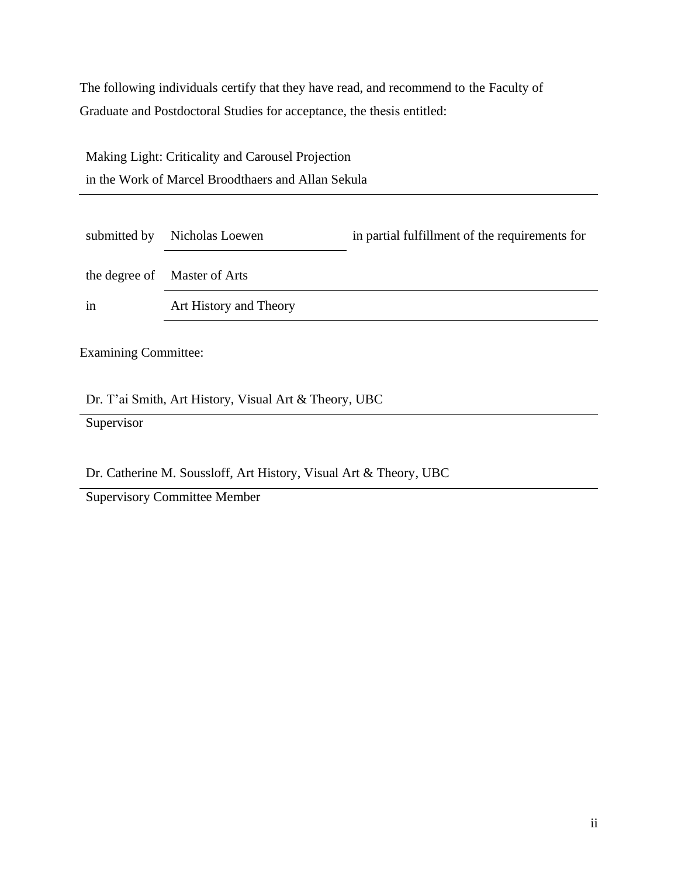The following individuals certify that they have read, and recommend to the Faculty of Graduate and Postdoctoral Studies for acceptance, the thesis entitled:

| Making Light: Criticality and Carousel Projection  |
|----------------------------------------------------|
| in the Work of Marcel Broodthaers and Allan Sekula |

| submitted by | Nicholas Loewen              | in partial fulfillment of the requirements for |
|--------------|------------------------------|------------------------------------------------|
|              | the degree of Master of Arts |                                                |
| in           | Art History and Theory       |                                                |

Examining Committee:

Dr. T'ai Smith, Art History, Visual Art & Theory, UBC

**Supervisor** 

Dr. Catherine M. Soussloff, Art History, Visual Art & Theory, UBC

Supervisory Committee Member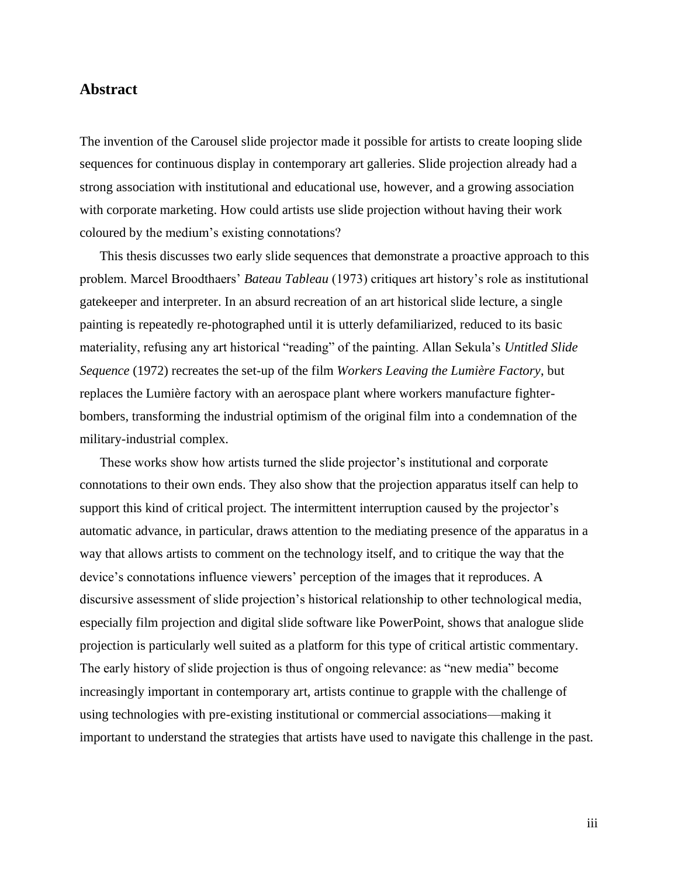## **Abstract**

The invention of the Carousel slide projector made it possible for artists to create looping slide sequences for continuous display in contemporary art galleries. Slide projection already had a strong association with institutional and educational use, however, and a growing association with corporate marketing. How could artists use slide projection without having their work coloured by the medium's existing connotations?

This thesis discusses two early slide sequences that demonstrate a proactive approach to this problem. Marcel Broodthaers' *Bateau Tableau* (1973) critiques art history's role as institutional gatekeeper and interpreter. In an absurd recreation of an art historical slide lecture, a single painting is repeatedly re-photographed until it is utterly defamiliarized, reduced to its basic materiality, refusing any art historical "reading" of the painting. Allan Sekula's *Untitled Slide Sequence* (1972) recreates the set-up of the film *Workers Leaving the Lumière Factory*, but replaces the Lumière factory with an aerospace plant where workers manufacture fighterbombers, transforming the industrial optimism of the original film into a condemnation of the military-industrial complex.

These works show how artists turned the slide projector's institutional and corporate connotations to their own ends. They also show that the projection apparatus itself can help to support this kind of critical project. The intermittent interruption caused by the projector's automatic advance, in particular, draws attention to the mediating presence of the apparatus in a way that allows artists to comment on the technology itself, and to critique the way that the device's connotations influence viewers' perception of the images that it reproduces. A discursive assessment of slide projection's historical relationship to other technological media, especially film projection and digital slide software like PowerPoint, shows that analogue slide projection is particularly well suited as a platform for this type of critical artistic commentary. The early history of slide projection is thus of ongoing relevance: as "new media" become increasingly important in contemporary art, artists continue to grapple with the challenge of using technologies with pre-existing institutional or commercial associations—making it important to understand the strategies that artists have used to navigate this challenge in the past.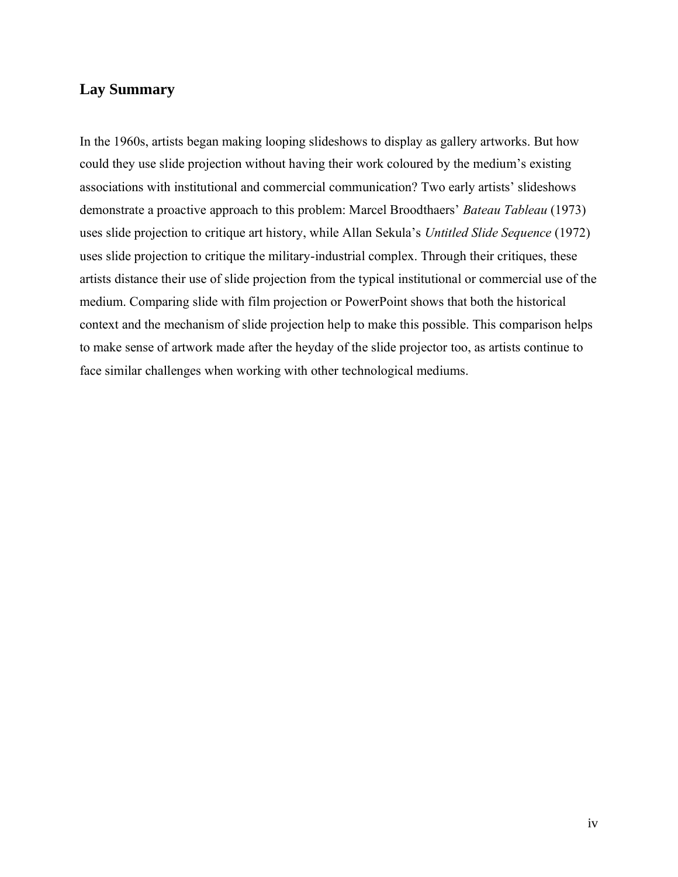## **Lay Summary**

In the 1960s, artists began making looping slideshows to display as gallery artworks. But how could they use slide projection without having their work coloured by the medium's existing associations with institutional and commercial communication? Two early artists' slideshows demonstrate a proactive approach to this problem: Marcel Broodthaers' *Bateau Tableau* (1973) uses slide projection to critique art history, while Allan Sekula's *Untitled Slide Sequence* (1972) uses slide projection to critique the military-industrial complex. Through their critiques, these artists distance their use of slide projection from the typical institutional or commercial use of the medium. Comparing slide with film projection or PowerPoint shows that both the historical context and the mechanism of slide projection help to make this possible. This comparison helps to make sense of artwork made after the heyday of the slide projector too, as artists continue to face similar challenges when working with other technological mediums.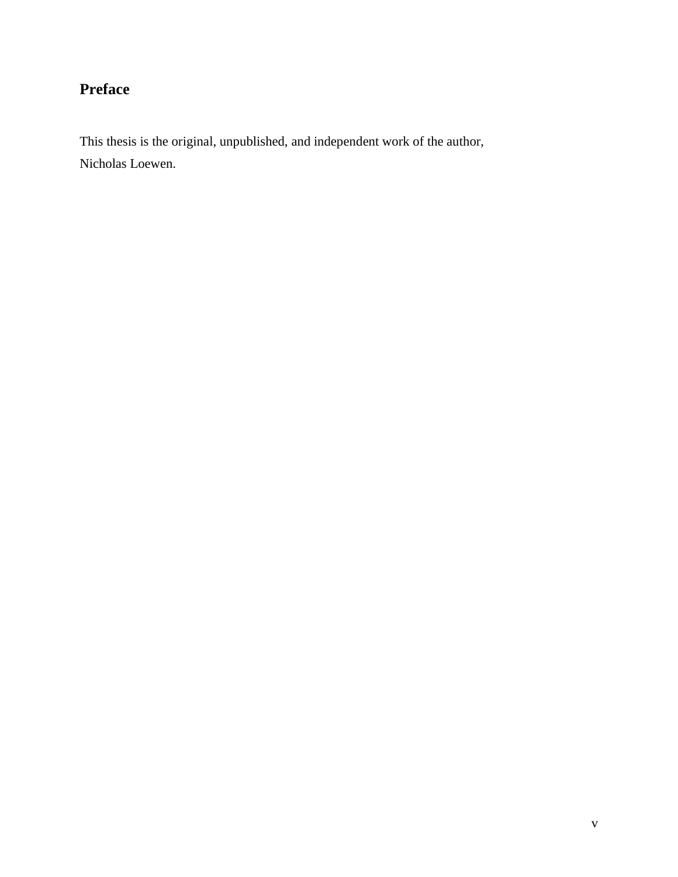# **Preface**

This thesis is the original, unpublished, and independent work of the author, Nicholas Loewen.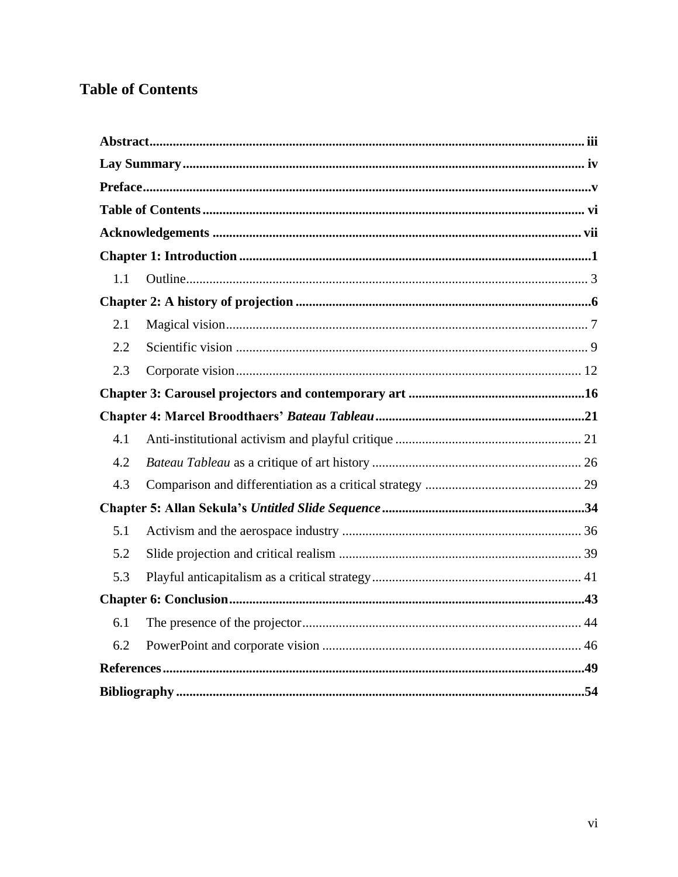# **Table of Contents**

| 1.1 |  |
|-----|--|
|     |  |
| 2.1 |  |
| 2.2 |  |
| 2.3 |  |
|     |  |
|     |  |
| 4.1 |  |
| 4.2 |  |
| 4.3 |  |
|     |  |
| 5.1 |  |
| 5.2 |  |
| 5.3 |  |
|     |  |
| 6.1 |  |
| 6.2 |  |
|     |  |
|     |  |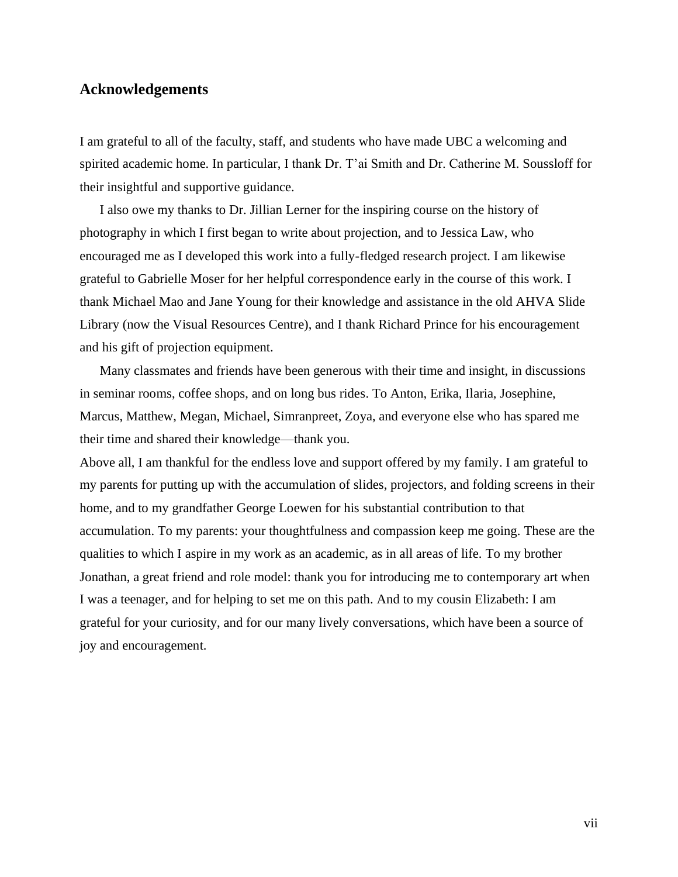## **Acknowledgements**

I am grateful to all of the faculty, staff, and students who have made UBC a welcoming and spirited academic home. In particular, I thank Dr. T'ai Smith and Dr. Catherine M. Soussloff for their insightful and supportive guidance.

I also owe my thanks to Dr. Jillian Lerner for the inspiring course on the history of photography in which I first began to write about projection, and to Jessica Law, who encouraged me as I developed this work into a fully-fledged research project. I am likewise grateful to Gabrielle Moser for her helpful correspondence early in the course of this work. I thank Michael Mao and Jane Young for their knowledge and assistance in the old AHVA Slide Library (now the Visual Resources Centre), and I thank Richard Prince for his encouragement and his gift of projection equipment.

Many classmates and friends have been generous with their time and insight, in discussions in seminar rooms, coffee shops, and on long bus rides. To Anton, Erika, Ilaria, Josephine, Marcus, Matthew, Megan, Michael, Simranpreet, Zoya, and everyone else who has spared me their time and shared their knowledge—thank you.

Above all, I am thankful for the endless love and support offered by my family. I am grateful to my parents for putting up with the accumulation of slides, projectors, and folding screens in their home, and to my grandfather George Loewen for his substantial contribution to that accumulation. To my parents: your thoughtfulness and compassion keep me going. These are the qualities to which I aspire in my work as an academic, as in all areas of life. To my brother Jonathan, a great friend and role model: thank you for introducing me to contemporary art when I was a teenager, and for helping to set me on this path. And to my cousin Elizabeth: I am grateful for your curiosity, and for our many lively conversations, which have been a source of joy and encouragement.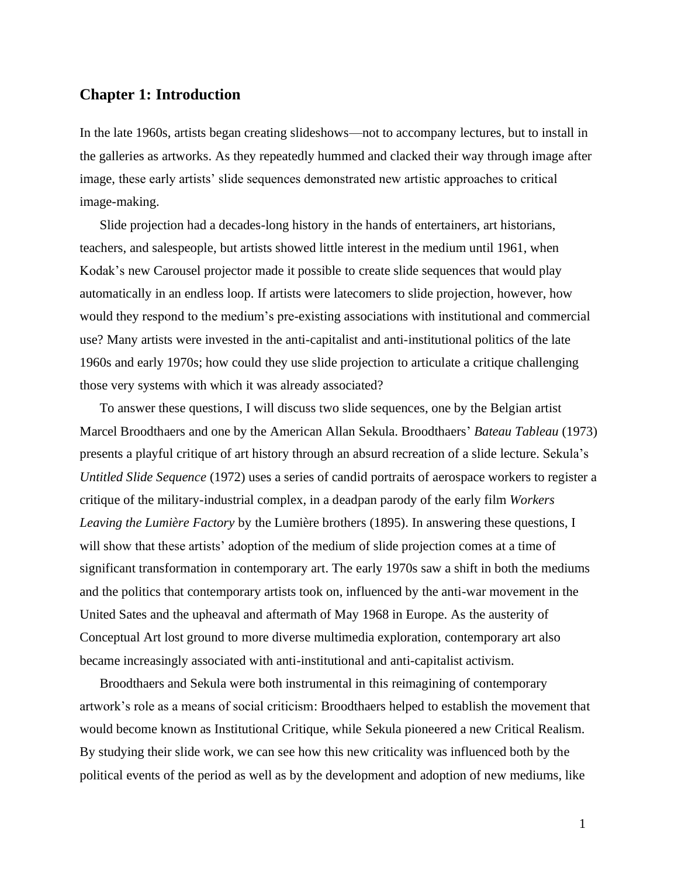## **Chapter 1: Introduction**

In the late 1960s, artists began creating slideshows—not to accompany lectures, but to install in the galleries as artworks. As they repeatedly hummed and clacked their way through image after image, these early artists' slide sequences demonstrated new artistic approaches to critical image-making.

Slide projection had a decades-long history in the hands of entertainers, art historians, teachers, and salespeople, but artists showed little interest in the medium until 1961, when Kodak's new Carousel projector made it possible to create slide sequences that would play automatically in an endless loop. If artists were latecomers to slide projection, however, how would they respond to the medium's pre-existing associations with institutional and commercial use? Many artists were invested in the anti-capitalist and anti-institutional politics of the late 1960s and early 1970s; how could they use slide projection to articulate a critique challenging those very systems with which it was already associated?

To answer these questions, I will discuss two slide sequences, one by the Belgian artist Marcel Broodthaers and one by the American Allan Sekula. Broodthaers' *Bateau Tableau* (1973) presents a playful critique of art history through an absurd recreation of a slide lecture. Sekula's *Untitled Slide Sequence* (1972) uses a series of candid portraits of aerospace workers to register a critique of the military-industrial complex, in a deadpan parody of the early film *Workers Leaving the Lumière Factory* by the Lumière brothers (1895). In answering these questions, I will show that these artists' adoption of the medium of slide projection comes at a time of significant transformation in contemporary art. The early 1970s saw a shift in both the mediums and the politics that contemporary artists took on, influenced by the anti-war movement in the United Sates and the upheaval and aftermath of May 1968 in Europe. As the austerity of Conceptual Art lost ground to more diverse multimedia exploration, contemporary art also became increasingly associated with anti-institutional and anti-capitalist activism.

Broodthaers and Sekula were both instrumental in this reimagining of contemporary artwork's role as a means of social criticism: Broodthaers helped to establish the movement that would become known as Institutional Critique, while Sekula pioneered a new Critical Realism. By studying their slide work, we can see how this new criticality was influenced both by the political events of the period as well as by the development and adoption of new mediums, like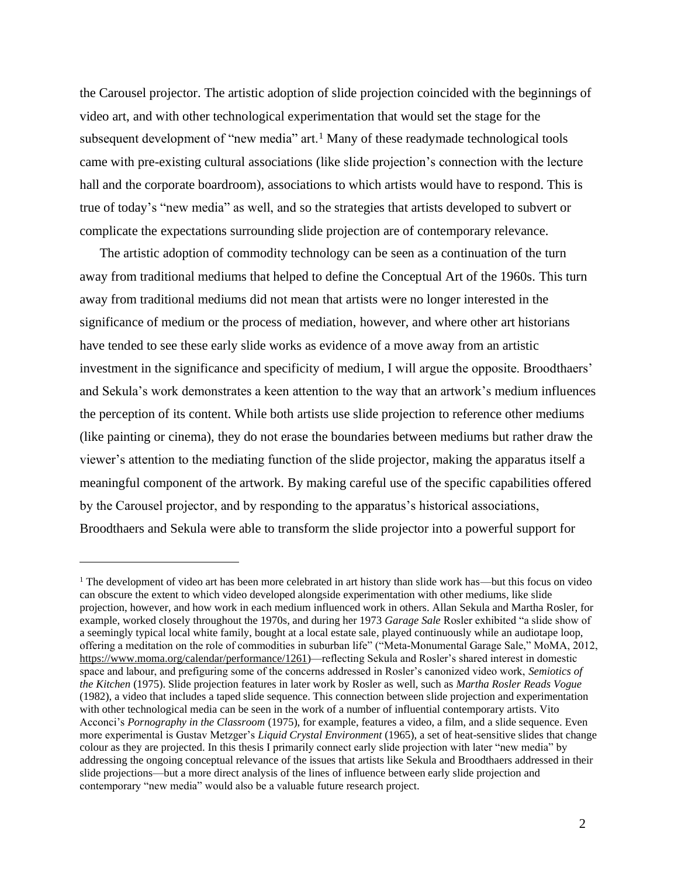the Carousel projector. The artistic adoption of slide projection coincided with the beginnings of video art, and with other technological experimentation that would set the stage for the subsequent development of "new media" art.<sup>1</sup> Many of these readymade technological tools came with pre-existing cultural associations (like slide projection's connection with the lecture hall and the corporate boardroom), associations to which artists would have to respond. This is true of today's "new media" as well, and so the strategies that artists developed to subvert or complicate the expectations surrounding slide projection are of contemporary relevance.

The artistic adoption of commodity technology can be seen as a continuation of the turn away from traditional mediums that helped to define the Conceptual Art of the 1960s. This turn away from traditional mediums did not mean that artists were no longer interested in the significance of medium or the process of mediation, however, and where other art historians have tended to see these early slide works as evidence of a move away from an artistic investment in the significance and specificity of medium, I will argue the opposite. Broodthaers' and Sekula's work demonstrates a keen attention to the way that an artwork's medium influences the perception of its content. While both artists use slide projection to reference other mediums (like painting or cinema), they do not erase the boundaries between mediums but rather draw the viewer's attention to the mediating function of the slide projector, making the apparatus itself a meaningful component of the artwork. By making careful use of the specific capabilities offered by the Carousel projector, and by responding to the apparatus's historical associations, Broodthaers and Sekula were able to transform the slide projector into a powerful support for

<sup>&</sup>lt;sup>1</sup> The development of video art has been more celebrated in art history than slide work has—but this focus on video can obscure the extent to which video developed alongside experimentation with other mediums, like slide projection, however, and how work in each medium influenced work in others. Allan Sekula and Martha Rosler, for example, worked closely throughout the 1970s, and during her 1973 *Garage Sale* Rosler exhibited "a slide show of a seemingly typical local white family, bought at a local estate sale, played continuously while an audiotape loop, offering a meditation on the role of commodities in suburban life" ("Meta-Monumental Garage Sale," MoMA, 2012, [https://www.moma.org/calendar/performance/1261\)](https://www.moma.org/calendar/performance/1261)—reflecting Sekula and Rosler's shared interest in domestic space and labour, and prefiguring some of the concerns addressed in Rosler's canonized video work, *Semiotics of the Kitchen* (1975). Slide projection features in later work by Rosler as well, such as *Martha Rosler Reads Vogue* (1982), a video that includes a taped slide sequence. This connection between slide projection and experimentation with other technological media can be seen in the work of a number of influential contemporary artists. Vito Acconci's *Pornography in the Classroom* (1975), for example, features a video, a film, and a slide sequence. Even more experimental is Gustav Metzger's *Liquid Crystal Environment* (1965), a set of heat-sensitive slides that change colour as they are projected. In this thesis I primarily connect early slide projection with later "new media" by addressing the ongoing conceptual relevance of the issues that artists like Sekula and Broodthaers addressed in their slide projections—but a more direct analysis of the lines of influence between early slide projection and contemporary "new media" would also be a valuable future research project.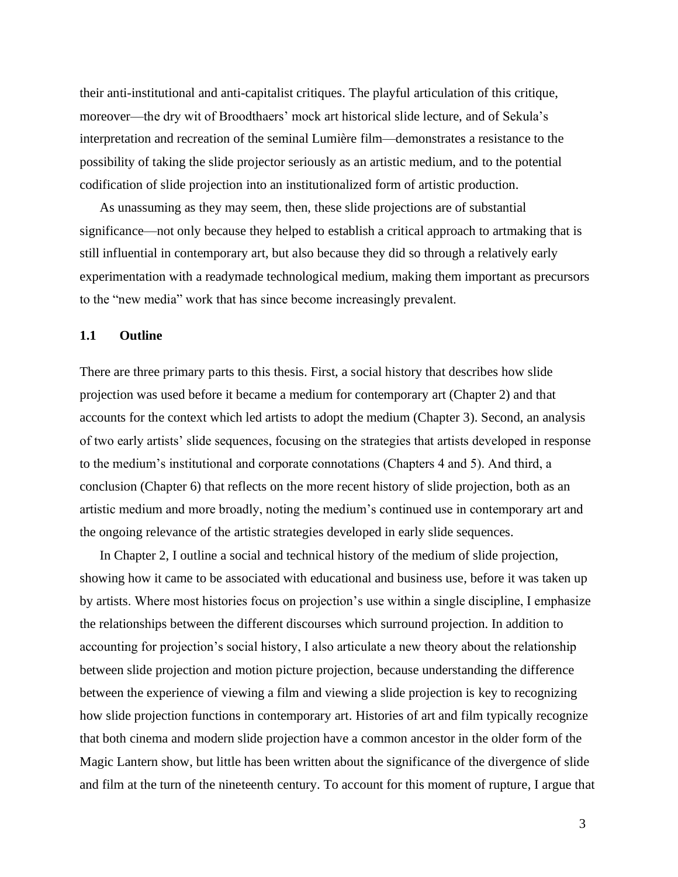their anti-institutional and anti-capitalist critiques. The playful articulation of this critique, moreover—the dry wit of Broodthaers' mock art historical slide lecture, and of Sekula's interpretation and recreation of the seminal Lumière film—demonstrates a resistance to the possibility of taking the slide projector seriously as an artistic medium, and to the potential codification of slide projection into an institutionalized form of artistic production.

As unassuming as they may seem, then, these slide projections are of substantial significance—not only because they helped to establish a critical approach to artmaking that is still influential in contemporary art, but also because they did so through a relatively early experimentation with a readymade technological medium, making them important as precursors to the "new media" work that has since become increasingly prevalent.

## **1.1 Outline**

There are three primary parts to this thesis. First, a social history that describes how slide projection was used before it became a medium for contemporary art (Chapter 2) and that accounts for the context which led artists to adopt the medium (Chapter 3). Second, an analysis of two early artists' slide sequences, focusing on the strategies that artists developed in response to the medium's institutional and corporate connotations (Chapters 4 and 5). And third, a conclusion (Chapter 6) that reflects on the more recent history of slide projection, both as an artistic medium and more broadly, noting the medium's continued use in contemporary art and the ongoing relevance of the artistic strategies developed in early slide sequences.

In Chapter 2, I outline a social and technical history of the medium of slide projection, showing how it came to be associated with educational and business use, before it was taken up by artists. Where most histories focus on projection's use within a single discipline, I emphasize the relationships between the different discourses which surround projection. In addition to accounting for projection's social history, I also articulate a new theory about the relationship between slide projection and motion picture projection, because understanding the difference between the experience of viewing a film and viewing a slide projection is key to recognizing how slide projection functions in contemporary art. Histories of art and film typically recognize that both cinema and modern slide projection have a common ancestor in the older form of the Magic Lantern show, but little has been written about the significance of the divergence of slide and film at the turn of the nineteenth century. To account for this moment of rupture, I argue that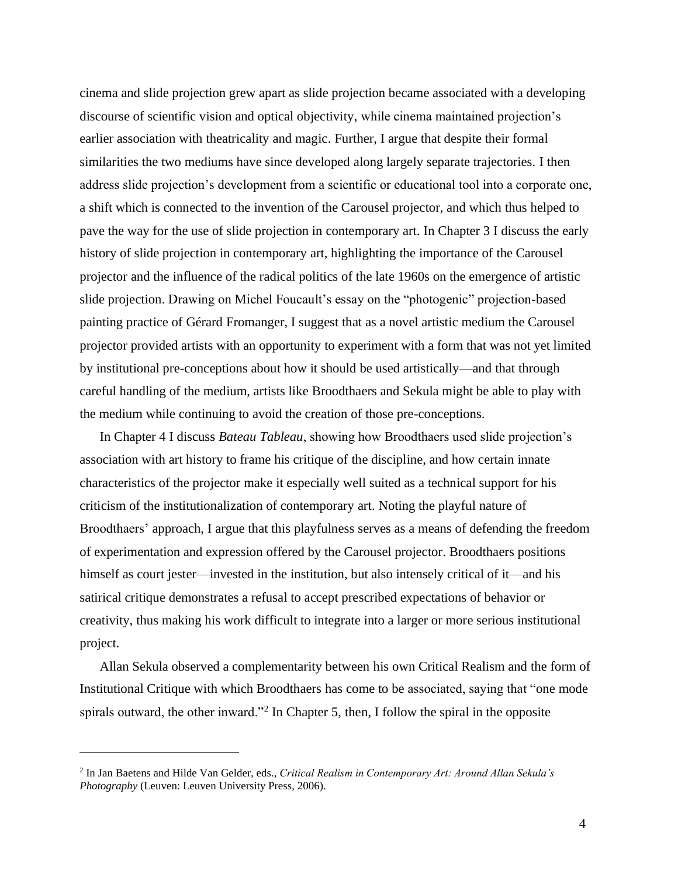cinema and slide projection grew apart as slide projection became associated with a developing discourse of scientific vision and optical objectivity, while cinema maintained projection's earlier association with theatricality and magic. Further, I argue that despite their formal similarities the two mediums have since developed along largely separate trajectories. I then address slide projection's development from a scientific or educational tool into a corporate one, a shift which is connected to the invention of the Carousel projector, and which thus helped to pave the way for the use of slide projection in contemporary art. In Chapter 3 I discuss the early history of slide projection in contemporary art, highlighting the importance of the Carousel projector and the influence of the radical politics of the late 1960s on the emergence of artistic slide projection. Drawing on Michel Foucault's essay on the "photogenic" projection-based painting practice of Gérard Fromanger, I suggest that as a novel artistic medium the Carousel projector provided artists with an opportunity to experiment with a form that was not yet limited by institutional pre-conceptions about how it should be used artistically—and that through careful handling of the medium, artists like Broodthaers and Sekula might be able to play with the medium while continuing to avoid the creation of those pre-conceptions.

In Chapter 4 I discuss *Bateau Tableau*, showing how Broodthaers used slide projection's association with art history to frame his critique of the discipline, and how certain innate characteristics of the projector make it especially well suited as a technical support for his criticism of the institutionalization of contemporary art. Noting the playful nature of Broodthaers' approach, I argue that this playfulness serves as a means of defending the freedom of experimentation and expression offered by the Carousel projector. Broodthaers positions himself as court jester—invested in the institution, but also intensely critical of it—and his satirical critique demonstrates a refusal to accept prescribed expectations of behavior or creativity, thus making his work difficult to integrate into a larger or more serious institutional project.

Allan Sekula observed a complementarity between his own Critical Realism and the form of Institutional Critique with which Broodthaers has come to be associated, saying that "one mode spirals outward, the other inward."<sup>2</sup> In Chapter 5, then, I follow the spiral in the opposite

<sup>2</sup> In Jan Baetens and Hilde Van Gelder, eds., *Critical Realism in Contemporary Art: Around Allan Sekula's Photography* (Leuven: Leuven University Press, 2006).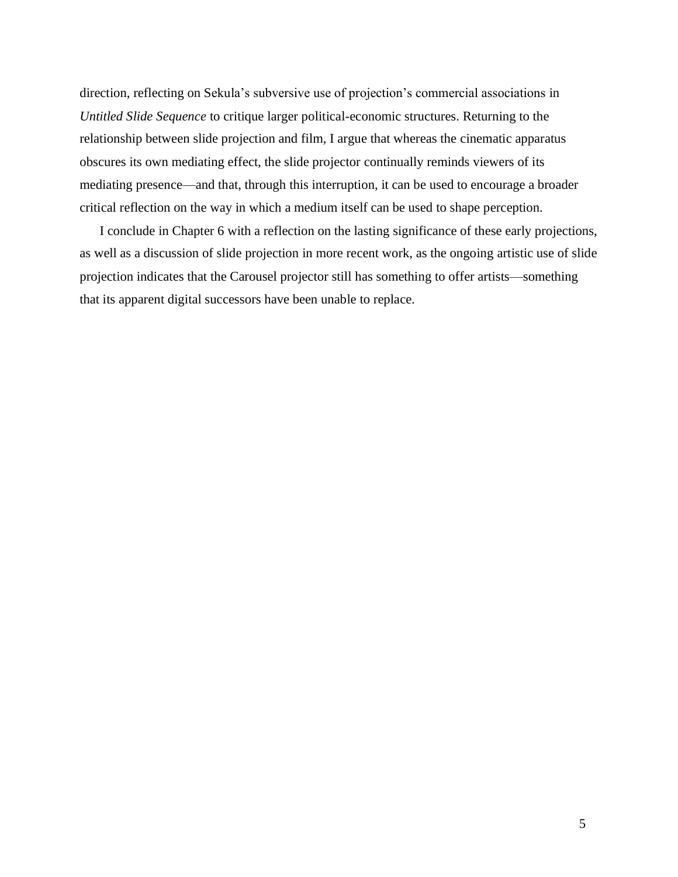direction, reflecting on Sekula's subversive use of projection's commercial associations in *Untitled Slide Sequence* to critique larger political-economic structures. Returning to the relationship between slide projection and film, I argue that whereas the cinematic apparatus obscures its own mediating effect, the slide projector continually reminds viewers of its mediating presence—and that, through this interruption, it can be used to encourage a broader critical reflection on the way in which a medium itself can be used to shape perception.

I conclude in Chapter 6 with a reflection on the lasting significance of these early projections, as well as a discussion of slide projection in more recent work, as the ongoing artistic use of slide projection indicates that the Carousel projector still has something to offer artists—something that its apparent digital successors have been unable to replace.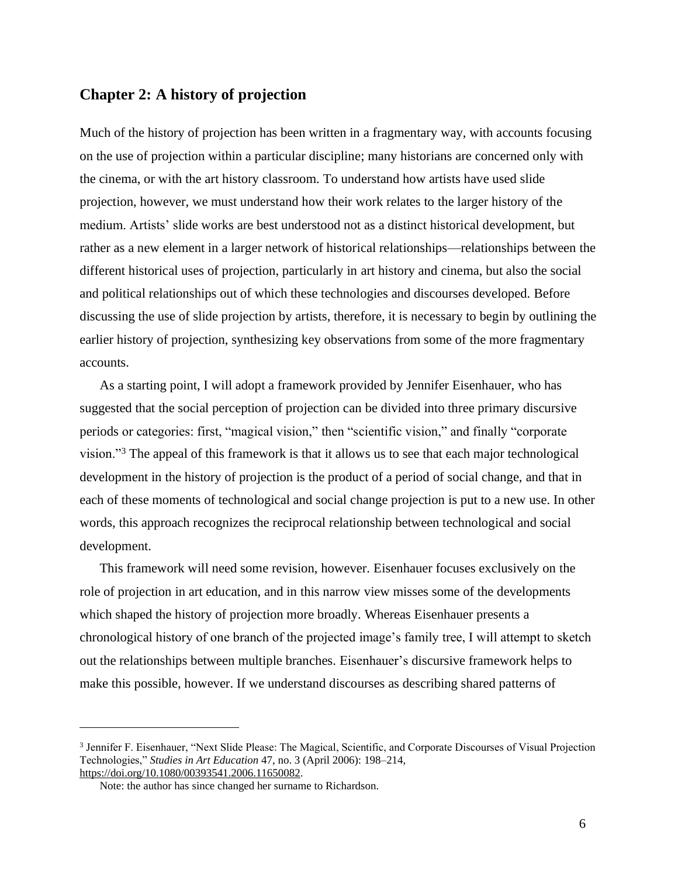## **Chapter 2: A history of projection**

Much of the history of projection has been written in a fragmentary way, with accounts focusing on the use of projection within a particular discipline; many historians are concerned only with the cinema, or with the art history classroom. To understand how artists have used slide projection, however, we must understand how their work relates to the larger history of the medium. Artists' slide works are best understood not as a distinct historical development, but rather as a new element in a larger network of historical relationships—relationships between the different historical uses of projection, particularly in art history and cinema, but also the social and political relationships out of which these technologies and discourses developed. Before discussing the use of slide projection by artists, therefore, it is necessary to begin by outlining the earlier history of projection, synthesizing key observations from some of the more fragmentary accounts.

As a starting point, I will adopt a framework provided by Jennifer Eisenhauer, who has suggested that the social perception of projection can be divided into three primary discursive periods or categories: first, "magical vision," then "scientific vision," and finally "corporate vision."<sup>3</sup> The appeal of this framework is that it allows us to see that each major technological development in the history of projection is the product of a period of social change, and that in each of these moments of technological and social change projection is put to a new use. In other words, this approach recognizes the reciprocal relationship between technological and social development.

This framework will need some revision, however. Eisenhauer focuses exclusively on the role of projection in art education, and in this narrow view misses some of the developments which shaped the history of projection more broadly. Whereas Eisenhauer presents a chronological history of one branch of the projected image's family tree, I will attempt to sketch out the relationships between multiple branches. Eisenhauer's discursive framework helps to make this possible, however. If we understand discourses as describing shared patterns of

<sup>&</sup>lt;sup>3</sup> Jennifer F. Eisenhauer, "Next Slide Please: The Magical, Scientific, and Corporate Discourses of Visual Projection Technologies," *Studies in Art Education* 47, no. 3 (April 2006): 198–214, [https://doi.org/10.1080/00393541.2006.11650082.](https://doi.org/10.1080/00393541.2006.11650082)

Note: the author has since changed her surname to Richardson.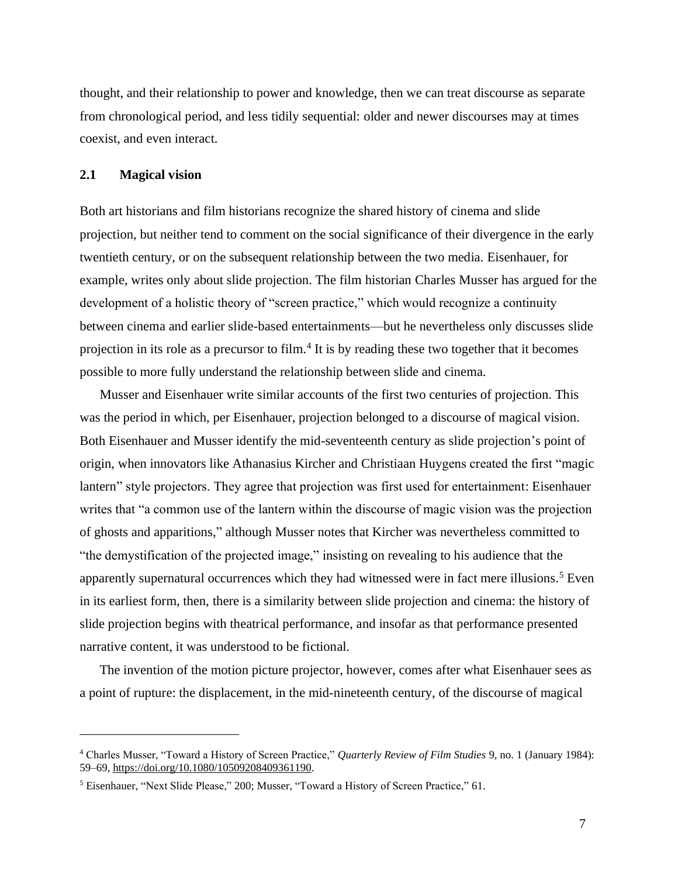thought, and their relationship to power and knowledge, then we can treat discourse as separate from chronological period, and less tidily sequential: older and newer discourses may at times coexist, and even interact.

### **2.1 Magical vision**

Both art historians and film historians recognize the shared history of cinema and slide projection, but neither tend to comment on the social significance of their divergence in the early twentieth century, or on the subsequent relationship between the two media. Eisenhauer, for example, writes only about slide projection. The film historian Charles Musser has argued for the development of a holistic theory of "screen practice," which would recognize a continuity between cinema and earlier slide-based entertainments—but he nevertheless only discusses slide projection in its role as a precursor to film.<sup>4</sup> It is by reading these two together that it becomes possible to more fully understand the relationship between slide and cinema.

Musser and Eisenhauer write similar accounts of the first two centuries of projection. This was the period in which, per Eisenhauer, projection belonged to a discourse of magical vision. Both Eisenhauer and Musser identify the mid-seventeenth century as slide projection's point of origin, when innovators like Athanasius Kircher and Christiaan Huygens created the first "magic lantern" style projectors. They agree that projection was first used for entertainment: Eisenhauer writes that "a common use of the lantern within the discourse of magic vision was the projection of ghosts and apparitions," although Musser notes that Kircher was nevertheless committed to "the demystification of the projected image," insisting on revealing to his audience that the apparently supernatural occurrences which they had witnessed were in fact mere illusions.<sup>5</sup> Even in its earliest form, then, there is a similarity between slide projection and cinema: the history of slide projection begins with theatrical performance, and insofar as that performance presented narrative content, it was understood to be fictional.

The invention of the motion picture projector, however, comes after what Eisenhauer sees as a point of rupture: the displacement, in the mid-nineteenth century, of the discourse of magical

<sup>4</sup> Charles Musser, "Toward a History of Screen Practice," *Quarterly Review of Film Studies* 9, no. 1 (January 1984): 59–69, [https://doi.org/10.1080/10509208409361190.](https://doi.org/10.1080/10509208409361190)

<sup>5</sup> Eisenhauer, "Next Slide Please," 200; Musser, "Toward a History of Screen Practice," 61.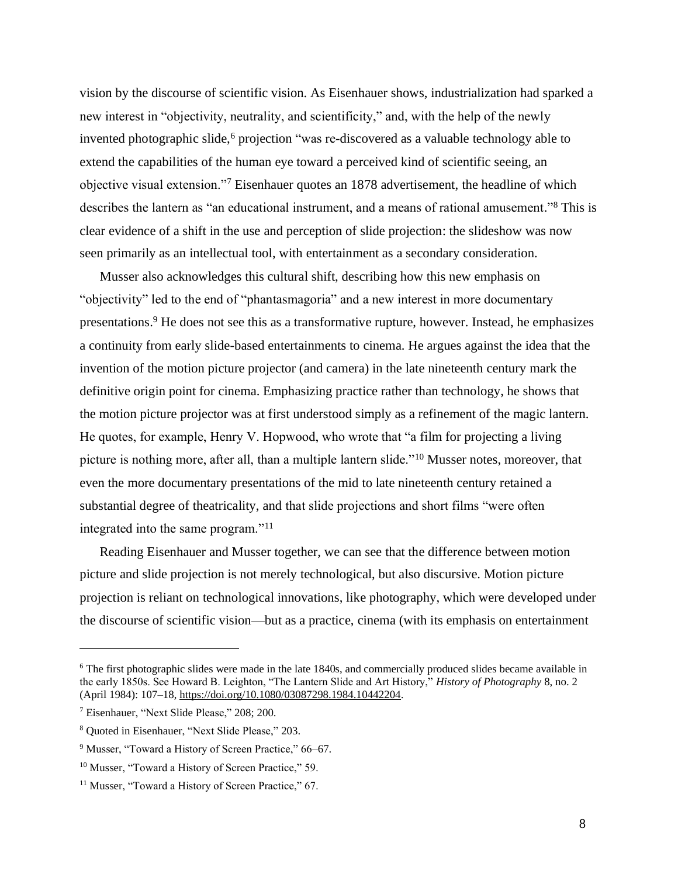vision by the discourse of scientific vision. As Eisenhauer shows, industrialization had sparked a new interest in "objectivity, neutrality, and scientificity," and, with the help of the newly invented photographic slide, $6$  projection "was re-discovered as a valuable technology able to extend the capabilities of the human eye toward a perceived kind of scientific seeing, an objective visual extension."<sup>7</sup> Eisenhauer quotes an 1878 advertisement, the headline of which describes the lantern as "an educational instrument, and a means of rational amusement." <sup>8</sup> This is clear evidence of a shift in the use and perception of slide projection: the slideshow was now seen primarily as an intellectual tool, with entertainment as a secondary consideration.

Musser also acknowledges this cultural shift, describing how this new emphasis on "objectivity" led to the end of "phantasmagoria" and a new interest in more documentary presentations. <sup>9</sup> He does not see this as a transformative rupture, however. Instead, he emphasizes a continuity from early slide-based entertainments to cinema. He argues against the idea that the invention of the motion picture projector (and camera) in the late nineteenth century mark the definitive origin point for cinema. Emphasizing practice rather than technology, he shows that the motion picture projector was at first understood simply as a refinement of the magic lantern. He quotes, for example, Henry V. Hopwood, who wrote that "a film for projecting a living picture is nothing more, after all, than a multiple lantern slide."<sup>10</sup> Musser notes, moreover, that even the more documentary presentations of the mid to late nineteenth century retained a substantial degree of theatricality, and that slide projections and short films "were often integrated into the same program."<sup>11</sup>

Reading Eisenhauer and Musser together, we can see that the difference between motion picture and slide projection is not merely technological, but also discursive. Motion picture projection is reliant on technological innovations, like photography, which were developed under the discourse of scientific vision—but as a practice, cinema (with its emphasis on entertainment

<sup>&</sup>lt;sup>6</sup> The first photographic slides were made in the late 1840s, and commercially produced slides became available in the early 1850s. See Howard B. Leighton, "The Lantern Slide and Art History," *History of Photography* 8, no. 2 (April 1984): 107–18, [https://doi.org/10.1080/03087298.1984.10442204.](https://doi.org/10.1080/03087298.1984.10442204)

<sup>7</sup> Eisenhauer, "Next Slide Please," 208; 200.

<sup>8</sup> Quoted in Eisenhauer, "Next Slide Please," 203.

<sup>&</sup>lt;sup>9</sup> Musser, "Toward a History of Screen Practice," 66-67.

<sup>&</sup>lt;sup>10</sup> Musser, "Toward a History of Screen Practice," 59.

<sup>&</sup>lt;sup>11</sup> Musser, "Toward a History of Screen Practice," 67.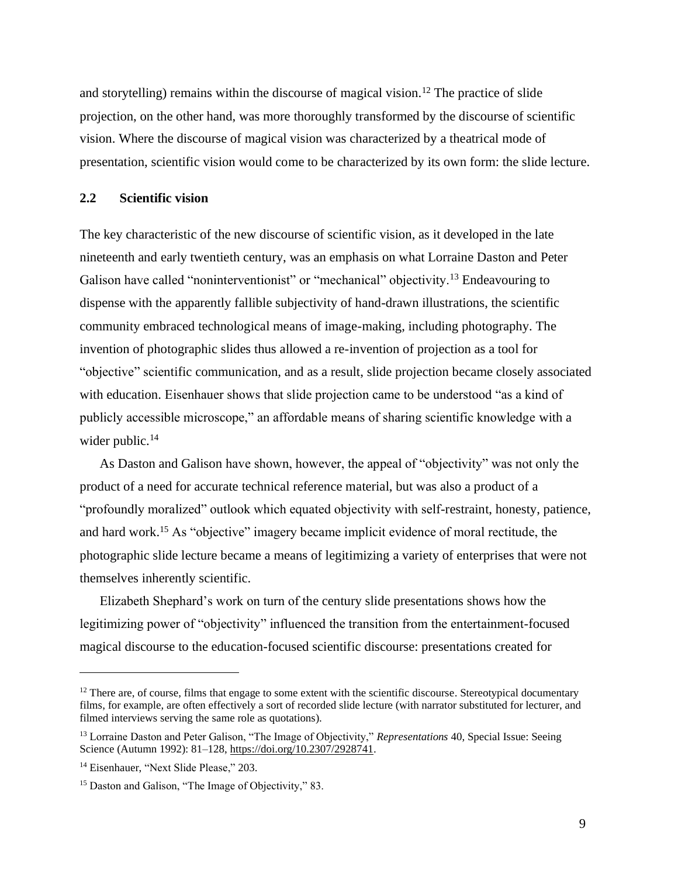and storytelling) remains within the discourse of magical vision.<sup>12</sup> The practice of slide projection, on the other hand, was more thoroughly transformed by the discourse of scientific vision. Where the discourse of magical vision was characterized by a theatrical mode of presentation, scientific vision would come to be characterized by its own form: the slide lecture.

## **2.2 Scientific vision**

The key characteristic of the new discourse of scientific vision, as it developed in the late nineteenth and early twentieth century, was an emphasis on what Lorraine Daston and Peter Galison have called "noninterventionist" or "mechanical" objectivity.<sup>13</sup> Endeavouring to dispense with the apparently fallible subjectivity of hand-drawn illustrations, the scientific community embraced technological means of image-making, including photography. The invention of photographic slides thus allowed a re-invention of projection as a tool for "objective" scientific communication, and as a result, slide projection became closely associated with education. Eisenhauer shows that slide projection came to be understood "as a kind of publicly accessible microscope," an affordable means of sharing scientific knowledge with a wider public.<sup>14</sup>

As Daston and Galison have shown, however, the appeal of "objectivity" was not only the product of a need for accurate technical reference material, but was also a product of a "profoundly moralized" outlook which equated objectivity with self-restraint, honesty, patience, and hard work.<sup>15</sup> As "objective" imagery became implicit evidence of moral rectitude, the photographic slide lecture became a means of legitimizing a variety of enterprises that were not themselves inherently scientific.

Elizabeth Shephard's work on turn of the century slide presentations shows how the legitimizing power of "objectivity" influenced the transition from the entertainment-focused magical discourse to the education-focused scientific discourse: presentations created for

<sup>&</sup>lt;sup>12</sup> There are, of course, films that engage to some extent with the scientific discourse. Stereotypical documentary films, for example, are often effectively a sort of recorded slide lecture (with narrator substituted for lecturer, and filmed interviews serving the same role as quotations).

<sup>13</sup> Lorraine Daston and Peter Galison, "The Image of Objectivity," *Representations* 40, Special Issue: Seeing Science (Autumn 1992): 81–128, [https://doi.org/10.2307/2928741.](https://doi.org/10.2307/2928741)

<sup>&</sup>lt;sup>14</sup> Eisenhauer, "Next Slide Please," 203.

<sup>&</sup>lt;sup>15</sup> Daston and Galison, "The Image of Objectivity," 83.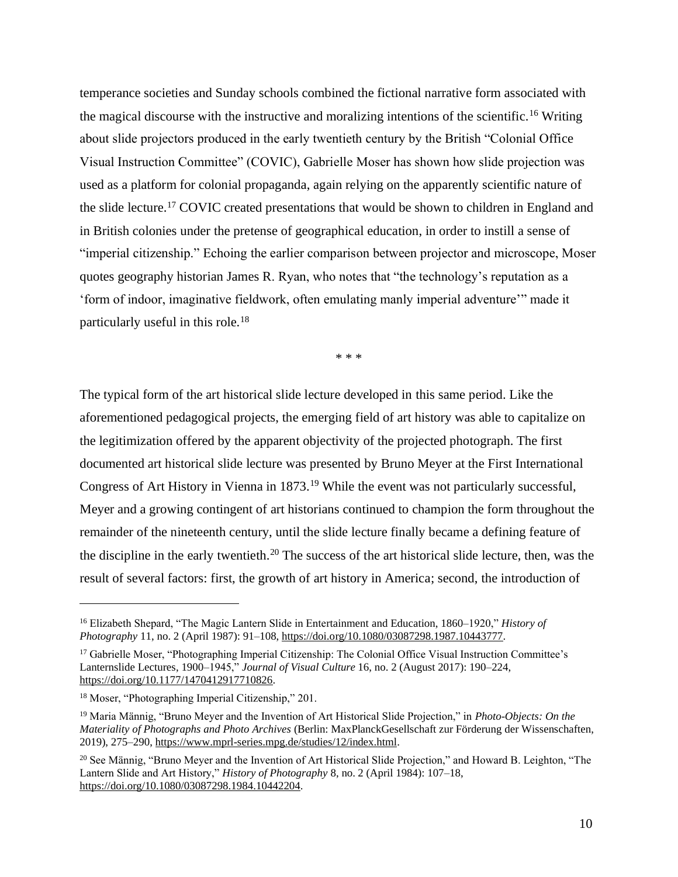temperance societies and Sunday schools combined the fictional narrative form associated with the magical discourse with the instructive and moralizing intentions of the scientific.<sup>16</sup> Writing about slide projectors produced in the early twentieth century by the British "Colonial Office Visual Instruction Committee" (COVIC), Gabrielle Moser has shown how slide projection was used as a platform for colonial propaganda, again relying on the apparently scientific nature of the slide lecture.<sup>17</sup> COVIC created presentations that would be shown to children in England and in British colonies under the pretense of geographical education, in order to instill a sense of "imperial citizenship." Echoing the earlier comparison between projector and microscope, Moser quotes geography historian James R. Ryan, who notes that "the technology's reputation as a 'form of indoor, imaginative fieldwork, often emulating manly imperial adventure'" made it particularly useful in this role.<sup>18</sup>

\* \* \*

The typical form of the art historical slide lecture developed in this same period. Like the aforementioned pedagogical projects, the emerging field of art history was able to capitalize on the legitimization offered by the apparent objectivity of the projected photograph. The first documented art historical slide lecture was presented by Bruno Meyer at the First International Congress of Art History in Vienna in 1873.<sup>19</sup> While the event was not particularly successful, Meyer and a growing contingent of art historians continued to champion the form throughout the remainder of the nineteenth century, until the slide lecture finally became a defining feature of the discipline in the early twentieth.<sup>20</sup> The success of the art historical slide lecture, then, was the result of several factors: first, the growth of art history in America; second, the introduction of

<sup>16</sup> Elizabeth Shepard, "The Magic Lantern Slide in Entertainment and Education, 1860–1920," *History of Photography* 11, no. 2 (April 1987): 91–108, [https://doi.org/10.1080/03087298.1987.10443777.](https://doi.org/10.1080/03087298.1987.10443777)

<sup>&</sup>lt;sup>17</sup> Gabrielle Moser, "Photographing Imperial Citizenship: The Colonial Office Visual Instruction Committee's Lanternslide Lectures, 1900–1945," *Journal of Visual Culture* 16, no. 2 (August 2017): 190–224, [https://doi.org/10.1177/1470412917710826.](https://doi.org/10.1177/1470412917710826)

<sup>18</sup> Moser, "Photographing Imperial Citizenship," 201.

<sup>19</sup> Maria Männig, "Bruno Meyer and the Invention of Art Historical Slide Projection," in *Photo-Objects: On the Materiality of Photographs and Photo Archives* (Berlin: MaxPlanckGesellschaft zur Förderung der Wissenschaften, 2019), 275–290, [https://www.mprl-series.mpg.de/studies/12/index.html.](https://www.mprl-series.mpg.de/studies/12/index.html)

<sup>&</sup>lt;sup>20</sup> See Männig, "Bruno Meyer and the Invention of Art Historical Slide Projection," and Howard B. Leighton, "The Lantern Slide and Art History," *History of Photography* 8, no. 2 (April 1984): 107–18, [https://doi.org/10.1080/03087298.1984.10442204.](https://doi.org/10.1080/03087298.1984.10442204)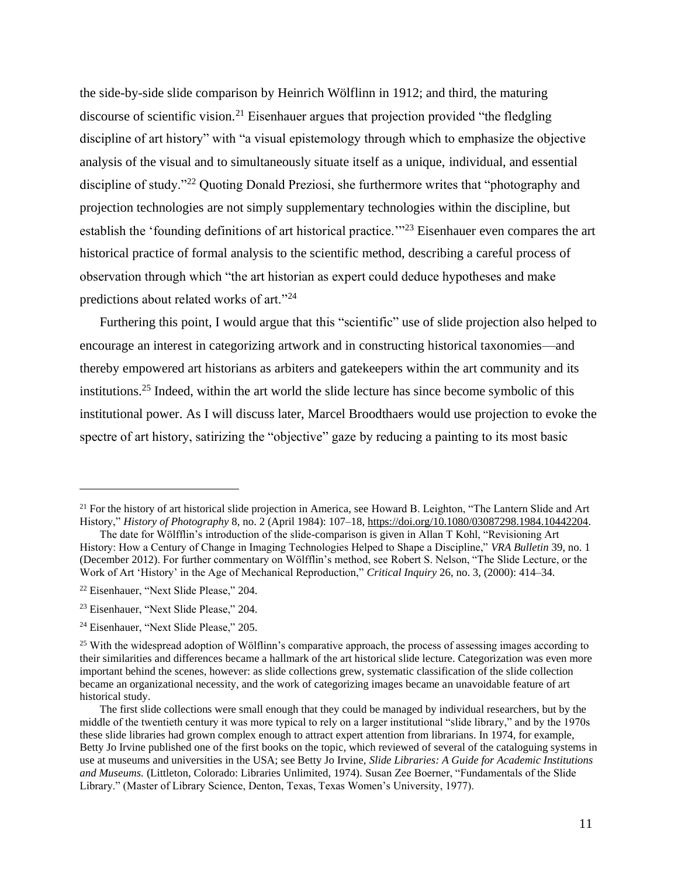the side-by-side slide comparison by Heinrich Wölflinn in 1912; and third, the maturing discourse of scientific vision.<sup>21</sup> Eisenhauer argues that projection provided "the fledgling discipline of art history" with "a visual epistemology through which to emphasize the objective analysis of the visual and to simultaneously situate itself as a unique, individual, and essential discipline of study."<sup>22</sup> Quoting Donald Preziosi, she furthermore writes that "photography and projection technologies are not simply supplementary technologies within the discipline, but establish the 'founding definitions of art historical practice.'"<sup>23</sup> Eisenhauer even compares the art historical practice of formal analysis to the scientific method, describing a careful process of observation through which "the art historian as expert could deduce hypotheses and make predictions about related works of art."<sup>24</sup>

Furthering this point, I would argue that this "scientific" use of slide projection also helped to encourage an interest in categorizing artwork and in constructing historical taxonomies—and thereby empowered art historians as arbiters and gatekeepers within the art community and its institutions.<sup>25</sup> Indeed, within the art world the slide lecture has since become symbolic of this institutional power. As I will discuss later, Marcel Broodthaers would use projection to evoke the spectre of art history, satirizing the "objective" gaze by reducing a painting to its most basic

 $21$  For the history of art historical slide projection in America, see Howard B. Leighton, "The Lantern Slide and Art History," *History of Photography* 8, no. 2 (April 1984): 107–18, [https://doi.org/10.1080/03087298.1984.10442204.](https://doi.org/10.1080/03087298.1984.10442204)

The date for Wölfflin's introduction of the slide-comparison is given in Allan T Kohl, "Revisioning Art History: How a Century of Change in Imaging Technologies Helped to Shape a Discipline," *VRA Bulletin* 39, no. 1 (December 2012). For further commentary on Wölfflin's method, see Robert S. Nelson, "The Slide Lecture, or the Work of Art 'History' in the Age of Mechanical Reproduction," *Critical Inquiry* 26, no. 3, (2000): 414–34.

<sup>22</sup> Eisenhauer, "Next Slide Please," 204.

<sup>23</sup> Eisenhauer, "Next Slide Please," 204.

<sup>&</sup>lt;sup>24</sup> Eisenhauer, "Next Slide Please," 205.

<sup>&</sup>lt;sup>25</sup> With the widespread adoption of Wölflinn's comparative approach, the process of assessing images according to their similarities and differences became a hallmark of the art historical slide lecture. Categorization was even more important behind the scenes, however: as slide collections grew, systematic classification of the slide collection became an organizational necessity, and the work of categorizing images became an unavoidable feature of art historical study.

The first slide collections were small enough that they could be managed by individual researchers, but by the middle of the twentieth century it was more typical to rely on a larger institutional "slide library," and by the 1970s these slide libraries had grown complex enough to attract expert attention from librarians. In 1974, for example, Betty Jo Irvine published one of the first books on the topic, which reviewed of several of the cataloguing systems in use at museums and universities in the USA; see Betty Jo Irvine, *Slide Libraries: A Guide for Academic Institutions and Museums.* (Littleton, Colorado: Libraries Unlimited, 1974). Susan Zee Boerner, "Fundamentals of the Slide Library." (Master of Library Science, Denton, Texas, Texas Women's University, 1977).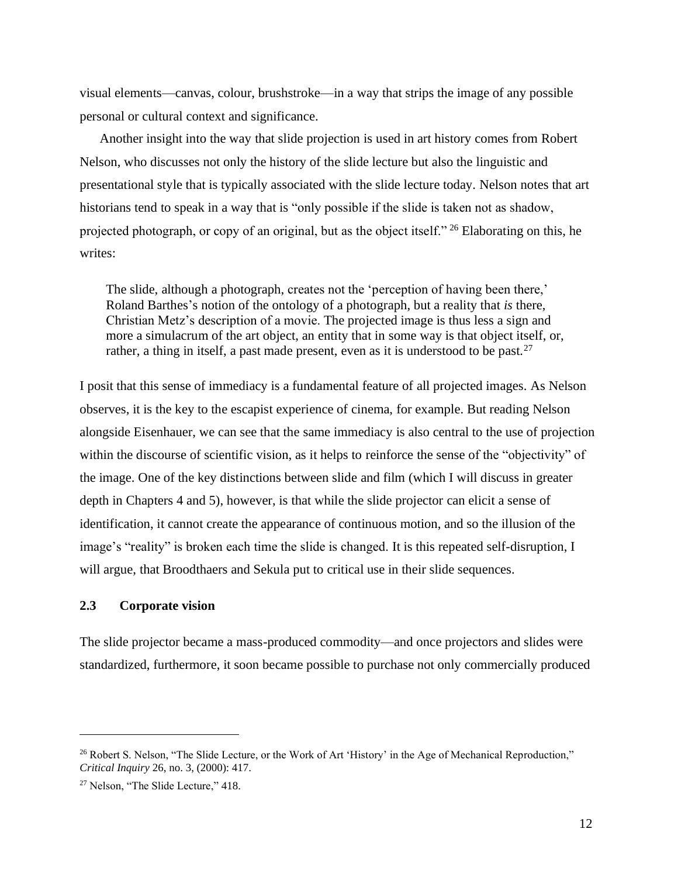visual elements—canvas, colour, brushstroke—in a way that strips the image of any possible personal or cultural context and significance.

Another insight into the way that slide projection is used in art history comes from Robert Nelson, who discusses not only the history of the slide lecture but also the linguistic and presentational style that is typically associated with the slide lecture today. Nelson notes that art historians tend to speak in a way that is "only possible if the slide is taken not as shadow, projected photograph, or copy of an original, but as the object itself." <sup>26</sup> Elaborating on this, he writes:

The slide, although a photograph, creates not the 'perception of having been there,' Roland Barthes's notion of the ontology of a photograph, but a reality that *is* there, Christian Metz's description of a movie. The projected image is thus less a sign and more a simulacrum of the art object, an entity that in some way is that object itself, or, rather, a thing in itself, a past made present, even as it is understood to be past.<sup>27</sup>

I posit that this sense of immediacy is a fundamental feature of all projected images. As Nelson observes, it is the key to the escapist experience of cinema, for example. But reading Nelson alongside Eisenhauer, we can see that the same immediacy is also central to the use of projection within the discourse of scientific vision, as it helps to reinforce the sense of the "objectivity" of the image. One of the key distinctions between slide and film (which I will discuss in greater depth in Chapters 4 and 5), however, is that while the slide projector can elicit a sense of identification, it cannot create the appearance of continuous motion, and so the illusion of the image's "reality" is broken each time the slide is changed. It is this repeated self-disruption, I will argue, that Broodthaers and Sekula put to critical use in their slide sequences.

#### **2.3 Corporate vision**

The slide projector became a mass-produced commodity—and once projectors and slides were standardized, furthermore, it soon became possible to purchase not only commercially produced

<sup>&</sup>lt;sup>26</sup> Robert S. Nelson, "The Slide Lecture, or the Work of Art 'History' in the Age of Mechanical Reproduction," *Critical Inquiry* 26, no. 3, (2000): 417.

<sup>27</sup> Nelson, "The Slide Lecture," 418.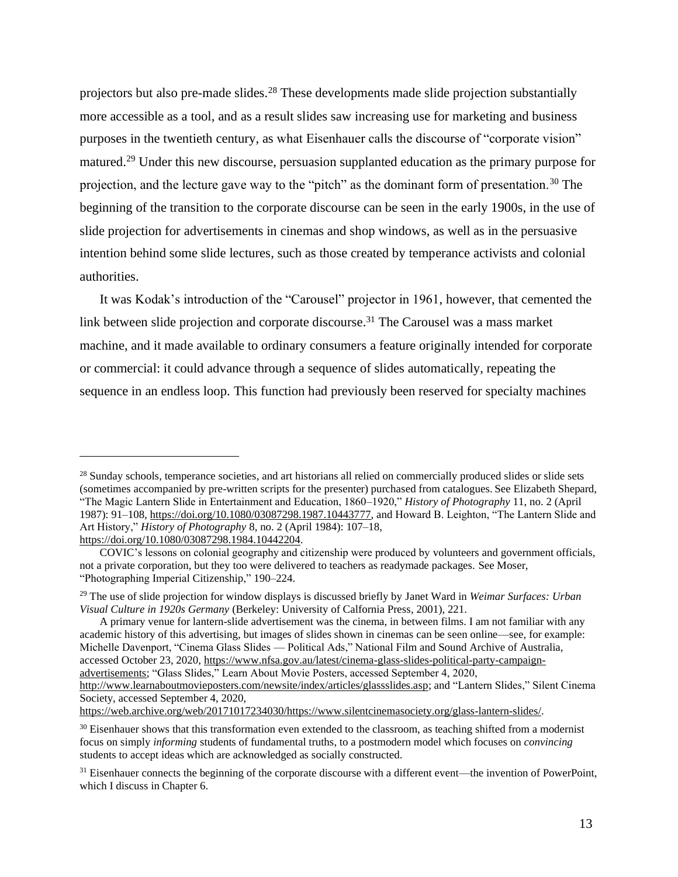projectors but also pre-made slides.<sup>28</sup> These developments made slide projection substantially more accessible as a tool, and as a result slides saw increasing use for marketing and business purposes in the twentieth century, as what Eisenhauer calls the discourse of "corporate vision" matured.<sup>29</sup> Under this new discourse, persuasion supplanted education as the primary purpose for projection, and the lecture gave way to the "pitch" as the dominant form of presentation.<sup>30</sup> The beginning of the transition to the corporate discourse can be seen in the early 1900s, in the use of slide projection for advertisements in cinemas and shop windows, as well as in the persuasive intention behind some slide lectures, such as those created by temperance activists and colonial authorities.

It was Kodak's introduction of the "Carousel" projector in 1961, however, that cemented the link between slide projection and corporate discourse. <sup>31</sup> The Carousel was a mass market machine, and it made available to ordinary consumers a feature originally intended for corporate or commercial: it could advance through a sequence of slides automatically, repeating the sequence in an endless loop. This function had previously been reserved for specialty machines

<sup>&</sup>lt;sup>28</sup> Sunday schools, temperance societies, and art historians all relied on commercially produced slides or slide sets (sometimes accompanied by pre-written scripts for the presenter) purchased from catalogues.See Elizabeth Shepard, "The Magic Lantern Slide in Entertainment and Education, 1860–1920," *History of Photography* 11, no. 2 (April 1987): 91–108[, https://doi.org/10.1080/03087298.1987.10443777,](https://doi.org/10.1080/03087298.1987.10443777) and Howard B. Leighton, "The Lantern Slide and Art History," *History of Photography* 8, no. 2 (April 1984): 107–18, [https://doi.org/10.1080/03087298.1984.10442204.](https://doi.org/10.1080/03087298.1984.10442204)

COVIC's lessons on colonial geography and citizenship were produced by volunteers and government officials, not a private corporation, but they too were delivered to teachers as readymade packages. See Moser, "Photographing Imperial Citizenship," 190–224.

<sup>29</sup> The use of slide projection for window displays is discussed briefly by Janet Ward in *Weimar Surfaces: Urban Visual Culture in 1920s Germany* (Berkeley: University of Calfornia Press, 2001), 221.

A primary venue for lantern-slide advertisement was the cinema, in between films. I am not familiar with any academic history of this advertising, but images of slides shown in cinemas can be seen online—see, for example: Michelle Davenport, "Cinema Glass Slides — Political Ads," National Film and Sound Archive of Australia, accessed October 23, 2020, [https://www.nfsa.gov.au/latest/cinema-glass-slides-political-party-campaign](https://www.nfsa.gov.au/latest/cinema-glass-slides-political-party-campaign-advertisements)[advertisements;](https://www.nfsa.gov.au/latest/cinema-glass-slides-political-party-campaign-advertisements) "Glass Slides," Learn About Movie Posters, accessed September 4, 2020,

[http://www.learnaboutmovieposters.com/newsite/index/articles/glassslides.asp;](http://www.learnaboutmovieposters.com/newsite/index/articles/glassslides.asp) and "Lantern Slides," Silent Cinema Society, accessed September 4, 2020,

[https://web.archive.org/web/20171017234030/https://www.silentcinemasociety.org/glass-lantern-slides/.](https://web.archive.org/web/20171017234030/https:/www.silentcinemasociety.org/glass-lantern-slides/)

<sup>&</sup>lt;sup>30</sup> Eisenhauer shows that this transformation even extended to the classroom, as teaching shifted from a modernist focus on simply *informing* students of fundamental truths, to a postmodern model which focuses on *convincing*  students to accept ideas which are acknowledged as socially constructed.

<sup>&</sup>lt;sup>31</sup> Eisenhauer connects the beginning of the corporate discourse with a different event—the invention of PowerPoint, which I discuss in Chapter 6.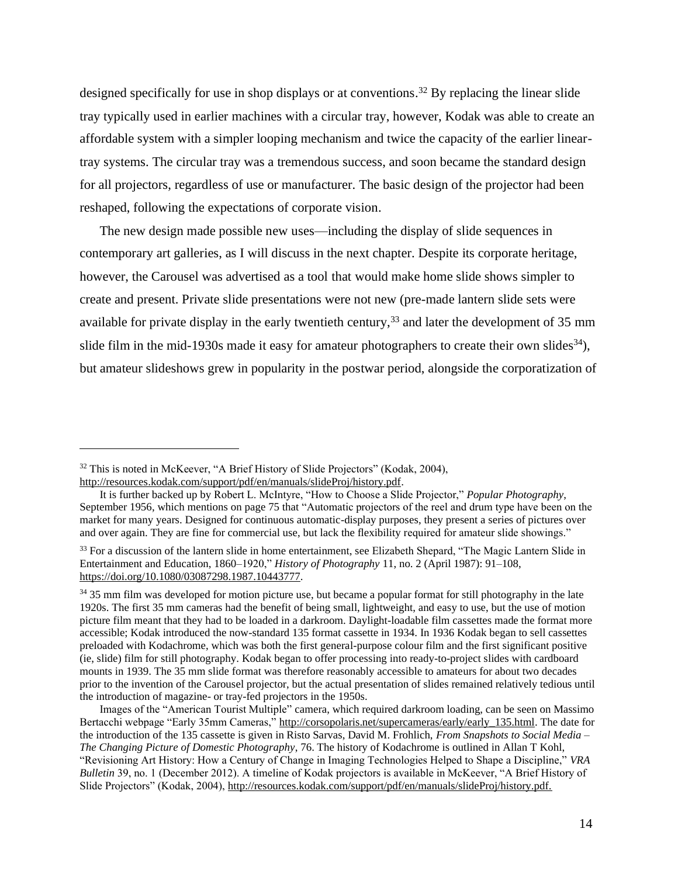designed specifically for use in shop displays or at conventions. <sup>32</sup> By replacing the linear slide tray typically used in earlier machines with a circular tray, however, Kodak was able to create an affordable system with a simpler looping mechanism and twice the capacity of the earlier lineartray systems. The circular tray was a tremendous success, and soon became the standard design for all projectors, regardless of use or manufacturer. The basic design of the projector had been reshaped, following the expectations of corporate vision.

The new design made possible new uses—including the display of slide sequences in contemporary art galleries, as I will discuss in the next chapter. Despite its corporate heritage, however, the Carousel was advertised as a tool that would make home slide shows simpler to create and present. Private slide presentations were not new (pre-made lantern slide sets were available for private display in the early twentieth century,  $33$  and later the development of 35 mm slide film in the mid-1930s made it easy for amateur photographers to create their own slides<sup>34</sup>), but amateur slideshows grew in popularity in the postwar period, alongside the corporatization of

<sup>&</sup>lt;sup>32</sup> This is noted in McKeever, "A Brief History of Slide Projectors" (Kodak, 2004), [http://resources.kodak.com/support/pdf/en/manuals/slideProj/history.pdf.](http://resources.kodak.com/support/pdf/en/manuals/slideProj/history.pdf)

It is further backed up by Robert L. McIntyre, "How to Choose a Slide Projector," *Popular Photography*, September 1956, which mentions on page 75 that "Automatic projectors of the reel and drum type have been on the market for many years. Designed for continuous automatic-display purposes, they present a series of pictures over and over again. They are fine for commercial use, but lack the flexibility required for amateur slide showings."

<sup>&</sup>lt;sup>33</sup> For a discussion of the lantern slide in home entertainment, see Elizabeth Shepard, "The Magic Lantern Slide in Entertainment and Education, 1860–1920," *History of Photography* 11, no. 2 (April 1987): 91–108, [https://doi.org/10.1080/03087298.1987.10443777.](https://doi.org/10.1080/03087298.1987.10443777)

<sup>&</sup>lt;sup>34</sup> 35 mm film was developed for motion picture use, but became a popular format for still photography in the late 1920s. The first 35 mm cameras had the benefit of being small, lightweight, and easy to use, but the use of motion picture film meant that they had to be loaded in a darkroom. Daylight-loadable film cassettes made the format more accessible; Kodak introduced the now-standard 135 format cassette in 1934. In 1936 Kodak began to sell cassettes preloaded with Kodachrome, which was both the first general-purpose colour film and the first significant positive (ie, slide) film for still photography. Kodak began to offer processing into ready-to-project slides with cardboard mounts in 1939. The 35 mm slide format was therefore reasonably accessible to amateurs for about two decades prior to the invention of the Carousel projector, but the actual presentation of slides remained relatively tedious until the introduction of magazine- or tray-fed projectors in the 1950s.

Images of the "American Tourist Multiple" camera, which required darkroom loading, can be seen on Massimo Bertacchi webpage "Early 35mm Cameras," [http://corsopolaris.net/supercameras/early/early\\_135.html.](http://corsopolaris.net/supercameras/early/early_135.html) The date for the introduction of the 135 cassette is given in Risto Sarvas, David M. Frohlich, *From Snapshots to Social Media – The Changing Picture of Domestic Photography*, 76. The history of Kodachrome is outlined in Allan T Kohl, "Revisioning Art History: How a Century of Change in Imaging Technologies Helped to Shape a Discipline," *VRA Bulletin* 39, no. 1 (December 2012). A timeline of Kodak projectors is available in McKeever, "A Brief History of Slide Projectors" (Kodak, 2004), [http://resources.kodak.com/support/pdf/en/manuals/slideProj/history.pdf.](http://resources.kodak.com/support/pdf/en/manuals/slideProj/history.pdf)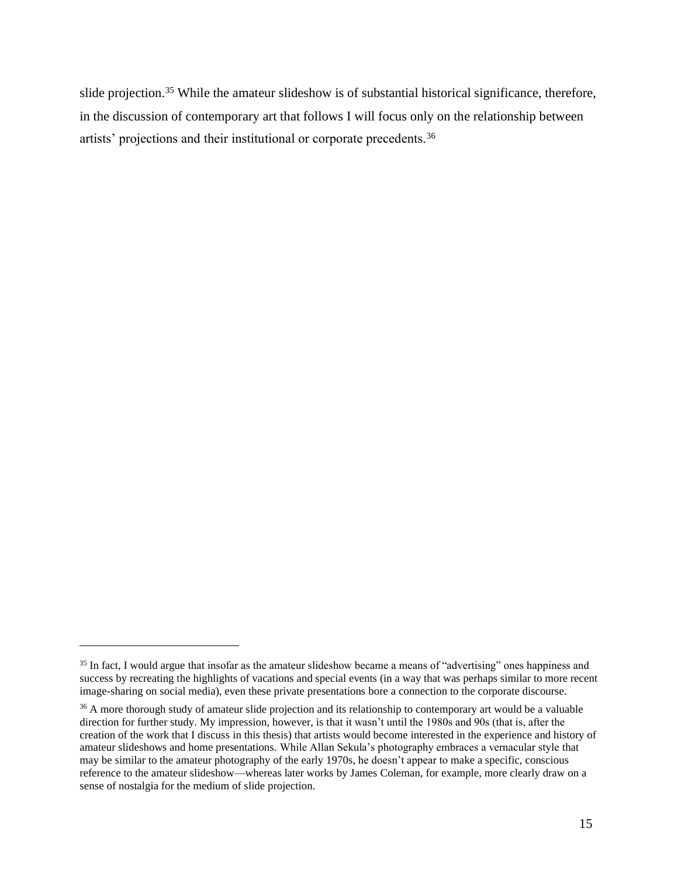slide projection.<sup>35</sup> While the amateur slideshow is of substantial historical significance, therefore, in the discussion of contemporary art that follows I will focus only on the relationship between artists' projections and their institutional or corporate precedents.<sup>36</sup>

<sup>&</sup>lt;sup>35</sup> In fact, I would argue that insofar as the amateur slideshow became a means of "advertising" ones happiness and success by recreating the highlights of vacations and special events (in a way that was perhaps similar to more recent image-sharing on social media), even these private presentations bore a connection to the corporate discourse.

<sup>&</sup>lt;sup>36</sup> A more thorough study of amateur slide projection and its relationship to contemporary art would be a valuable direction for further study. My impression, however, is that it wasn't until the 1980s and 90s (that is, after the creation of the work that I discuss in this thesis) that artists would become interested in the experience and history of amateur slideshows and home presentations. While Allan Sekula's photography embraces a vernacular style that may be similar to the amateur photography of the early 1970s, he doesn't appear to make a specific, conscious reference to the amateur slideshow—whereas later works by James Coleman, for example, more clearly draw on a sense of nostalgia for the medium of slide projection.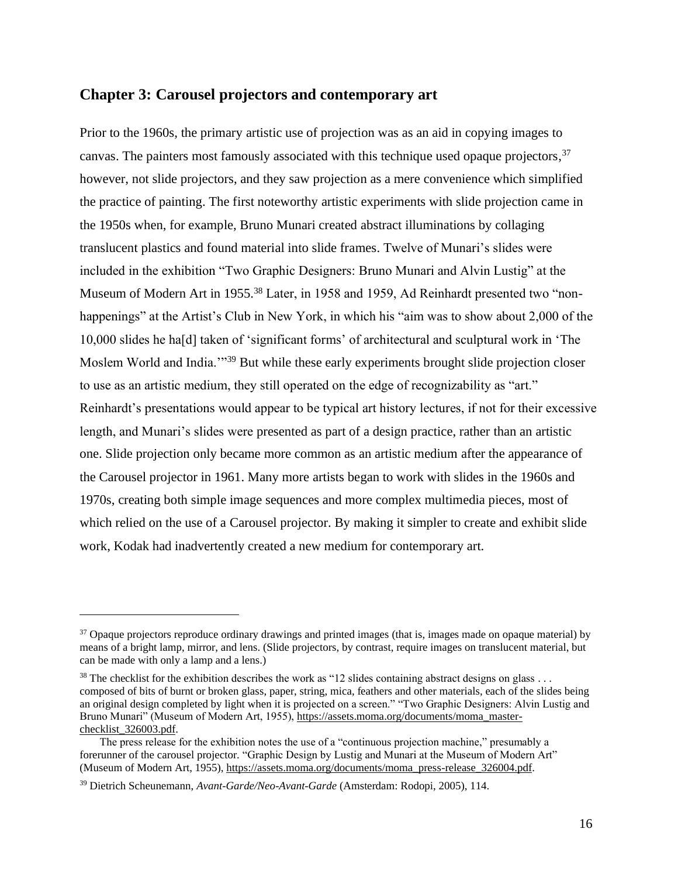## **Chapter 3: Carousel projectors and contemporary art**

Prior to the 1960s, the primary artistic use of projection was as an aid in copying images to canvas. The painters most famously associated with this technique used opaque projectors,<sup>37</sup> however, not slide projectors, and they saw projection as a mere convenience which simplified the practice of painting. The first noteworthy artistic experiments with slide projection came in the 1950s when, for example, Bruno Munari created abstract illuminations by collaging translucent plastics and found material into slide frames. Twelve of Munari's slides were included in the exhibition "Two Graphic Designers: Bruno Munari and Alvin Lustig" at the Museum of Modern Art in 1955.<sup>38</sup> Later, in 1958 and 1959, Ad Reinhardt presented two "nonhappenings" at the Artist's Club in New York, in which his "aim was to show about 2,000 of the 10,000 slides he ha[d] taken of 'significant forms' of architectural and sculptural work in 'The Moslem World and India."<sup>39</sup> But while these early experiments brought slide projection closer to use as an artistic medium, they still operated on the edge of recognizability as "art." Reinhardt's presentations would appear to be typical art history lectures, if not for their excessive length, and Munari's slides were presented as part of a design practice, rather than an artistic one. Slide projection only became more common as an artistic medium after the appearance of the Carousel projector in 1961. Many more artists began to work with slides in the 1960s and 1970s, creating both simple image sequences and more complex multimedia pieces, most of which relied on the use of a Carousel projector. By making it simpler to create and exhibit slide work, Kodak had inadvertently created a new medium for contemporary art.

<sup>&</sup>lt;sup>37</sup> Opaque projectors reproduce ordinary drawings and printed images (that is, images made on opaque material) by means of a bright lamp, mirror, and lens. (Slide projectors, by contrast, require images on translucent material, but can be made with only a lamp and a lens.)

 $38$  The checklist for the exhibition describes the work as "12 slides containing abstract designs on glass ... composed of bits of burnt or broken glass, paper, string, mica, feathers and other materials, each of the slides being an original design completed by light when it is projected on a screen." "Two Graphic Designers: Alvin Lustig and Bruno Munari" (Museum of Modern Art, 1955), [https://assets.moma.org/documents/moma\\_master](https://assets.moma.org/documents/moma_master-checklist_326003.pdf)[checklist\\_326003.pdf.](https://assets.moma.org/documents/moma_master-checklist_326003.pdf)

The press release for the exhibition notes the use of a "continuous projection machine," presumably a forerunner of the carousel projector. "Graphic Design by Lustig and Munari at the Museum of Modern Art" (Museum of Modern Art, 1955), [https://assets.moma.org/documents/moma\\_press-release\\_326004.pdf.](https://assets.moma.org/documents/moma_press-release_326004.pdf)

<sup>39</sup> Dietrich Scheunemann, *Avant-Garde/Neo-Avant-Garde* (Amsterdam: Rodopi, 2005), 114.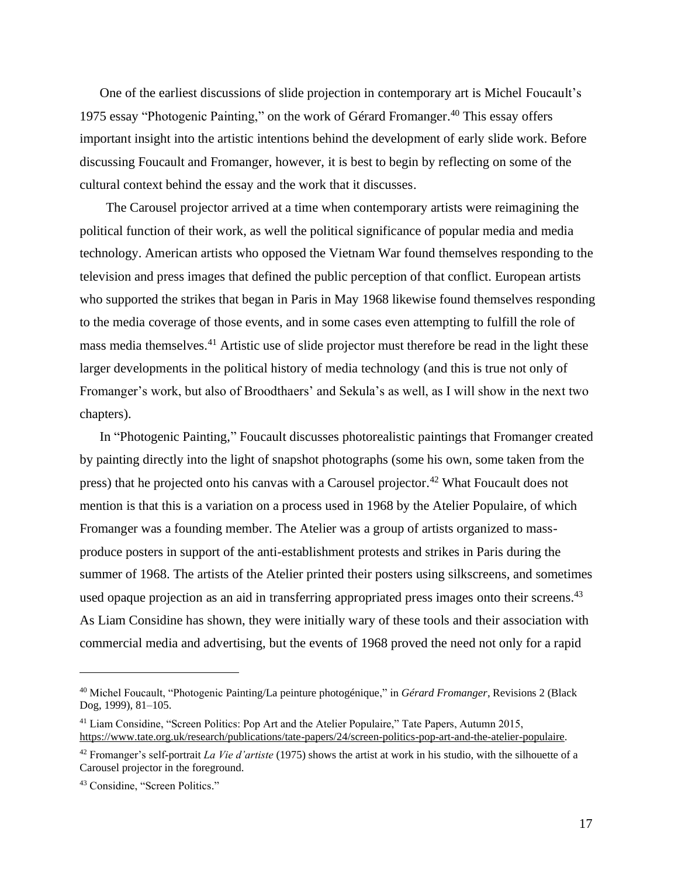One of the earliest discussions of slide projection in contemporary art is Michel Foucault's 1975 essay "Photogenic Painting," on the work of Gérard Fromanger. <sup>40</sup> This essay offers important insight into the artistic intentions behind the development of early slide work. Before discussing Foucault and Fromanger, however, it is best to begin by reflecting on some of the cultural context behind the essay and the work that it discusses.

The Carousel projector arrived at a time when contemporary artists were reimagining the political function of their work, as well the political significance of popular media and media technology. American artists who opposed the Vietnam War found themselves responding to the television and press images that defined the public perception of that conflict. European artists who supported the strikes that began in Paris in May 1968 likewise found themselves responding to the media coverage of those events, and in some cases even attempting to fulfill the role of mass media themselves.<sup>41</sup> Artistic use of slide projector must therefore be read in the light these larger developments in the political history of media technology (and this is true not only of Fromanger's work, but also of Broodthaers' and Sekula's as well, as I will show in the next two chapters).

In "Photogenic Painting," Foucault discusses photorealistic paintings that Fromanger created by painting directly into the light of snapshot photographs (some his own, some taken from the press) that he projected onto his canvas with a Carousel projector.<sup>42</sup> What Foucault does not mention is that this is a variation on a process used in 1968 by the Atelier Populaire, of which Fromanger was a founding member. The Atelier was a group of artists organized to massproduce posters in support of the anti-establishment protests and strikes in Paris during the summer of 1968. The artists of the Atelier printed their posters using silkscreens, and sometimes used opaque projection as an aid in transferring appropriated press images onto their screens.<sup>43</sup> As Liam Considine has shown, they were initially wary of these tools and their association with commercial media and advertising, but the events of 1968 proved the need not only for a rapid

<sup>40</sup> Michel Foucault, "Photogenic Painting/La peinture photogénique," in *Gérard Fromanger*, Revisions 2 (Black Dog, 1999), 81–105.

<sup>41</sup> Liam Considine, "Screen Politics: Pop Art and the Atelier Populaire," Tate Papers, Autumn 2015, [https://www.tate.org.uk/research/publications/tate-papers/24/screen-politics-pop-art-and-the-atelier-populaire.](https://www.tate.org.uk/research/publications/tate-papers/24/screen-politics-pop-art-and-the-atelier-populaire)

<sup>42</sup> Fromanger's self-portrait *La Vie d'artiste* (1975) shows the artist at work in his studio, with the silhouette of a Carousel projector in the foreground.

<sup>43</sup> Considine, "Screen Politics."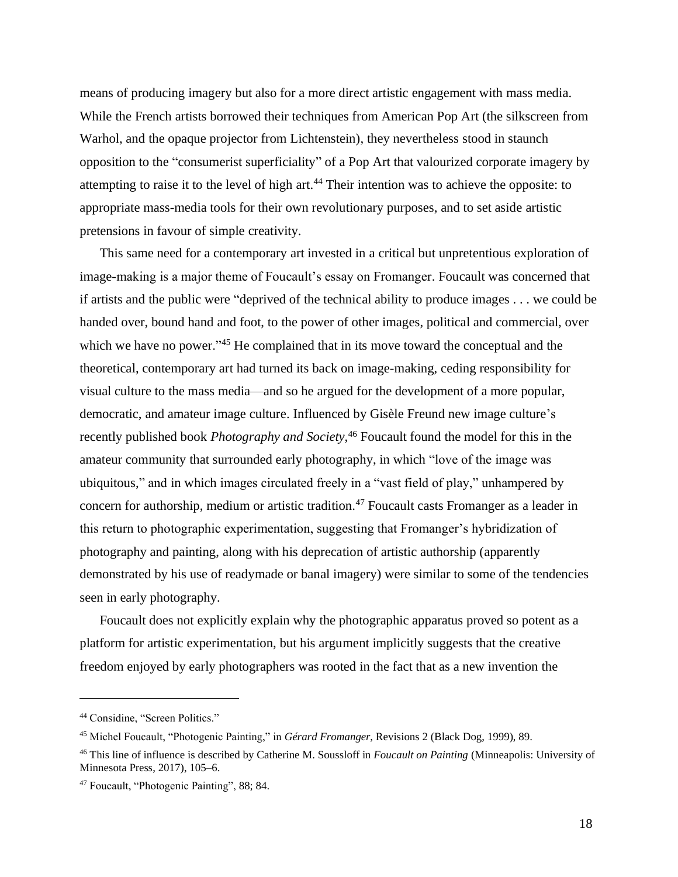means of producing imagery but also for a more direct artistic engagement with mass media. While the French artists borrowed their techniques from American Pop Art (the silkscreen from Warhol, and the opaque projector from Lichtenstein), they nevertheless stood in staunch opposition to the "consumerist superficiality" of a Pop Art that valourized corporate imagery by attempting to raise it to the level of high art. <sup>44</sup> Their intention was to achieve the opposite: to appropriate mass-media tools for their own revolutionary purposes, and to set aside artistic pretensions in favour of simple creativity.

This same need for a contemporary art invested in a critical but unpretentious exploration of image-making is a major theme of Foucault's essay on Fromanger. Foucault was concerned that if artists and the public were "deprived of the technical ability to produce images . . . we could be handed over, bound hand and foot, to the power of other images, political and commercial, over which we have no power."<sup>45</sup> He complained that in its move toward the conceptual and the theoretical, contemporary art had turned its back on image-making, ceding responsibility for visual culture to the mass media—and so he argued for the development of a more popular, democratic, and amateur image culture. Influenced by Gisèle Freund new image culture's recently published book *Photography and Society*, <sup>46</sup> Foucault found the model for this in the amateur community that surrounded early photography, in which "love of the image was ubiquitous," and in which images circulated freely in a "vast field of play," unhampered by concern for authorship, medium or artistic tradition.<sup>47</sup> Foucault casts Fromanger as a leader in this return to photographic experimentation, suggesting that Fromanger's hybridization of photography and painting, along with his deprecation of artistic authorship (apparently demonstrated by his use of readymade or banal imagery) were similar to some of the tendencies seen in early photography.

Foucault does not explicitly explain why the photographic apparatus proved so potent as a platform for artistic experimentation, but his argument implicitly suggests that the creative freedom enjoyed by early photographers was rooted in the fact that as a new invention the

<sup>44</sup> Considine, "Screen Politics."

<sup>45</sup> Michel Foucault, "Photogenic Painting," in *Gérard Fromanger*, Revisions 2 (Black Dog, 1999), 89.

<sup>46</sup> This line of influence is described by Catherine M. Soussloff in *Foucault on Painting* (Minneapolis: University of Minnesota Press, 2017), 105–6.

<sup>47</sup> Foucault, "Photogenic Painting", 88; 84.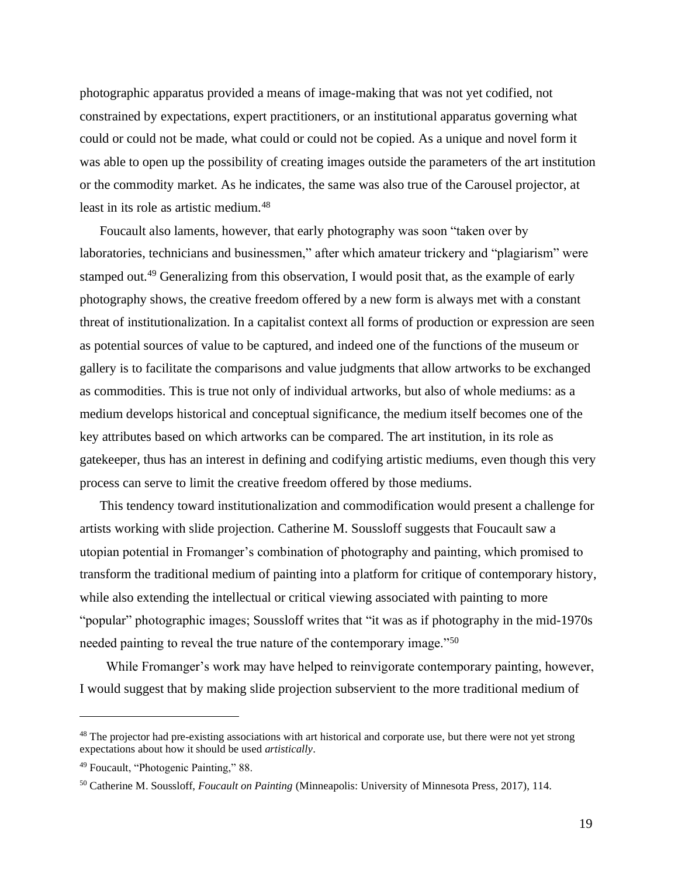photographic apparatus provided a means of image-making that was not yet codified, not constrained by expectations, expert practitioners, or an institutional apparatus governing what could or could not be made, what could or could not be copied. As a unique and novel form it was able to open up the possibility of creating images outside the parameters of the art institution or the commodity market. As he indicates, the same was also true of the Carousel projector, at least in its role as artistic medium.<sup>48</sup>

Foucault also laments, however, that early photography was soon "taken over by laboratories, technicians and businessmen," after which amateur trickery and "plagiarism" were stamped out.<sup>49</sup> Generalizing from this observation, I would posit that, as the example of early photography shows, the creative freedom offered by a new form is always met with a constant threat of institutionalization. In a capitalist context all forms of production or expression are seen as potential sources of value to be captured, and indeed one of the functions of the museum or gallery is to facilitate the comparisons and value judgments that allow artworks to be exchanged as commodities. This is true not only of individual artworks, but also of whole mediums: as a medium develops historical and conceptual significance, the medium itself becomes one of the key attributes based on which artworks can be compared. The art institution, in its role as gatekeeper, thus has an interest in defining and codifying artistic mediums, even though this very process can serve to limit the creative freedom offered by those mediums.

This tendency toward institutionalization and commodification would present a challenge for artists working with slide projection. Catherine M. Soussloff suggests that Foucault saw a utopian potential in Fromanger's combination of photography and painting, which promised to transform the traditional medium of painting into a platform for critique of contemporary history, while also extending the intellectual or critical viewing associated with painting to more "popular" photographic images; Soussloff writes that "it was as if photography in the mid-1970s needed painting to reveal the true nature of the contemporary image."<sup>50</sup>

While Fromanger's work may have helped to reinvigorate contemporary painting, however, I would suggest that by making slide projection subservient to the more traditional medium of

<sup>&</sup>lt;sup>48</sup> The projector had pre-existing associations with art historical and corporate use, but there were not yet strong expectations about how it should be used *artistically*.

<sup>49</sup> Foucault, "Photogenic Painting," 88.

<sup>50</sup> Catherine M. Soussloff, *Foucault on Painting* (Minneapolis: University of Minnesota Press, 2017), 114.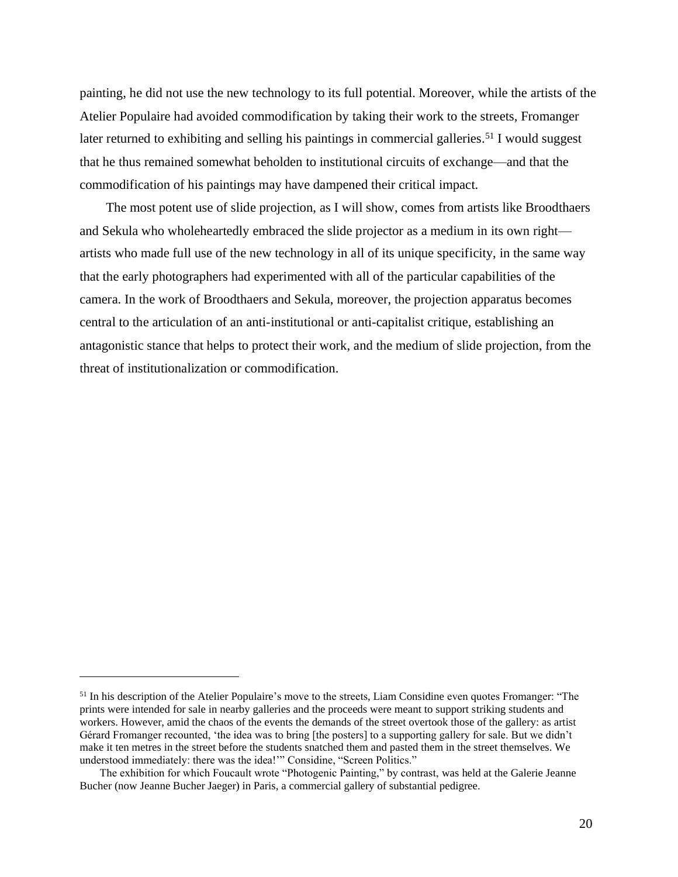painting, he did not use the new technology to its full potential. Moreover, while the artists of the Atelier Populaire had avoided commodification by taking their work to the streets, Fromanger later returned to exhibiting and selling his paintings in commercial galleries.<sup>51</sup> I would suggest that he thus remained somewhat beholden to institutional circuits of exchange—and that the commodification of his paintings may have dampened their critical impact.

The most potent use of slide projection, as I will show, comes from artists like Broodthaers and Sekula who wholeheartedly embraced the slide projector as a medium in its own right artists who made full use of the new technology in all of its unique specificity, in the same way that the early photographers had experimented with all of the particular capabilities of the camera. In the work of Broodthaers and Sekula, moreover, the projection apparatus becomes central to the articulation of an anti-institutional or anti-capitalist critique, establishing an antagonistic stance that helps to protect their work, and the medium of slide projection, from the threat of institutionalization or commodification.

<sup>&</sup>lt;sup>51</sup> In his description of the Atelier Populaire's move to the streets, Liam Considine even quotes Fromanger: "The prints were intended for sale in nearby galleries and the proceeds were meant to support striking students and workers. However, amid the chaos of the events the demands of the street overtook those of the gallery: as artist Gérard Fromanger recounted, 'the idea was to bring [the posters] to a supporting gallery for sale. But we didn't make it ten metres in the street before the students snatched them and pasted them in the street themselves. We understood immediately: there was the idea!'" Considine, "Screen Politics."

The exhibition for which Foucault wrote "Photogenic Painting," by contrast, was held at the Galerie Jeanne Bucher (now Jeanne Bucher Jaeger) in Paris, a commercial gallery of substantial pedigree.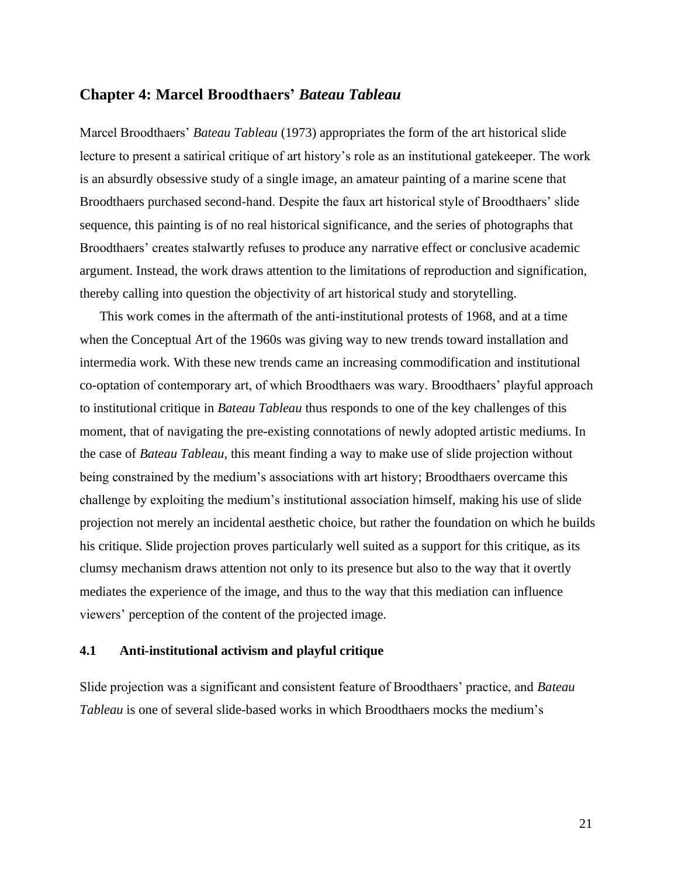## **Chapter 4: Marcel Broodthaers'** *Bateau Tableau*

Marcel Broodthaers' *Bateau Tableau* (1973) appropriates the form of the art historical slide lecture to present a satirical critique of art history's role as an institutional gatekeeper. The work is an absurdly obsessive study of a single image, an amateur painting of a marine scene that Broodthaers purchased second-hand. Despite the faux art historical style of Broodthaers' slide sequence, this painting is of no real historical significance, and the series of photographs that Broodthaers' creates stalwartly refuses to produce any narrative effect or conclusive academic argument. Instead, the work draws attention to the limitations of reproduction and signification, thereby calling into question the objectivity of art historical study and storytelling.

This work comes in the aftermath of the anti-institutional protests of 1968, and at a time when the Conceptual Art of the 1960s was giving way to new trends toward installation and intermedia work. With these new trends came an increasing commodification and institutional co-optation of contemporary art, of which Broodthaers was wary. Broodthaers' playful approach to institutional critique in *Bateau Tableau* thus responds to one of the key challenges of this moment, that of navigating the pre-existing connotations of newly adopted artistic mediums. In the case of *Bateau Tableau*, this meant finding a way to make use of slide projection without being constrained by the medium's associations with art history; Broodthaers overcame this challenge by exploiting the medium's institutional association himself, making his use of slide projection not merely an incidental aesthetic choice, but rather the foundation on which he builds his critique. Slide projection proves particularly well suited as a support for this critique, as its clumsy mechanism draws attention not only to its presence but also to the way that it overtly mediates the experience of the image, and thus to the way that this mediation can influence viewers' perception of the content of the projected image.

### **4.1 Anti-institutional activism and playful critique**

Slide projection was a significant and consistent feature of Broodthaers' practice, and *Bateau Tableau* is one of several slide-based works in which Broodthaers mocks the medium's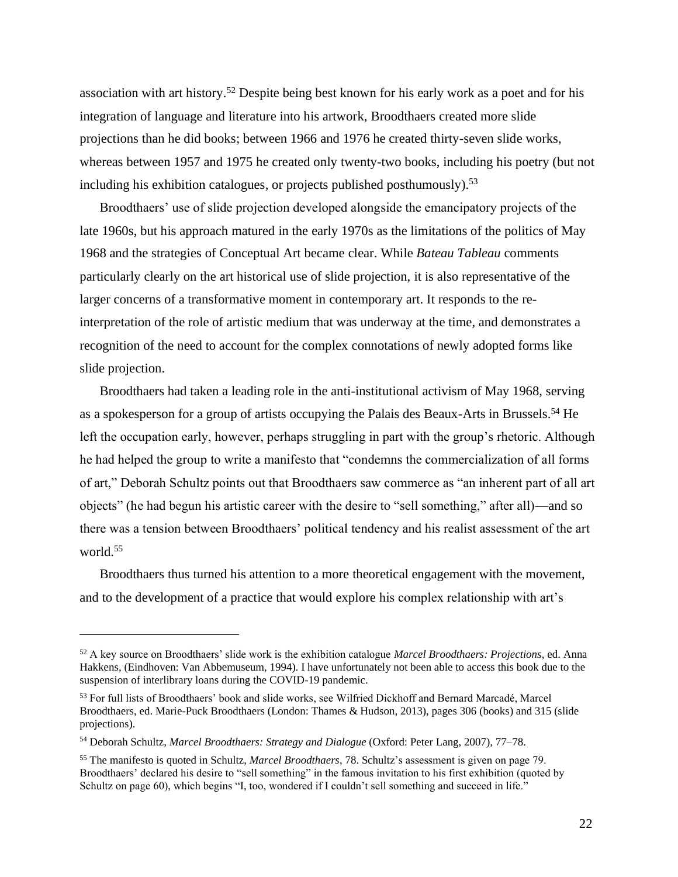association with art history. <sup>52</sup> Despite being best known for his early work as a poet and for his integration of language and literature into his artwork, Broodthaers created more slide projections than he did books; between 1966 and 1976 he created thirty-seven slide works, whereas between 1957 and 1975 he created only twenty-two books, including his poetry (but not including his exhibition catalogues, or projects published posthumously).<sup>53</sup>

Broodthaers' use of slide projection developed alongside the emancipatory projects of the late 1960s, but his approach matured in the early 1970s as the limitations of the politics of May 1968 and the strategies of Conceptual Art became clear. While *Bateau Tableau* comments particularly clearly on the art historical use of slide projection, it is also representative of the larger concerns of a transformative moment in contemporary art. It responds to the reinterpretation of the role of artistic medium that was underway at the time, and demonstrates a recognition of the need to account for the complex connotations of newly adopted forms like slide projection.

Broodthaers had taken a leading role in the anti-institutional activism of May 1968, serving as a spokesperson for a group of artists occupying the Palais des Beaux-Arts in Brussels.<sup>54</sup> He left the occupation early, however, perhaps struggling in part with the group's rhetoric. Although he had helped the group to write a manifesto that "condemns the commercialization of all forms of art," Deborah Schultz points out that Broodthaers saw commerce as "an inherent part of all art objects" (he had begun his artistic career with the desire to "sell something," after all)—and so there was a tension between Broodthaers' political tendency and his realist assessment of the art world.<sup>55</sup>

Broodthaers thus turned his attention to a more theoretical engagement with the movement, and to the development of a practice that would explore his complex relationship with art's

<sup>52</sup> A key source on Broodthaers' slide work is the exhibition catalogue *Marcel Broodthaers: Projections*, ed. Anna Hakkens, (Eindhoven: Van Abbemuseum, 1994). I have unfortunately not been able to access this book due to the suspension of interlibrary loans during the COVID-19 pandemic.

<sup>53</sup> For full lists of Broodthaers' book and slide works, see Wilfried Dickhoff and Bernard Marcadé, Marcel Broodthaers, ed. Marie-Puck Broodthaers (London: Thames & Hudson, 2013), pages 306 (books) and 315 (slide projections).

<sup>54</sup> Deborah Schultz, *Marcel Broodthaers: Strategy and Dialogue* (Oxford: Peter Lang, 2007), 77–78.

<sup>55</sup> The manifesto is quoted in Schultz, *Marcel Broodthaers*, 78. Schultz's assessment is given on page 79. Broodthaers' declared his desire to "sell something" in the famous invitation to his first exhibition (quoted by Schultz on page 60), which begins "I, too, wondered if I couldn't sell something and succeed in life."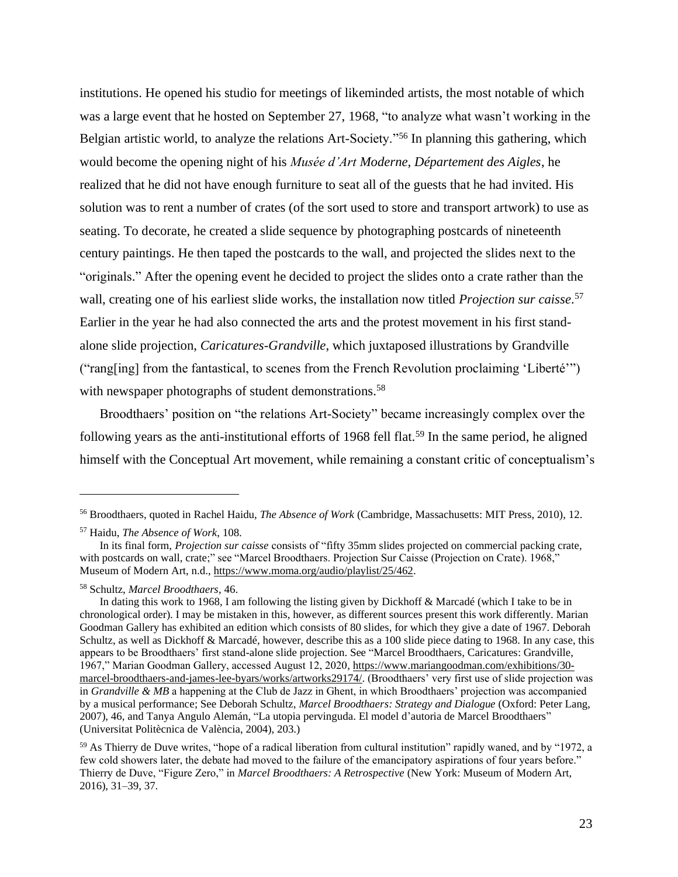institutions. He opened his studio for meetings of likeminded artists, the most notable of which was a large event that he hosted on September 27, 1968, "to analyze what wasn't working in the Belgian artistic world, to analyze the relations Art-Society."<sup>56</sup> In planning this gathering, which would become the opening night of his *Musée d'Art Moderne, Département des Aigles*, he realized that he did not have enough furniture to seat all of the guests that he had invited. His solution was to rent a number of crates (of the sort used to store and transport artwork) to use as seating. To decorate, he created a slide sequence by photographing postcards of nineteenth century paintings. He then taped the postcards to the wall, and projected the slides next to the "originals." After the opening event he decided to project the slides onto a crate rather than the wall, creating one of his earliest slide works, the installation now titled *Projection sur caisse*. 57 Earlier in the year he had also connected the arts and the protest movement in his first standalone slide projection, *Caricatures-Grandville*, which juxtaposed illustrations by Grandville ("rang[ing] from the fantastical, to scenes from the French Revolution proclaiming 'Liberté'") with newspaper photographs of student demonstrations.<sup>58</sup>

Broodthaers' position on "the relations Art-Society" became increasingly complex over the following years as the anti-institutional efforts of 1968 fell flat.<sup>59</sup> In the same period, he aligned himself with the Conceptual Art movement, while remaining a constant critic of conceptualism's

<sup>56</sup> Broodthaers, quoted in Rachel Haidu, *The Absence of Work* (Cambridge, Massachusetts: MIT Press, 2010), 12.

<sup>57</sup> Haidu, *The Absence of Work*, 108.

In its final form, *Projection sur caisse* consists of "fifty 35mm slides projected on commercial packing crate, with postcards on wall, crate;" see "Marcel Broodthaers. Projection Sur Caisse (Projection on Crate). 1968," Museum of Modern Art, n.d., [https://www.moma.org/audio/playlist/25/462.](https://www.moma.org/audio/playlist/25/462)

<sup>58</sup> Schultz, *Marcel Broodthaers*, 46.

In dating this work to 1968, I am following the listing given by Dickhoff & Marcadé (which I take to be in chronological order). I may be mistaken in this, however, as different sources present this work differently. Marian Goodman Gallery has exhibited an edition which consists of 80 slides, for which they give a date of 1967. Deborah Schultz, as well as Dickhoff & Marcadé, however, describe this as a 100 slide piece dating to 1968. In any case, this appears to be Broodthaers' first stand-alone slide projection. See "Marcel Broodthaers, Caricatures: Grandville, 1967," Marian Goodman Gallery, accessed August 12, 2020[, https://www.mariangoodman.com/exhibitions/30](https://www.mariangoodman.com/exhibitions/30-marcel-broodthaers-and-james-lee-byars/works/artworks29174/) [marcel-broodthaers-and-james-lee-byars/works/artworks29174/.](https://www.mariangoodman.com/exhibitions/30-marcel-broodthaers-and-james-lee-byars/works/artworks29174/) (Broodthaers' very first use of slide projection was in *Grandville & MB* a happening at the Club de Jazz in Ghent, in which Broodthaers' projection was accompanied by a musical performance; See Deborah Schultz, *Marcel Broodthaers: Strategy and Dialogue* (Oxford: Peter Lang, 2007), 46, and Tanya Angulo Alemán, "La utopia pervinguda. El model d'autoria de Marcel Broodthaers" (Universitat Politècnica de València, 2004), 203.)

<sup>59</sup> As Thierry de Duve writes, "hope of a radical liberation from cultural institution" rapidly waned, and by "1972, a few cold showers later, the debate had moved to the failure of the emancipatory aspirations of four years before." Thierry de Duve, "Figure Zero," in *Marcel Broodthaers: A Retrospective* (New York: Museum of Modern Art, 2016), 31–39, 37.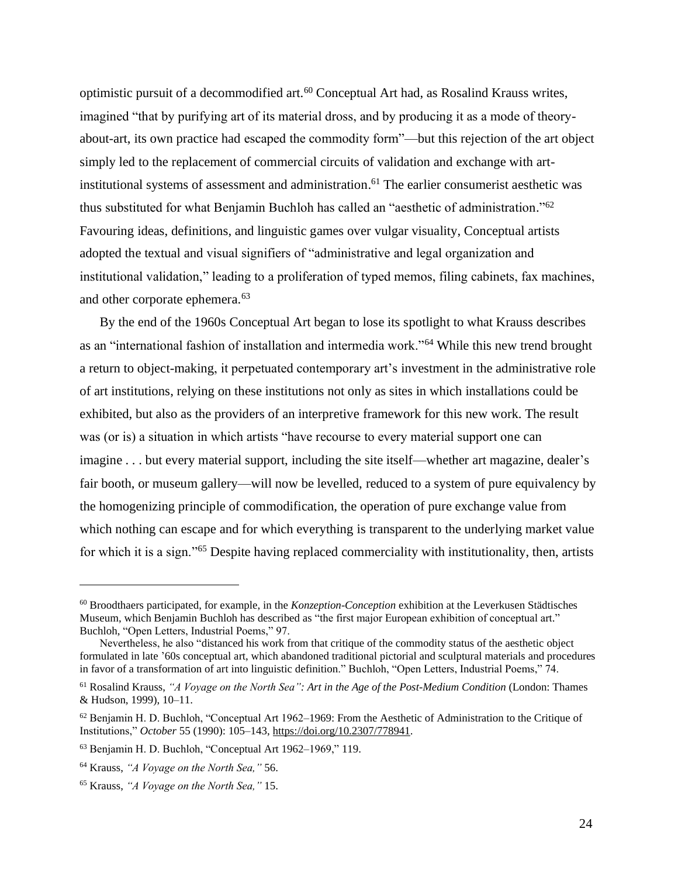optimistic pursuit of a decommodified art.<sup>60</sup> Conceptual Art had, as Rosalind Krauss writes, imagined "that by purifying art of its material dross, and by producing it as a mode of theoryabout-art, its own practice had escaped the commodity form"—but this rejection of the art object simply led to the replacement of commercial circuits of validation and exchange with artinstitutional systems of assessment and administration. <sup>61</sup> The earlier consumerist aesthetic was thus substituted for what Benjamin Buchloh has called an "aesthetic of administration."<sup>62</sup> Favouring ideas, definitions, and linguistic games over vulgar visuality, Conceptual artists adopted the textual and visual signifiers of "administrative and legal organization and institutional validation," leading to a proliferation of typed memos, filing cabinets, fax machines, and other corporate ephemera.<sup>63</sup>

By the end of the 1960s Conceptual Art began to lose its spotlight to what Krauss describes as an "international fashion of installation and intermedia work."<sup>64</sup> While this new trend brought a return to object-making, it perpetuated contemporary art's investment in the administrative role of art institutions, relying on these institutions not only as sites in which installations could be exhibited, but also as the providers of an interpretive framework for this new work. The result was (or is) a situation in which artists "have recourse to every material support one can imagine . . . but every material support, including the site itself—whether art magazine, dealer's fair booth, or museum gallery—will now be levelled, reduced to a system of pure equivalency by the homogenizing principle of commodification, the operation of pure exchange value from which nothing can escape and for which everything is transparent to the underlying market value for which it is a sign."<sup>65</sup> Despite having replaced commerciality with institutionality, then, artists

<sup>60</sup> Broodthaers participated, for example, in the *Konzeption-Conception* exhibition at the Leverkusen Städtisches Museum, which Benjamin Buchloh has described as "the first major European exhibition of conceptual art." Buchloh, "Open Letters, Industrial Poems," 97.

Nevertheless, he also "distanced his work from that critique of the commodity status of the aesthetic object formulated in late '60s conceptual art, which abandoned traditional pictorial and sculptural materials and procedures in favor of a transformation of art into linguistic definition." Buchloh, "Open Letters, Industrial Poems," 74.

<sup>61</sup> Rosalind Krauss, *"A Voyage on the North Sea": Art in the Age of the Post-Medium Condition* (London: Thames & Hudson, 1999), 10–11.

 $62$  Benjamin H. D. Buchloh, "Conceptual Art 1962–1969: From the Aesthetic of Administration to the Critique of Institutions," *October* 55 (1990): 105–143, [https://doi.org/10.2307/778941.](https://doi.org/10.2307/778941)

<sup>63</sup> Benjamin H. D. Buchloh, "Conceptual Art 1962–1969," 119.

<sup>64</sup> Krauss, *"A Voyage on the North Sea,"* 56.

<sup>65</sup> Krauss, *"A Voyage on the North Sea,"* 15.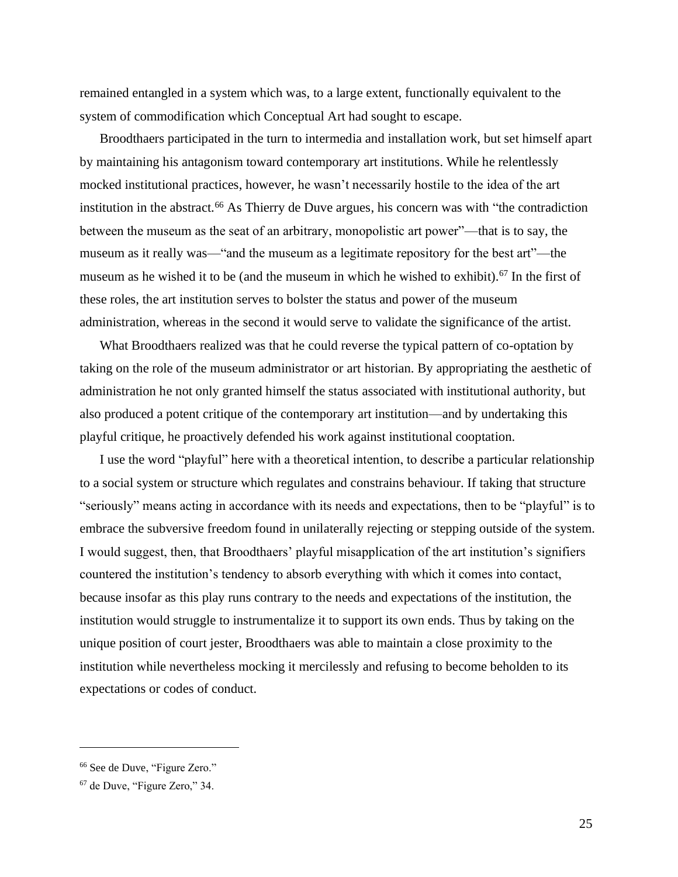remained entangled in a system which was, to a large extent, functionally equivalent to the system of commodification which Conceptual Art had sought to escape.

Broodthaers participated in the turn to intermedia and installation work, but set himself apart by maintaining his antagonism toward contemporary art institutions. While he relentlessly mocked institutional practices, however, he wasn't necessarily hostile to the idea of the art institution in the abstract.<sup>66</sup> As Thierry de Duve argues, his concern was with "the contradiction between the museum as the seat of an arbitrary, monopolistic art power"—that is to say, the museum as it really was—"and the museum as a legitimate repository for the best art"—the museum as he wished it to be (and the museum in which he wished to exhibit).<sup>67</sup> In the first of these roles, the art institution serves to bolster the status and power of the museum administration, whereas in the second it would serve to validate the significance of the artist.

What Broodthaers realized was that he could reverse the typical pattern of co-optation by taking on the role of the museum administrator or art historian. By appropriating the aesthetic of administration he not only granted himself the status associated with institutional authority, but also produced a potent critique of the contemporary art institution—and by undertaking this playful critique, he proactively defended his work against institutional cooptation.

I use the word "playful" here with a theoretical intention, to describe a particular relationship to a social system or structure which regulates and constrains behaviour. If taking that structure "seriously" means acting in accordance with its needs and expectations, then to be "playful" is to embrace the subversive freedom found in unilaterally rejecting or stepping outside of the system. I would suggest, then, that Broodthaers' playful misapplication of the art institution's signifiers countered the institution's tendency to absorb everything with which it comes into contact, because insofar as this play runs contrary to the needs and expectations of the institution, the institution would struggle to instrumentalize it to support its own ends. Thus by taking on the unique position of court jester, Broodthaers was able to maintain a close proximity to the institution while nevertheless mocking it mercilessly and refusing to become beholden to its expectations or codes of conduct.

<sup>66</sup> See de Duve, "Figure Zero."

<sup>67</sup> de Duve, "Figure Zero," 34.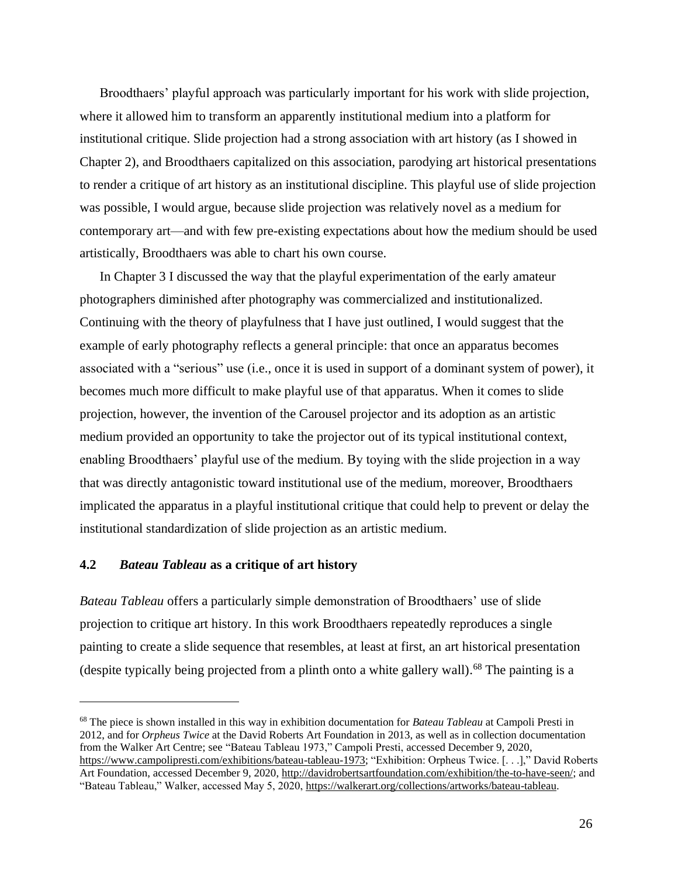Broodthaers' playful approach was particularly important for his work with slide projection, where it allowed him to transform an apparently institutional medium into a platform for institutional critique. Slide projection had a strong association with art history (as I showed in Chapter 2), and Broodthaers capitalized on this association, parodying art historical presentations to render a critique of art history as an institutional discipline. This playful use of slide projection was possible, I would argue, because slide projection was relatively novel as a medium for contemporary art—and with few pre-existing expectations about how the medium should be used artistically, Broodthaers was able to chart his own course.

In Chapter 3 I discussed the way that the playful experimentation of the early amateur photographers diminished after photography was commercialized and institutionalized. Continuing with the theory of playfulness that I have just outlined, I would suggest that the example of early photography reflects a general principle: that once an apparatus becomes associated with a "serious" use (i.e., once it is used in support of a dominant system of power), it becomes much more difficult to make playful use of that apparatus. When it comes to slide projection, however, the invention of the Carousel projector and its adoption as an artistic medium provided an opportunity to take the projector out of its typical institutional context, enabling Broodthaers' playful use of the medium. By toying with the slide projection in a way that was directly antagonistic toward institutional use of the medium, moreover, Broodthaers implicated the apparatus in a playful institutional critique that could help to prevent or delay the institutional standardization of slide projection as an artistic medium.

#### **4.2** *Bateau Tableau* **as a critique of art history**

*Bateau Tableau* offers a particularly simple demonstration of Broodthaers' use of slide projection to critique art history. In this work Broodthaers repeatedly reproduces a single painting to create a slide sequence that resembles, at least at first, an art historical presentation (despite typically being projected from a plinth onto a white gallery wall). <sup>68</sup> The painting is a

<sup>68</sup> The piece is shown installed in this way in exhibition documentation for *Bateau Tableau* at Campoli Presti in 2012, and for *Orpheus Twice* at the David Roberts Art Foundation in 2013, as well as in collection documentation from the Walker Art Centre; see "Bateau Tableau 1973," Campoli Presti, accessed December 9, 2020, [https://www.campolipresti.com/exhibitions/bateau-tableau-1973;](https://www.campolipresti.com/exhibitions/bateau-tableau-1973) "Exhibition: Orpheus Twice. [. . .]," David Roberts Art Foundation, accessed December 9, 2020[, http://davidrobertsartfoundation.com/exhibition/the-to-have-seen/;](http://davidrobertsartfoundation.com/exhibition/the-to-have-seen/) and "Bateau Tableau," Walker, accessed May 5, 2020, [https://walkerart.org/collections/artworks/bateau-tableau.](https://walkerart.org/collections/artworks/bateau-tableau)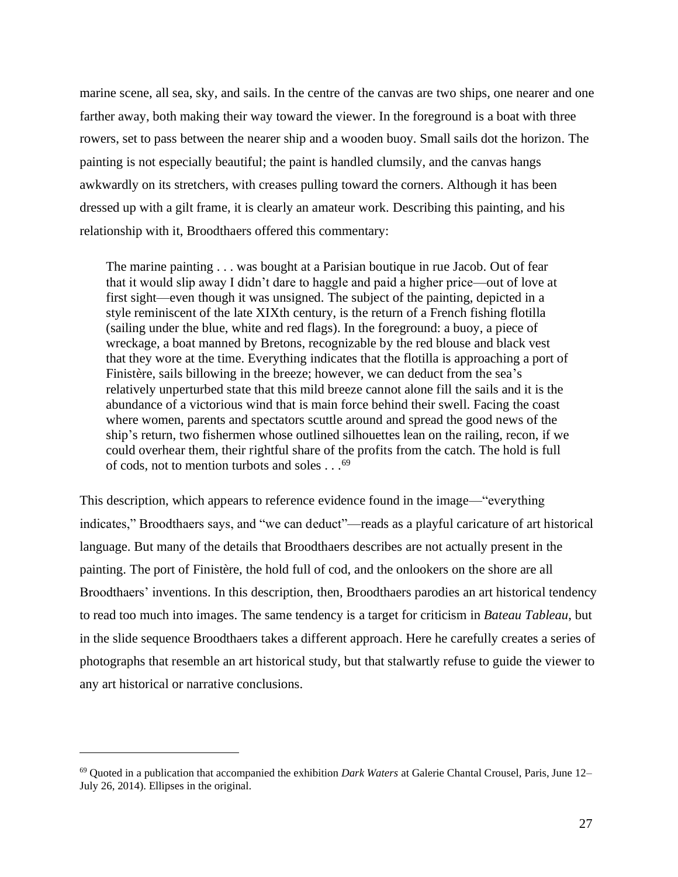marine scene, all sea, sky, and sails. In the centre of the canvas are two ships, one nearer and one farther away, both making their way toward the viewer. In the foreground is a boat with three rowers, set to pass between the nearer ship and a wooden buoy. Small sails dot the horizon. The painting is not especially beautiful; the paint is handled clumsily, and the canvas hangs awkwardly on its stretchers, with creases pulling toward the corners. Although it has been dressed up with a gilt frame, it is clearly an amateur work. Describing this painting, and his relationship with it, Broodthaers offered this commentary:

The marine painting . . . was bought at a Parisian boutique in rue Jacob. Out of fear that it would slip away I didn't dare to haggle and paid a higher price—out of love at first sight—even though it was unsigned. The subject of the painting, depicted in a style reminiscent of the late XIXth century, is the return of a French fishing flotilla (sailing under the blue, white and red flags). In the foreground: a buoy, a piece of wreckage, a boat manned by Bretons, recognizable by the red blouse and black vest that they wore at the time. Everything indicates that the flotilla is approaching a port of Finistère, sails billowing in the breeze; however, we can deduct from the sea's relatively unperturbed state that this mild breeze cannot alone fill the sails and it is the abundance of a victorious wind that is main force behind their swell. Facing the coast where women, parents and spectators scuttle around and spread the good news of the ship's return, two fishermen whose outlined silhouettes lean on the railing, recon, if we could overhear them, their rightful share of the profits from the catch. The hold is full of cods, not to mention turbots and soles . . . <sup>69</sup>

This description, which appears to reference evidence found in the image—"everything indicates," Broodthaers says, and "we can deduct"—reads as a playful caricature of art historical language. But many of the details that Broodthaers describes are not actually present in the painting. The port of Finistère, the hold full of cod, and the onlookers on the shore are all Broodthaers' inventions. In this description, then, Broodthaers parodies an art historical tendency to read too much into images. The same tendency is a target for criticism in *Bateau Tableau*, but in the slide sequence Broodthaers takes a different approach. Here he carefully creates a series of photographs that resemble an art historical study, but that stalwartly refuse to guide the viewer to any art historical or narrative conclusions.

<sup>69</sup> Quoted in a publication that accompanied the exhibition *Dark Waters* at Galerie Chantal Crousel, Paris, June 12– July 26, 2014). Ellipses in the original.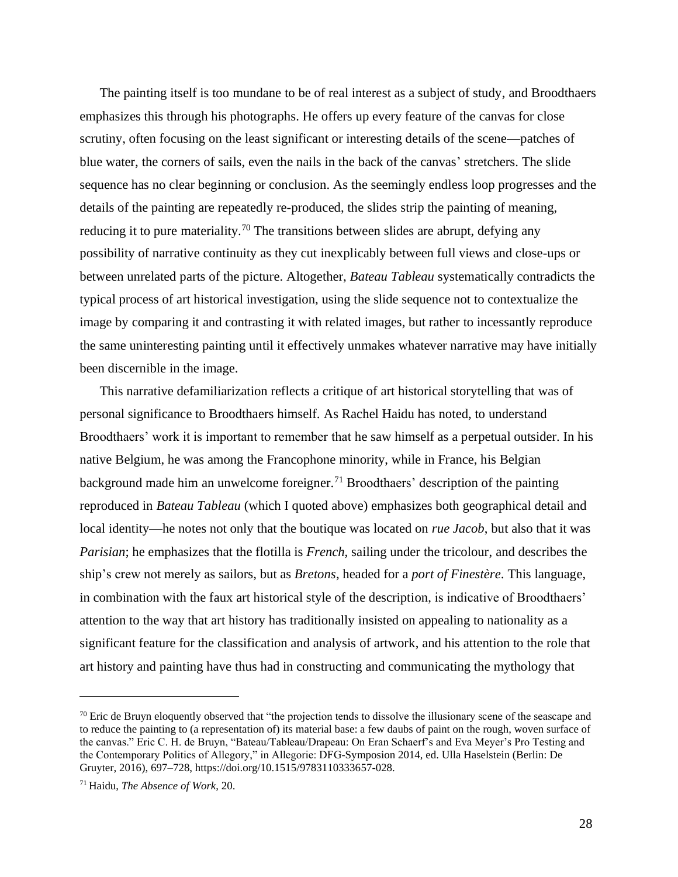The painting itself is too mundane to be of real interest as a subject of study, and Broodthaers emphasizes this through his photographs. He offers up every feature of the canvas for close scrutiny, often focusing on the least significant or interesting details of the scene—patches of blue water, the corners of sails, even the nails in the back of the canvas' stretchers. The slide sequence has no clear beginning or conclusion. As the seemingly endless loop progresses and the details of the painting are repeatedly re-produced, the slides strip the painting of meaning, reducing it to pure materiality.<sup>70</sup> The transitions between slides are abrupt, defying any possibility of narrative continuity as they cut inexplicably between full views and close-ups or between unrelated parts of the picture. Altogether, *Bateau Tableau* systematically contradicts the typical process of art historical investigation, using the slide sequence not to contextualize the image by comparing it and contrasting it with related images, but rather to incessantly reproduce the same uninteresting painting until it effectively unmakes whatever narrative may have initially been discernible in the image.

This narrative defamiliarization reflects a critique of art historical storytelling that was of personal significance to Broodthaers himself. As Rachel Haidu has noted, to understand Broodthaers' work it is important to remember that he saw himself as a perpetual outsider. In his native Belgium, he was among the Francophone minority, while in France, his Belgian background made him an unwelcome foreigner.<sup>71</sup> Broodthaers' description of the painting reproduced in *Bateau Tableau* (which I quoted above) emphasizes both geographical detail and local identity—he notes not only that the boutique was located on *rue Jacob*, but also that it was *Parisian*; he emphasizes that the flotilla is *French*, sailing under the tricolour, and describes the ship's crew not merely as sailors, but as *Bretons*, headed for a *port of Finestère*. This language, in combination with the faux art historical style of the description, is indicative of Broodthaers' attention to the way that art history has traditionally insisted on appealing to nationality as a significant feature for the classification and analysis of artwork, and his attention to the role that art history and painting have thus had in constructing and communicating the mythology that

 $70$  Eric de Bruyn eloquently observed that "the projection tends to dissolve the illusionary scene of the seascape and to reduce the painting to (a representation of) its material base: a few daubs of paint on the rough, woven surface of the canvas." Eric C. H. de Bruyn, "Bateau/Tableau/Drapeau: On Eran Schaerf's and Eva Meyer's Pro Testing and the Contemporary Politics of Allegory," in Allegorie: DFG-Symposion 2014, ed. Ulla Haselstein (Berlin: De Gruyter, 2016), 697–728, [https://doi.org/10.1515/9783110333657-028.](https://doi.org/10.1515/9783110333657-028)

<sup>71</sup> Haidu, *The Absence of Work*, 20.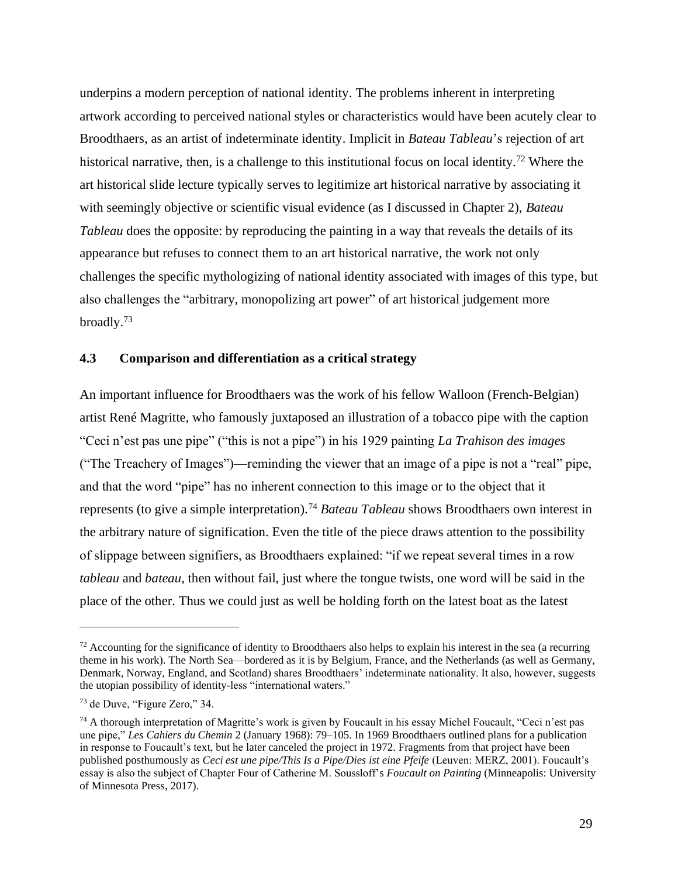underpins a modern perception of national identity. The problems inherent in interpreting artwork according to perceived national styles or characteristics would have been acutely clear to Broodthaers, as an artist of indeterminate identity. Implicit in *Bateau Tableau*'s rejection of art historical narrative, then, is a challenge to this institutional focus on local identity.<sup>72</sup> Where the art historical slide lecture typically serves to legitimize art historical narrative by associating it with seemingly objective or scientific visual evidence (as I discussed in Chapter 2), *Bateau Tableau* does the opposite: by reproducing the painting in a way that reveals the details of its appearance but refuses to connect them to an art historical narrative, the work not only challenges the specific mythologizing of national identity associated with images of this type, but also challenges the "arbitrary, monopolizing art power" of art historical judgement more broadly.<sup>73</sup>

### **4.3 Comparison and differentiation as a critical strategy**

An important influence for Broodthaers was the work of his fellow Walloon (French-Belgian) artist René Magritte, who famously juxtaposed an illustration of a tobacco pipe with the caption "Ceci n'est pas une pipe" ("this is not a pipe") in his 1929 painting *La Trahison des images*  ("The Treachery of Images")—reminding the viewer that an image of a pipe is not a "real" pipe, and that the word "pipe" has no inherent connection to this image or to the object that it represents (to give a simple interpretation).<sup>74</sup> *Bateau Tableau* shows Broodthaers own interest in the arbitrary nature of signification. Even the title of the piece draws attention to the possibility of slippage between signifiers, as Broodthaers explained: "if we repeat several times in a row *tableau* and *bateau*, then without fail, just where the tongue twists, one word will be said in the place of the other. Thus we could just as well be holding forth on the latest boat as the latest

 $72$  Accounting for the significance of identity to Broodthaers also helps to explain his interest in the sea (a recurring theme in his work). The North Sea—bordered as it is by Belgium, France, and the Netherlands (as well as Germany, Denmark, Norway, England, and Scotland) shares Broodthaers' indeterminate nationality. It also, however, suggests the utopian possibility of identity-less "international waters."

<sup>73</sup> de Duve, "Figure Zero," 34.

<sup>74</sup> A thorough interpretation of Magritte's work is given by Foucault in his essay Michel Foucault, "Ceci n'est pas une pipe," *Les Cahiers du Chemin* 2 (January 1968): 79–105. In 1969 Broodthaers outlined plans for a publication in response to Foucault's text, but he later canceled the project in 1972. Fragments from that project have been published posthumously as *Ceci est une pipe/This Is a Pipe/Dies ist eine Pfeife* (Leuven: MERZ, 2001). Foucault's essay is also the subject of Chapter Four of Catherine M. Soussloff's *Foucault on Painting* (Minneapolis: University of Minnesota Press, 2017).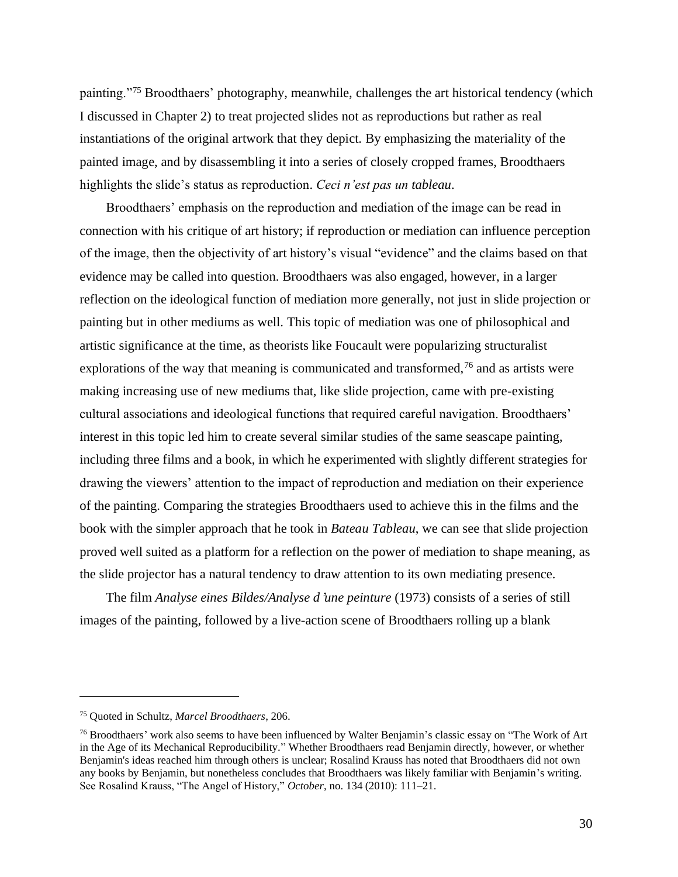painting."<sup>75</sup> Broodthaers' photography, meanwhile, challenges the art historical tendency (which I discussed in Chapter 2) to treat projected slides not as reproductions but rather as real instantiations of the original artwork that they depict. By emphasizing the materiality of the painted image, and by disassembling it into a series of closely cropped frames, Broodthaers highlights the slide's status as reproduction. *Ceci n'est pas un tableau*.

Broodthaers' emphasis on the reproduction and mediation of the image can be read in connection with his critique of art history; if reproduction or mediation can influence perception of the image, then the objectivity of art history's visual "evidence" and the claims based on that evidence may be called into question. Broodthaers was also engaged, however, in a larger reflection on the ideological function of mediation more generally, not just in slide projection or painting but in other mediums as well. This topic of mediation was one of philosophical and artistic significance at the time, as theorists like Foucault were popularizing structuralist explorations of the way that meaning is communicated and transformed,<sup>76</sup> and as artists were making increasing use of new mediums that, like slide projection, came with pre-existing cultural associations and ideological functions that required careful navigation. Broodthaers' interest in this topic led him to create several similar studies of the same seascape painting, including three films and a book, in which he experimented with slightly different strategies for drawing the viewers' attention to the impact of reproduction and mediation on their experience of the painting. Comparing the strategies Broodthaers used to achieve this in the films and the book with the simpler approach that he took in *Bateau Tableau*, we can see that slide projection proved well suited as a platform for a reflection on the power of mediation to shape meaning, as the slide projector has a natural tendency to draw attention to its own mediating presence.

The film *Analyse eines Bildes/Analyse d*'*une peinture* (1973) consists of a series of still images of the painting, followed by a live-action scene of Broodthaers rolling up a blank

<sup>75</sup> Quoted in Schultz, *Marcel Broodthaers*, 206.

<sup>&</sup>lt;sup>76</sup> Broodthaers' work also seems to have been influenced by Walter Benjamin's classic essay on "The Work of Art in the Age of its Mechanical Reproducibility." Whether Broodthaers read Benjamin directly, however, or whether Benjamin's ideas reached him through others is unclear; Rosalind Krauss has noted that Broodthaers did not own any books by Benjamin, but nonetheless concludes that Broodthaers was likely familiar with Benjamin's writing. See Rosalind Krauss, "The Angel of History," *October*, no. 134 (2010): 111–21.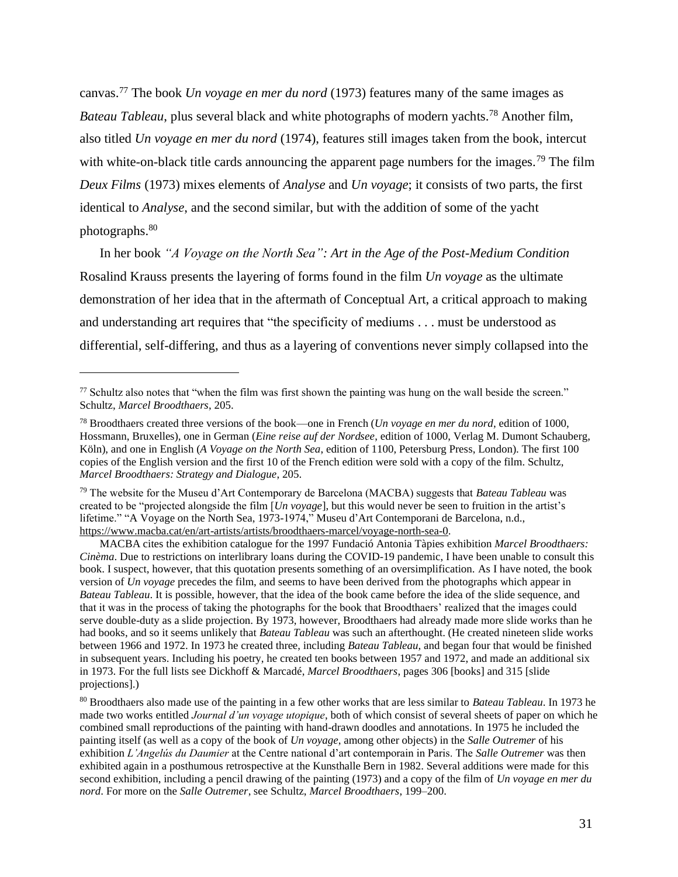canvas.<sup>77</sup> The book *Un voyage en mer du nord* (1973) features many of the same images as *Bateau Tableau*, plus several black and white photographs of modern yachts.<sup>78</sup> Another film, also titled *Un voyage en mer du nord* (1974), features still images taken from the book, intercut with white-on-black title cards announcing the apparent page numbers for the images.<sup>79</sup> The film *Deux Films* (1973) mixes elements of *Analyse* and *Un voyage*; it consists of two parts, the first identical to *Analyse*, and the second similar, but with the addition of some of the yacht photographs.<sup>80</sup>

In her book *"A Voyage on the North Sea": Art in the Age of the Post-Medium Condition* Rosalind Krauss presents the layering of forms found in the film *Un voyage* as the ultimate demonstration of her idea that in the aftermath of Conceptual Art, a critical approach to making and understanding art requires that "the specificity of mediums . . . must be understood as differential, self-differing, and thus as a layering of conventions never simply collapsed into the

MACBA cites the exhibition catalogue for the 1997 Fundació Antonia Tàpies exhibition *Marcel Broodthaers: Cinèma*. Due to restrictions on interlibrary loans during the COVID-19 pandemic, I have been unable to consult this book. I suspect, however, that this quotation presents something of an oversimplification. As I have noted, the book version of *Un voyage* precedes the film, and seems to have been derived from the photographs which appear in *Bateau Tableau*. It is possible, however, that the idea of the book came before the idea of the slide sequence, and that it was in the process of taking the photographs for the book that Broodthaers' realized that the images could serve double-duty as a slide projection. By 1973, however, Broodthaers had already made more slide works than he had books, and so it seems unlikely that *Bateau Tableau* was such an afterthought. (He created nineteen slide works between 1966 and 1972. In 1973 he created three, including *Bateau Tableau*, and began four that would be finished in subsequent years. Including his poetry, he created ten books between 1957 and 1972, and made an additional six in 1973. For the full lists see Dickhoff & Marcadé, *Marcel Broodthaers*, pages 306 [books] and 315 [slide projections].)

<sup>80</sup> Broodthaers also made use of the painting in a few other works that are less similar to *Bateau Tableau*. In 1973 he made two works entitled *Journal d'un voyage utopique*, both of which consist of several sheets of paper on which he combined small reproductions of the painting with hand-drawn doodles and annotations. In 1975 he included the painting itself (as well as a copy of the book of *Un voyage*, among other objects) in the *Salle Outremer* of his exhibition *L'Angelús du Daumier* at the Centre national d'art contemporain in Paris. The *Salle Outremer* was then exhibited again in a posthumous retrospective at the Kunsthalle Bern in 1982. Several additions were made for this second exhibition, including a pencil drawing of the painting (1973) and a copy of the film of *Un voyage en mer du nord*. For more on the *Salle Outremer*, see Schultz, *Marcel Broodthaers*, 199–200.

 $77$  Schultz also notes that "when the film was first shown the painting was hung on the wall beside the screen." Schultz, *Marcel Broodthaers*, 205.

<sup>78</sup> Broodthaers created three versions of the book—one in French (*Un voyage en mer du nord*, edition of 1000, Hossmann, Bruxelles), one in German (*Eine reise auf der Nordsee*, edition of 1000, Verlag M. Dumont Schauberg, Köln), and one in English (*A Voyage on the North Sea*, edition of 1100, Petersburg Press, London). The first 100 copies of the English version and the first 10 of the French edition were sold with a copy of the film. Schultz, *Marcel Broodthaers: Strategy and Dialogue*, 205.

<sup>79</sup> The website for the Museu d'Art Contemporary de Barcelona (MACBA) suggests that *Bateau Tableau* was created to be "projected alongside the film [*Un voyage*], but this would never be seen to fruition in the artist's lifetime." "A Voyage on the North Sea, 1973-1974," Museu d 'Art Contemporani de Barcelona, n.d., [https://www.macba.cat/en/art-artists/artists/broodthaers-marcel/voyage-north-sea-0.](https://www.macba.cat/en/art-artists/artists/broodthaers-marcel/voyage-north-sea-0)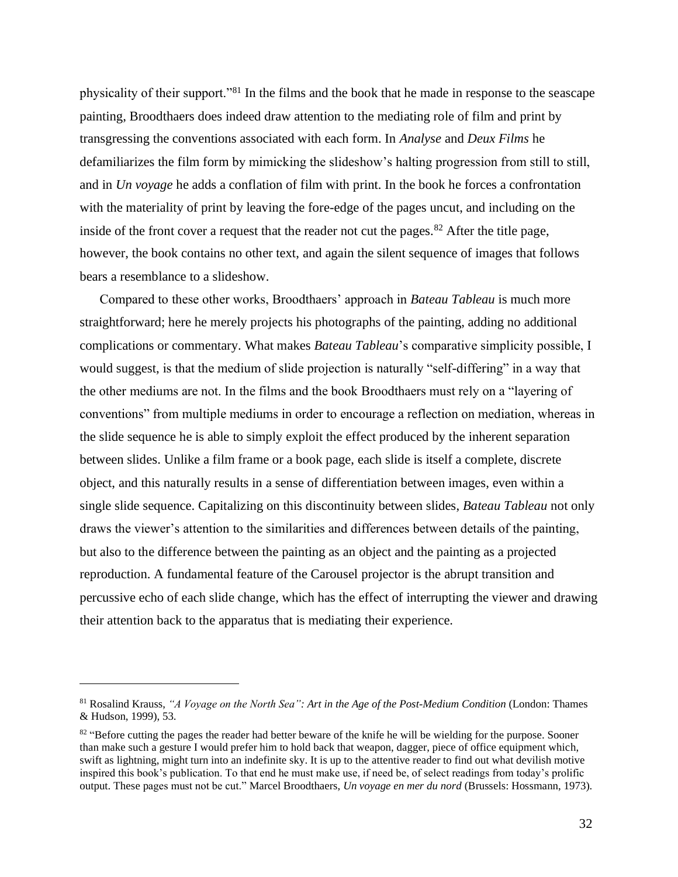physicality of their support."<sup>81</sup> In the films and the book that he made in response to the seascape painting, Broodthaers does indeed draw attention to the mediating role of film and print by transgressing the conventions associated with each form. In *Analyse* and *Deux Films* he defamiliarizes the film form by mimicking the slideshow's halting progression from still to still, and in *Un voyage* he adds a conflation of film with print. In the book he forces a confrontation with the materiality of print by leaving the fore-edge of the pages uncut, and including on the inside of the front cover a request that the reader not cut the pages.<sup>82</sup> After the title page, however, the book contains no other text, and again the silent sequence of images that follows bears a resemblance to a slideshow.

Compared to these other works, Broodthaers' approach in *Bateau Tableau* is much more straightforward; here he merely projects his photographs of the painting, adding no additional complications or commentary. What makes *Bateau Tableau*'s comparative simplicity possible, I would suggest, is that the medium of slide projection is naturally "self-differing" in a way that the other mediums are not. In the films and the book Broodthaers must rely on a "layering of conventions" from multiple mediums in order to encourage a reflection on mediation, whereas in the slide sequence he is able to simply exploit the effect produced by the inherent separation between slides. Unlike a film frame or a book page, each slide is itself a complete, discrete object, and this naturally results in a sense of differentiation between images, even within a single slide sequence. Capitalizing on this discontinuity between slides, *Bateau Tableau* not only draws the viewer's attention to the similarities and differences between details of the painting, but also to the difference between the painting as an object and the painting as a projected reproduction. A fundamental feature of the Carousel projector is the abrupt transition and percussive echo of each slide change, which has the effect of interrupting the viewer and drawing their attention back to the apparatus that is mediating their experience.

<sup>81</sup> Rosalind Krauss, *"A Voyage on the North Sea": Art in the Age of the Post-Medium Condition* (London: Thames & Hudson, 1999), 53.

 $82$  "Before cutting the pages the reader had better beware of the knife he will be wielding for the purpose. Sooner than make such a gesture I would prefer him to hold back that weapon, dagger, piece of office equipment which, swift as lightning, might turn into an indefinite sky. It is up to the attentive reader to find out what devilish motive inspired this book's publication. To that end he must make use, if need be, of select readings from today's prolific output. These pages must not be cut." Marcel Broodthaers, *Un voyage en mer du nord* (Brussels: Hossmann, 1973).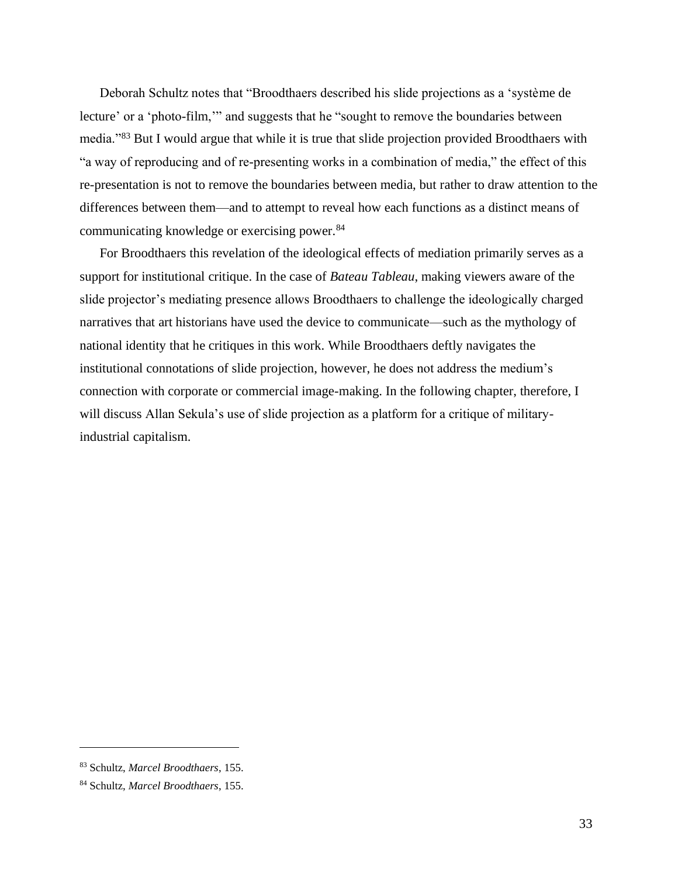Deborah Schultz notes that "Broodthaers described his slide projections as a 'système de lecture' or a 'photo-film,'" and suggests that he "sought to remove the boundaries between media."<sup>83</sup> But I would argue that while it is true that slide projection provided Broodthaers with "a way of reproducing and of re-presenting works in a combination of media," the effect of this re-presentation is not to remove the boundaries between media, but rather to draw attention to the differences between them—and to attempt to reveal how each functions as a distinct means of communicating knowledge or exercising power.<sup>84</sup>

For Broodthaers this revelation of the ideological effects of mediation primarily serves as a support for institutional critique. In the case of *Bateau Tableau*, making viewers aware of the slide projector's mediating presence allows Broodthaers to challenge the ideologically charged narratives that art historians have used the device to communicate—such as the mythology of national identity that he critiques in this work. While Broodthaers deftly navigates the institutional connotations of slide projection, however, he does not address the medium's connection with corporate or commercial image-making. In the following chapter, therefore, I will discuss Allan Sekula's use of slide projection as a platform for a critique of militaryindustrial capitalism.

<sup>83</sup> Schultz, *Marcel Broodthaers*, 155.

<sup>84</sup> Schultz, *Marcel Broodthaers*, 155.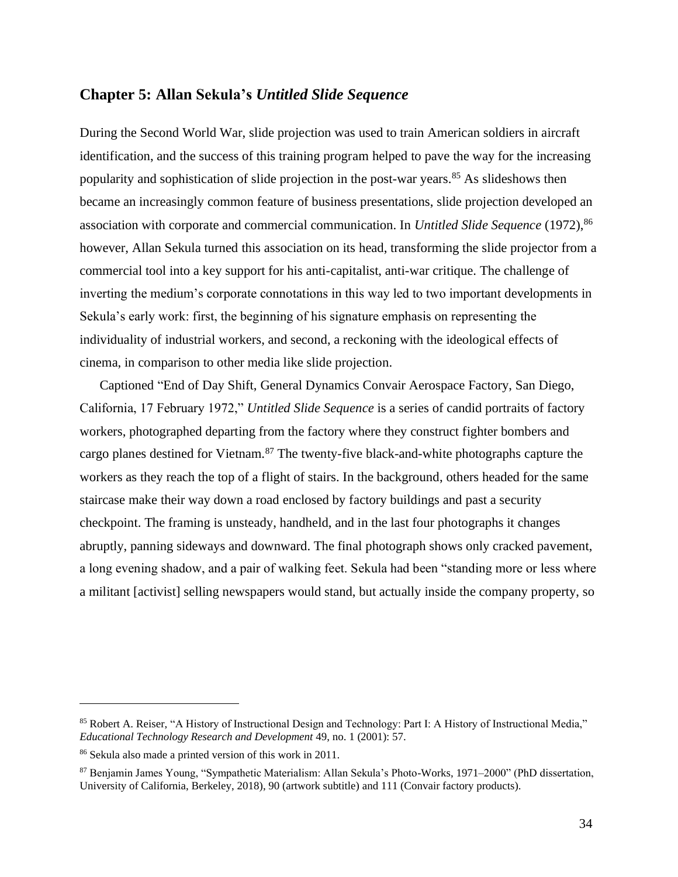#### **Chapter 5: Allan Sekula's** *Untitled Slide Sequence*

During the Second World War, slide projection was used to train American soldiers in aircraft identification, and the success of this training program helped to pave the way for the increasing popularity and sophistication of slide projection in the post-war years.<sup>85</sup> As slideshows then became an increasingly common feature of business presentations, slide projection developed an association with corporate and commercial communication. In *Untitled Slide Sequence* (1972), 86 however, Allan Sekula turned this association on its head, transforming the slide projector from a commercial tool into a key support for his anti-capitalist, anti-war critique. The challenge of inverting the medium's corporate connotations in this way led to two important developments in Sekula's early work: first, the beginning of his signature emphasis on representing the individuality of industrial workers, and second, a reckoning with the ideological effects of cinema, in comparison to other media like slide projection.

Captioned "End of Day Shift, General Dynamics Convair Aerospace Factory, San Diego, California, 17 February 1972," *Untitled Slide Sequence* is a series of candid portraits of factory workers, photographed departing from the factory where they construct fighter bombers and cargo planes destined for Vietnam.<sup>87</sup> The twenty-five black-and-white photographs capture the workers as they reach the top of a flight of stairs. In the background, others headed for the same staircase make their way down a road enclosed by factory buildings and past a security checkpoint. The framing is unsteady, handheld, and in the last four photographs it changes abruptly, panning sideways and downward. The final photograph shows only cracked pavement, a long evening shadow, and a pair of walking feet. Sekula had been "standing more or less where a militant [activist] selling newspapers would stand, but actually inside the company property, so

<sup>85</sup> Robert A. Reiser, "A History of Instructional Design and Technology: Part I: A History of Instructional Media," *Educational Technology Research and Development* 49, no. 1 (2001): 57.

<sup>86</sup> Sekula also made a printed version of this work in 2011.

<sup>87</sup> Benjamin James Young, "Sympathetic Materialism: Allan Sekula's Photo-Works, 1971–2000" (PhD dissertation, University of California, Berkeley, 2018), 90 (artwork subtitle) and 111 (Convair factory products).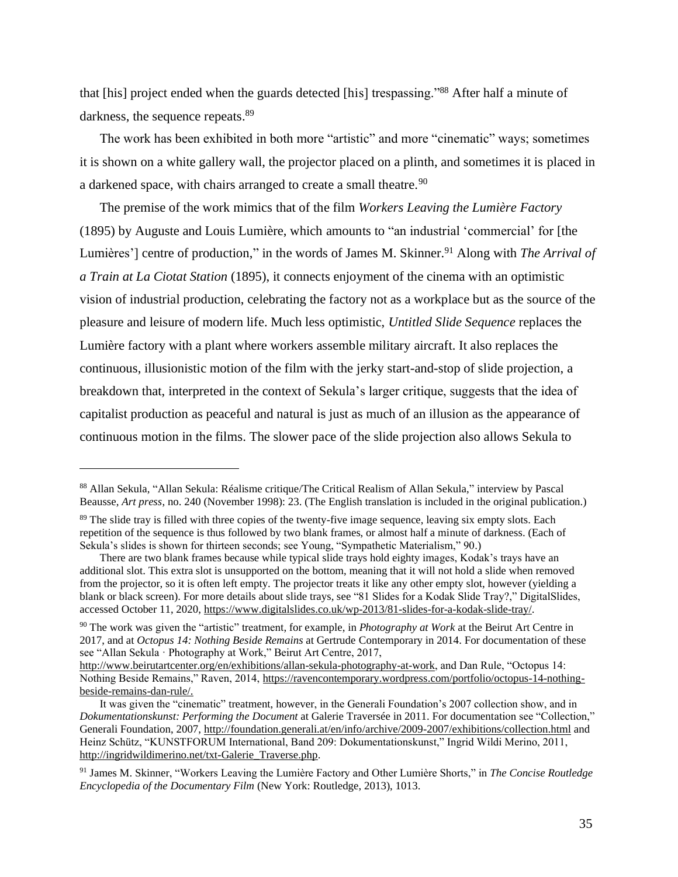that [his] project ended when the guards detected [his] trespassing."<sup>88</sup> After half a minute of darkness, the sequence repeats.<sup>89</sup>

The work has been exhibited in both more "artistic" and more "cinematic" ways; sometimes it is shown on a white gallery wall, the projector placed on a plinth, and sometimes it is placed in a darkened space, with chairs arranged to create a small theatre.<sup>90</sup>

The premise of the work mimics that of the film *Workers Leaving the Lumière Factory* (1895) by Auguste and Louis Lumière, which amounts to "an industrial 'commercial' for [the Lumières'] centre of production," in the words of James M. Skinner.<sup>91</sup> Along with *The Arrival of a Train at La Ciotat Station* (1895), it connects enjoyment of the cinema with an optimistic vision of industrial production, celebrating the factory not as a workplace but as the source of the pleasure and leisure of modern life. Much less optimistic, *Untitled Slide Sequence* replaces the Lumière factory with a plant where workers assemble military aircraft. It also replaces the continuous, illusionistic motion of the film with the jerky start-and-stop of slide projection, a breakdown that, interpreted in the context of Sekula's larger critique, suggests that the idea of capitalist production as peaceful and natural is just as much of an illusion as the appearance of continuous motion in the films. The slower pace of the slide projection also allows Sekula to

<sup>88</sup> Allan Sekula, "Allan Sekula: Réalisme critique/The Critical Realism of Allan Sekula," interview by Pascal Beausse, *Art press*, no. 240 (November 1998): 23. (The English translation is included in the original publication.)

<sup>&</sup>lt;sup>89</sup> The slide tray is filled with three copies of the twenty-five image sequence, leaving six empty slots. Each repetition of the sequence is thus followed by two blank frames, or almost half a minute of darkness. (Each of Sekula's slides is shown for thirteen seconds; see Young, "Sympathetic Materialism," 90.)

There are two blank frames because while typical slide trays hold eighty images, Kodak's trays have an additional slot. This extra slot is unsupported on the bottom, meaning that it will not hold a slide when removed from the projector, so it is often left empty. The projector treats it like any other empty slot, however (yielding a blank or black screen). For more details about slide trays, see "81 Slides for a Kodak Slide Tray?," DigitalSlides, accessed October 11, 2020, [https://www.digitalslides.co.uk/wp-2013/81-slides-for-a-kodak-slide-tray/.](https://www.digitalslides.co.uk/wp-2013/81-slides-for-a-kodak-slide-tray/)

<sup>90</sup> The work was given the "artistic" treatment, for example, in *Photography at Work* at the Beirut Art Centre in 2017, and at *Octopus 14: Nothing Beside Remains* at Gertrude Contemporary in 2014. For documentation of these see "Allan Sekula · Photography at Work," Beirut Art Centre, 2017,

[http://www.beirutartcenter.org/en/exhibitions/allan-sekula-photography-at-work,](http://www.beirutartcenter.org/en/exhibitions/allan-sekula-photography-at-work) and Dan Rule, "Octopus 14: Nothing Beside Remains," Raven, 2014, [https://ravencontemporary.wordpress.com/portfolio/octopus-14-nothing](https://ravencontemporary.wordpress.com/portfolio/octopus-14-nothing-beside-remains-dan-rule/)[beside-remains-dan-rule/.](https://ravencontemporary.wordpress.com/portfolio/octopus-14-nothing-beside-remains-dan-rule/)

It was given the "cinematic" treatment, however, in the Generali Foundation's 2007 collection show, and in *Dokumentationskunst: Performing the Document* at Galerie Traversée in 2011. For documentation see "Collection," Generali Foundation, 2007,<http://foundation.generali.at/en/info/archive/2009-2007/exhibitions/collection.html> and Heinz Schütz, "KUNSTFORUM International, Band 209: Dokumentationskunst," Ingrid Wildi Merino, 2011, [http://ingridwildimerino.net/txt-Galerie\\_Traverse.php.](http://ingridwildimerino.net/txt-Galerie_Traverse.php)

<sup>91</sup> James M. Skinner, "Workers Leaving the Lumière Factory and Other Lumière Shorts," in *The Concise Routledge Encyclopedia of the Documentary Film* (New York: Routledge, 2013), 1013.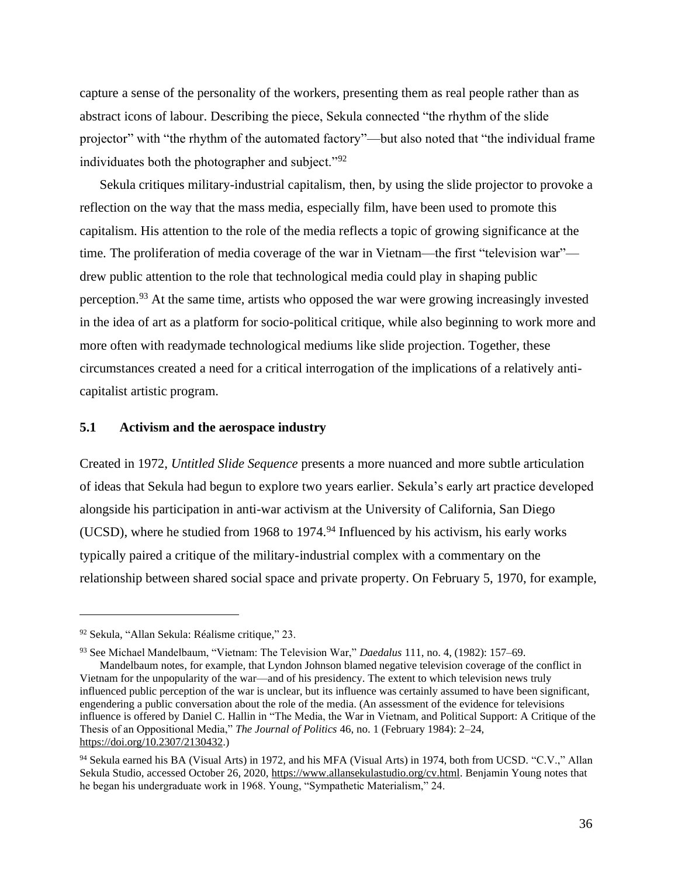capture a sense of the personality of the workers, presenting them as real people rather than as abstract icons of labour. Describing the piece, Sekula connected "the rhythm of the slide projector" with "the rhythm of the automated factory"—but also noted that "the individual frame individuates both the photographer and subject."92

Sekula critiques military-industrial capitalism, then, by using the slide projector to provoke a reflection on the way that the mass media, especially film, have been used to promote this capitalism. His attention to the role of the media reflects a topic of growing significance at the time. The proliferation of media coverage of the war in Vietnam—the first "television war" drew public attention to the role that technological media could play in shaping public perception.<sup>93</sup> At the same time, artists who opposed the war were growing increasingly invested in the idea of art as a platform for socio-political critique, while also beginning to work more and more often with readymade technological mediums like slide projection. Together, these circumstances created a need for a critical interrogation of the implications of a relatively anticapitalist artistic program.

## **5.1 Activism and the aerospace industry**

Created in 1972, *Untitled Slide Sequence* presents a more nuanced and more subtle articulation of ideas that Sekula had begun to explore two years earlier. Sekula's early art practice developed alongside his participation in anti-war activism at the University of California, San Diego (UCSD), where he studied from 1968 to 1974. $94$  Influenced by his activism, his early works typically paired a critique of the military-industrial complex with a commentary on the relationship between shared social space and private property. On February 5, 1970, for example,

<sup>93</sup> See Michael Mandelbaum, "Vietnam: The Television War," *Daedalus* 111, no. 4, (1982): 157–69.

Mandelbaum notes, for example, that Lyndon Johnson blamed negative television coverage of the conflict in Vietnam for the unpopularity of the war—and of his presidency. The extent to which television news truly influenced public perception of the war is unclear, but its influence was certainly assumed to have been significant, engendering a public conversation about the role of the media. (An assessment of the evidence for televisions influence is offered by Daniel C. Hallin in "The Media, the War in Vietnam, and Political Support: A Critique of the Thesis of an Oppositional Media," *The Journal of Politics* 46, no. 1 (February 1984): 2–24, [https://doi.org/10.2307/2130432.\)](https://doi.org/10.2307/2130432)

<sup>92</sup> Sekula, "Allan Sekula: Réalisme critique," 23.

<sup>94</sup> Sekula earned his BA (Visual Arts) in 1972, and his MFA (Visual Arts) in 1974, both from UCSD. "C.V.," Allan Sekula Studio, accessed October 26, 2020, [https://www.allansekulastudio.org/cv.html.](https://www.allansekulastudio.org/cv.html) Benjamin Young notes that he began his undergraduate work in 1968. Young, "Sympathetic Materialism," 24.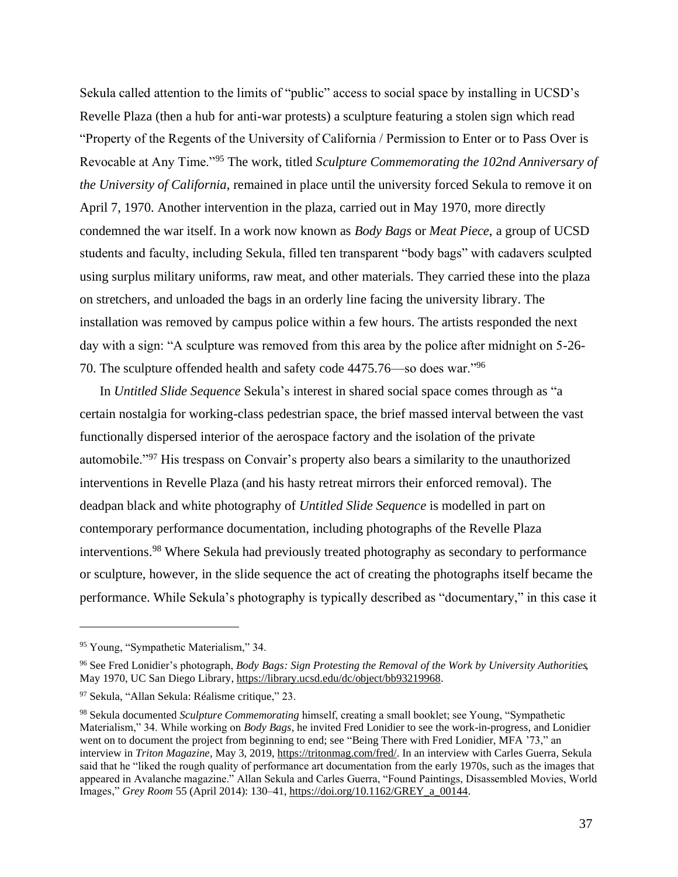Sekula called attention to the limits of "public" access to social space by installing in UCSD's Revelle Plaza (then a hub for anti-war protests) a sculpture featuring a stolen sign which read "Property of the Regents of the University of California / Permission to Enter or to Pass Over is Revocable at Any Time."<sup>95</sup> The work, titled *Sculpture Commemorating the 102nd Anniversary of the University of California*, remained in place until the university forced Sekula to remove it on April 7, 1970. Another intervention in the plaza, carried out in May 1970, more directly condemned the war itself. In a work now known as *Body Bags* or *Meat Piece*, a group of UCSD students and faculty, including Sekula, filled ten transparent "body bags" with cadavers sculpted using surplus military uniforms, raw meat, and other materials. They carried these into the plaza on stretchers, and unloaded the bags in an orderly line facing the university library. The installation was removed by campus police within a few hours. The artists responded the next day with a sign: "A sculpture was removed from this area by the police after midnight on 5-26- 70. The sculpture offended health and safety code 4475.76—so does war."<sup>96</sup>

In *Untitled Slide Sequence* Sekula's interest in shared social space comes through as "a certain nostalgia for working-class pedestrian space, the brief massed interval between the vast functionally dispersed interior of the aerospace factory and the isolation of the private automobile."<sup>97</sup> His trespass on Convair's property also bears a similarity to the unauthorized interventions in Revelle Plaza (and his hasty retreat mirrors their enforced removal). The deadpan black and white photography of *Untitled Slide Sequence* is modelled in part on contemporary performance documentation, including photographs of the Revelle Plaza interventions.<sup>98</sup> Where Sekula had previously treated photography as secondary to performance or sculpture, however, in the slide sequence the act of creating the photographs itself became the performance. While Sekula's photography is typically described as "documentary," in this case it

<sup>95</sup> Young, "Sympathetic Materialism," 34.

<sup>96</sup> See Fred Lonidier's photograph, *Body Bags: Sign Protesting the Removal of the Work by University Authorities*, May 1970, UC San Diego Library[, https://library.ucsd.edu/dc/object/bb93219968.](https://library.ucsd.edu/dc/object/bb93219968)

<sup>97</sup> Sekula, "Allan Sekula: Réalisme critique," 23.

<sup>98</sup> Sekula documented *Sculpture Commemorating* himself, creating a small booklet; see Young, "Sympathetic Materialism," 34. While working on *Body Bags*, he invited Fred Lonidier to see the work-in-progress, and Lonidier went on to document the project from beginning to end; see "Being There with Fred Lonidier, MFA '73," an interview in *Triton Magazine*, May 3, 2019[, https://tritonmag.com/fred/.](https://tritonmag.com/fred/) In an interview with Carles Guerra, Sekula said that he "liked the rough quality of performance art documentation from the early 1970s, such as the images that appeared in Avalanche magazine." Allan Sekula and Carles Guerra, "Found Paintings, Disassembled Movies, World Images," *Grey Room* 55 (April 2014): 130–41[, https://doi.org/10.1162/GREY\\_a\\_00144.](https://doi.org/10.1162/GREY_a_00144)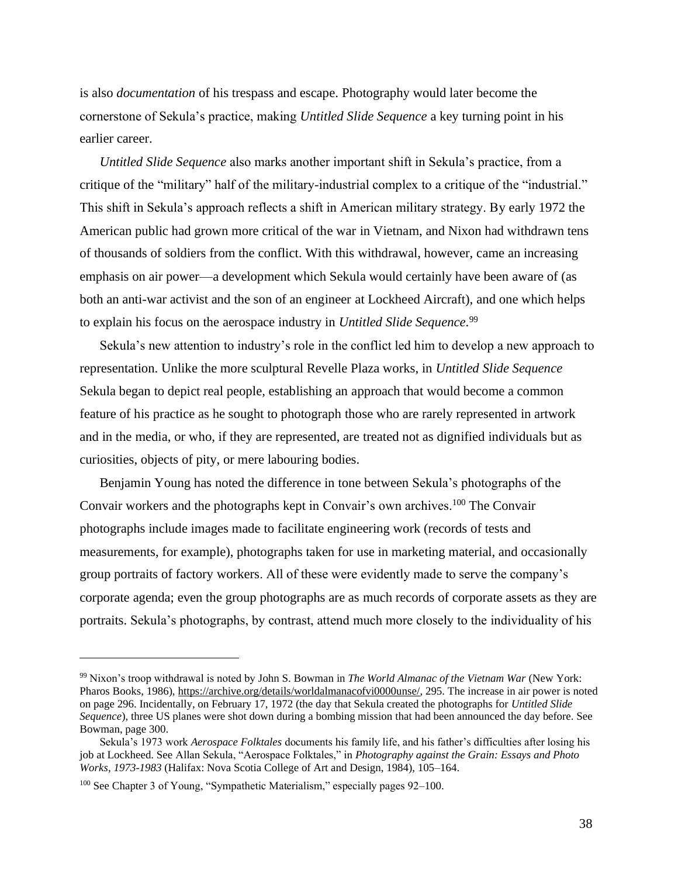is also *documentation* of his trespass and escape. Photography would later become the cornerstone of Sekula's practice, making *Untitled Slide Sequence* a key turning point in his earlier career.

*Untitled Slide Sequence* also marks another important shift in Sekula's practice, from a critique of the "military" half of the military-industrial complex to a critique of the "industrial." This shift in Sekula's approach reflects a shift in American military strategy. By early 1972 the American public had grown more critical of the war in Vietnam, and Nixon had withdrawn tens of thousands of soldiers from the conflict. With this withdrawal, however, came an increasing emphasis on air power—a development which Sekula would certainly have been aware of (as both an anti-war activist and the son of an engineer at Lockheed Aircraft), and one which helps to explain his focus on the aerospace industry in *Untitled Slide Sequence*. 99

Sekula's new attention to industry's role in the conflict led him to develop a new approach to representation. Unlike the more sculptural Revelle Plaza works, in *Untitled Slide Sequence* Sekula began to depict real people, establishing an approach that would become a common feature of his practice as he sought to photograph those who are rarely represented in artwork and in the media, or who, if they are represented, are treated not as dignified individuals but as curiosities, objects of pity, or mere labouring bodies.

Benjamin Young has noted the difference in tone between Sekula's photographs of the Convair workers and the photographs kept in Convair's own archives.<sup>100</sup> The Convair photographs include images made to facilitate engineering work (records of tests and measurements, for example), photographs taken for use in marketing material, and occasionally group portraits of factory workers. All of these were evidently made to serve the company's corporate agenda; even the group photographs are as much records of corporate assets as they are portraits. Sekula's photographs, by contrast, attend much more closely to the individuality of his

<sup>99</sup> Nixon's troop withdrawal is noted by John S. Bowman in *The World Almanac of the Vietnam War* (New York: Pharos Books, 1986)[, https://archive.org/details/worldalmanacofvi0000unse/,](https://archive.org/details/worldalmanacofvi0000unse/) 295. The increase in air power is noted on page 296. Incidentally, on February 17, 1972 (the day that Sekula created the photographs for *Untitled Slide Sequence*), three US planes were shot down during a bombing mission that had been announced the day before. See Bowman, page 300.

Sekula's 1973 work *Aerospace Folktales* documents his family life, and his father's difficulties after losing his job at Lockheed. See Allan Sekula, "Aerospace Folktales," in *Photography against the Grain: Essays and Photo Works, 1973-1983* (Halifax: Nova Scotia College of Art and Design, 1984), 105–164.

<sup>&</sup>lt;sup>100</sup> See Chapter 3 of Young, "Sympathetic Materialism," especially pages 92–100.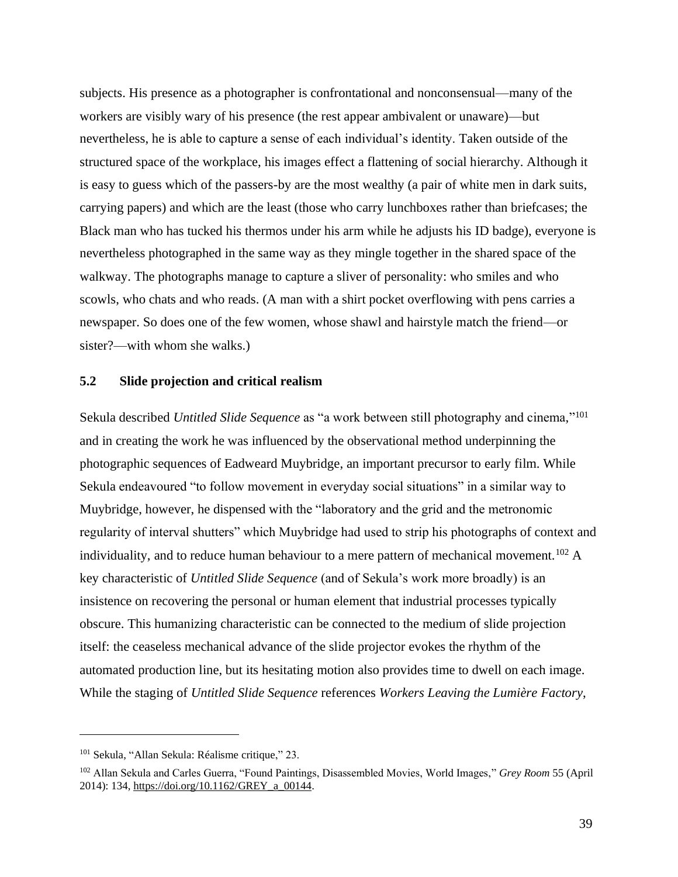subjects. His presence as a photographer is confrontational and nonconsensual—many of the workers are visibly wary of his presence (the rest appear ambivalent or unaware)—but nevertheless, he is able to capture a sense of each individual's identity. Taken outside of the structured space of the workplace, his images effect a flattening of social hierarchy. Although it is easy to guess which of the passers-by are the most wealthy (a pair of white men in dark suits, carrying papers) and which are the least (those who carry lunchboxes rather than briefcases; the Black man who has tucked his thermos under his arm while he adjusts his ID badge), everyone is nevertheless photographed in the same way as they mingle together in the shared space of the walkway. The photographs manage to capture a sliver of personality: who smiles and who scowls, who chats and who reads. (A man with a shirt pocket overflowing with pens carries a newspaper. So does one of the few women, whose shawl and hairstyle match the friend—or sister?—with whom she walks.)

### **5.2 Slide projection and critical realism**

Sekula described *Untitled Slide Sequence* as "a work between still photography and cinema," 101 and in creating the work he was influenced by the observational method underpinning the photographic sequences of Eadweard Muybridge, an important precursor to early film. While Sekula endeavoured "to follow movement in everyday social situations" in a similar way to Muybridge, however, he dispensed with the "laboratory and the grid and the metronomic regularity of interval shutters" which Muybridge had used to strip his photographs of context and individuality, and to reduce human behaviour to a mere pattern of mechanical movement.<sup>102</sup> A key characteristic of *Untitled Slide Sequence* (and of Sekula's work more broadly) is an insistence on recovering the personal or human element that industrial processes typically obscure. This humanizing characteristic can be connected to the medium of slide projection itself: the ceaseless mechanical advance of the slide projector evokes the rhythm of the automated production line, but its hesitating motion also provides time to dwell on each image. While the staging of *Untitled Slide Sequence* references *Workers Leaving the Lumière Factory*,

<sup>&</sup>lt;sup>101</sup> Sekula, "Allan Sekula: Réalisme critique," 23.

<sup>102</sup> Allan Sekula and Carles Guerra, "Found Paintings, Disassembled Movies, World Images," *Grey Room* 55 (April 2014): 134[, https://doi.org/10.1162/GREY\\_a\\_00144.](https://doi.org/10.1162/GREY_a_00144)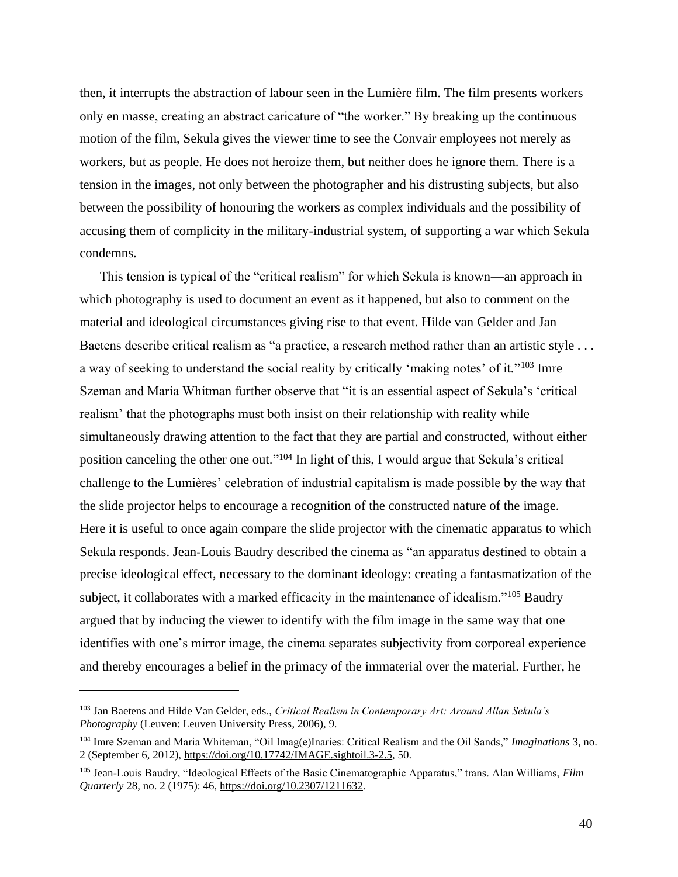then, it interrupts the abstraction of labour seen in the Lumière film. The film presents workers only en masse, creating an abstract caricature of "the worker." By breaking up the continuous motion of the film, Sekula gives the viewer time to see the Convair employees not merely as workers, but as people. He does not heroize them, but neither does he ignore them. There is a tension in the images, not only between the photographer and his distrusting subjects, but also between the possibility of honouring the workers as complex individuals and the possibility of accusing them of complicity in the military-industrial system, of supporting a war which Sekula condemns.

This tension is typical of the "critical realism" for which Sekula is known—an approach in which photography is used to document an event as it happened, but also to comment on the material and ideological circumstances giving rise to that event. Hilde van Gelder and Jan Baetens describe critical realism as "a practice, a research method rather than an artistic style . . . a way of seeking to understand the social reality by critically 'making notes' of it."<sup>103</sup> Imre Szeman and Maria Whitman further observe that "it is an essential aspect of Sekula's 'critical realism' that the photographs must both insist on their relationship with reality while simultaneously drawing attention to the fact that they are partial and constructed, without either position canceling the other one out."<sup>104</sup> In light of this, I would argue that Sekula's critical challenge to the Lumières' celebration of industrial capitalism is made possible by the way that the slide projector helps to encourage a recognition of the constructed nature of the image. Here it is useful to once again compare the slide projector with the cinematic apparatus to which Sekula responds. Jean-Louis Baudry described the cinema as "an apparatus destined to obtain a precise ideological effect, necessary to the dominant ideology: creating a fantasmatization of the subject, it collaborates with a marked efficacity in the maintenance of idealism."<sup>105</sup> Baudry argued that by inducing the viewer to identify with the film image in the same way that one identifies with one's mirror image, the cinema separates subjectivity from corporeal experience and thereby encourages a belief in the primacy of the immaterial over the material. Further, he

<sup>103</sup> Jan Baetens and Hilde Van Gelder, eds., *Critical Realism in Contemporary Art: Around Allan Sekula's Photography* (Leuven: Leuven University Press, 2006), 9.

<sup>104</sup> Imre Szeman and Maria Whiteman, "Oil Imag(e)Inaries: Critical Realism and the Oil Sands," *Imaginations* 3, no. 2 (September 6, 2012), [https://doi.org/10.17742/IMAGE.sightoil.3-2.5,](https://doi.org/10.17742/IMAGE.sightoil.3-2.5) 50.

<sup>105</sup> Jean-Louis Baudry, "Ideological Effects of the Basic Cinematographic Apparatus," trans. Alan Williams, *Film Quarterly* 28, no. 2 (1975): 46[, https://doi.org/10.2307/1211632.](https://doi.org/10.2307/1211632)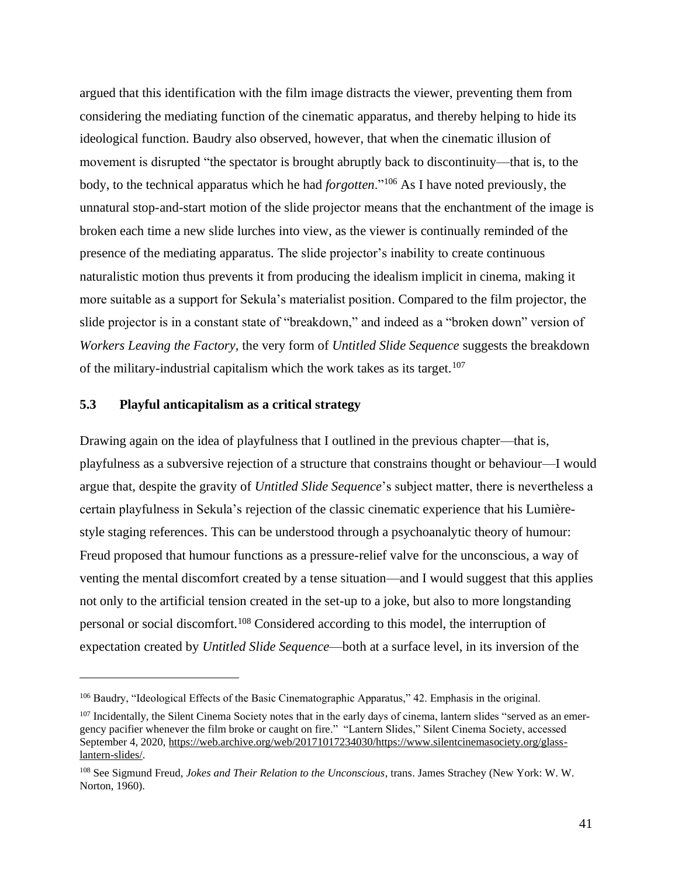argued that this identification with the film image distracts the viewer, preventing them from considering the mediating function of the cinematic apparatus, and thereby helping to hide its ideological function. Baudry also observed, however, that when the cinematic illusion of movement is disrupted "the spectator is brought abruptly back to discontinuity—that is, to the body, to the technical apparatus which he had *forgotten*."<sup>106</sup> As I have noted previously, the unnatural stop-and-start motion of the slide projector means that the enchantment of the image is broken each time a new slide lurches into view, as the viewer is continually reminded of the presence of the mediating apparatus. The slide projector's inability to create continuous naturalistic motion thus prevents it from producing the idealism implicit in cinema, making it more suitable as a support for Sekula's materialist position. Compared to the film projector, the slide projector is in a constant state of "breakdown," and indeed as a "broken down" version of *Workers Leaving the Factory,* the very form of *Untitled Slide Sequence* suggests the breakdown of the military-industrial capitalism which the work takes as its target.<sup>107</sup>

## **5.3 Playful anticapitalism as a critical strategy**

Drawing again on the idea of playfulness that I outlined in the previous chapter—that is, playfulness as a subversive rejection of a structure that constrains thought or behaviour—I would argue that, despite the gravity of *Untitled Slide Sequence*'s subject matter, there is nevertheless a certain playfulness in Sekula's rejection of the classic cinematic experience that his Lumièrestyle staging references. This can be understood through a psychoanalytic theory of humour: Freud proposed that humour functions as a pressure-relief valve for the unconscious, a way of venting the mental discomfort created by a tense situation—and I would suggest that this applies not only to the artificial tension created in the set-up to a joke, but also to more longstanding personal or social discomfort.<sup>108</sup> Considered according to this model, the interruption of expectation created by *Untitled Slide Sequence*—both at a surface level, in its inversion of the

<sup>106</sup> Baudry, "Ideological Effects of the Basic Cinematographic Apparatus," 42. Emphasis in the original.

 $107$  Incidentally, the Silent Cinema Society notes that in the early days of cinema, lantern slides "served as an emergency pacifier whenever the film broke or caught on fire." "Lantern Slides," Silent Cinema Society, accessed September 4, 2020, [https://web.archive.org/web/20171017234030/https://www.silentcinemasociety.org/glass](https://web.archive.org/web/20171017234030/https:/www.silentcinemasociety.org/glass-lantern-slides/)[lantern-slides/.](https://web.archive.org/web/20171017234030/https:/www.silentcinemasociety.org/glass-lantern-slides/)

<sup>108</sup> See Sigmund Freud, *Jokes and Their Relation to the Unconscious*, trans. James Strachey (New York: W. W. Norton, 1960).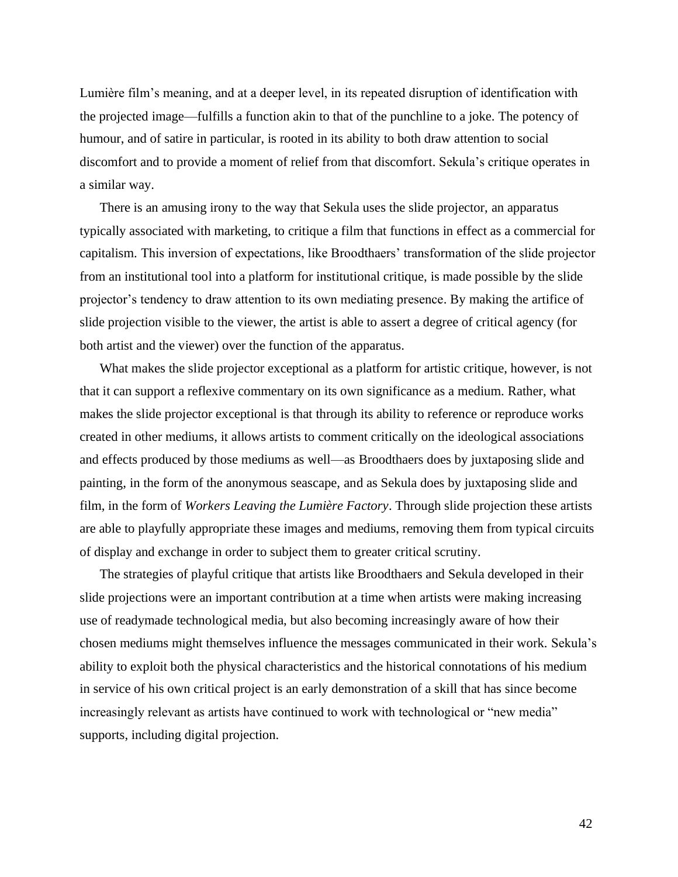Lumière film's meaning, and at a deeper level, in its repeated disruption of identification with the projected image—fulfills a function akin to that of the punchline to a joke. The potency of humour, and of satire in particular, is rooted in its ability to both draw attention to social discomfort and to provide a moment of relief from that discomfort. Sekula's critique operates in a similar way.

There is an amusing irony to the way that Sekula uses the slide projector, an apparatus typically associated with marketing, to critique a film that functions in effect as a commercial for capitalism. This inversion of expectations, like Broodthaers' transformation of the slide projector from an institutional tool into a platform for institutional critique, is made possible by the slide projector's tendency to draw attention to its own mediating presence. By making the artifice of slide projection visible to the viewer, the artist is able to assert a degree of critical agency (for both artist and the viewer) over the function of the apparatus.

What makes the slide projector exceptional as a platform for artistic critique, however, is not that it can support a reflexive commentary on its own significance as a medium. Rather, what makes the slide projector exceptional is that through its ability to reference or reproduce works created in other mediums, it allows artists to comment critically on the ideological associations and effects produced by those mediums as well—as Broodthaers does by juxtaposing slide and painting, in the form of the anonymous seascape, and as Sekula does by juxtaposing slide and film, in the form of *Workers Leaving the Lumière Factory*. Through slide projection these artists are able to playfully appropriate these images and mediums, removing them from typical circuits of display and exchange in order to subject them to greater critical scrutiny.

The strategies of playful critique that artists like Broodthaers and Sekula developed in their slide projections were an important contribution at a time when artists were making increasing use of readymade technological media, but also becoming increasingly aware of how their chosen mediums might themselves influence the messages communicated in their work. Sekula's ability to exploit both the physical characteristics and the historical connotations of his medium in service of his own critical project is an early demonstration of a skill that has since become increasingly relevant as artists have continued to work with technological or "new media" supports, including digital projection.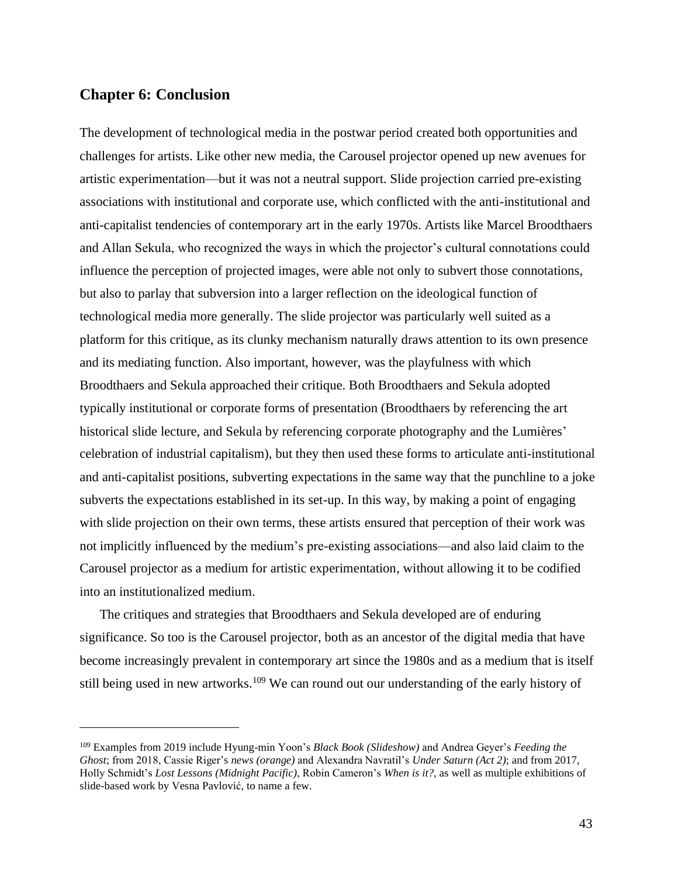## **Chapter 6: Conclusion**

The development of technological media in the postwar period created both opportunities and challenges for artists. Like other new media, the Carousel projector opened up new avenues for artistic experimentation—but it was not a neutral support. Slide projection carried pre-existing associations with institutional and corporate use, which conflicted with the anti-institutional and anti-capitalist tendencies of contemporary art in the early 1970s. Artists like Marcel Broodthaers and Allan Sekula, who recognized the ways in which the projector's cultural connotations could influence the perception of projected images, were able not only to subvert those connotations, but also to parlay that subversion into a larger reflection on the ideological function of technological media more generally. The slide projector was particularly well suited as a platform for this critique, as its clunky mechanism naturally draws attention to its own presence and its mediating function. Also important, however, was the playfulness with which Broodthaers and Sekula approached their critique. Both Broodthaers and Sekula adopted typically institutional or corporate forms of presentation (Broodthaers by referencing the art historical slide lecture, and Sekula by referencing corporate photography and the Lumières' celebration of industrial capitalism), but they then used these forms to articulate anti-institutional and anti-capitalist positions, subverting expectations in the same way that the punchline to a joke subverts the expectations established in its set-up. In this way, by making a point of engaging with slide projection on their own terms, these artists ensured that perception of their work was not implicitly influenced by the medium's pre-existing associations—and also laid claim to the Carousel projector as a medium for artistic experimentation, without allowing it to be codified into an institutionalized medium.

The critiques and strategies that Broodthaers and Sekula developed are of enduring significance. So too is the Carousel projector, both as an ancestor of the digital media that have become increasingly prevalent in contemporary art since the 1980s and as a medium that is itself still being used in new artworks.<sup>109</sup> We can round out our understanding of the early history of

<sup>109</sup> Examples from 2019 include Hyung-min Yoon's *Black Book (Slideshow)* and Andrea Geyer's *Feeding the Ghost*; from 2018, Cassie Riger's *news (orange)* and Alexandra Navratil's *Under Saturn (Act 2)*; and from 2017, Holly Schmidt's *Lost Lessons (Midnight Pacific)*, Robin Cameron's *When is it?*, as well as multiple exhibitions of slide-based work by Vesna Pavlović, to name a few.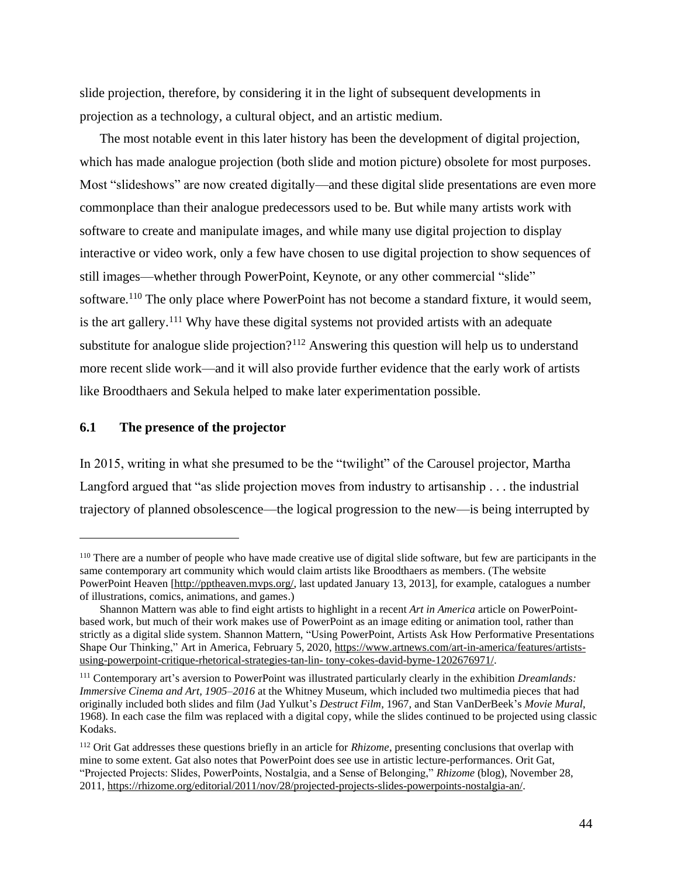slide projection, therefore, by considering it in the light of subsequent developments in projection as a technology, a cultural object, and an artistic medium.

The most notable event in this later history has been the development of digital projection, which has made analogue projection (both slide and motion picture) obsolete for most purposes. Most "slideshows" are now created digitally—and these digital slide presentations are even more commonplace than their analogue predecessors used to be. But while many artists work with software to create and manipulate images, and while many use digital projection to display interactive or video work, only a few have chosen to use digital projection to show sequences of still images—whether through PowerPoint, Keynote, or any other commercial "slide" software.<sup>110</sup> The only place where PowerPoint has not become a standard fixture, it would seem, is the art gallery.<sup>111</sup> Why have these digital systems not provided artists with an adequate substitute for analogue slide projection?<sup>112</sup> Answering this question will help us to understand more recent slide work—and it will also provide further evidence that the early work of artists like Broodthaers and Sekula helped to make later experimentation possible.

### **6.1 The presence of the projector**

In 2015, writing in what she presumed to be the "twilight" of the Carousel projector, Martha Langford argued that "as slide projection moves from industry to artisanship . . . the industrial trajectory of planned obsolescence—the logical progression to the new—is being interrupted by

<sup>110</sup> There are a number of people who have made creative use of digital slide software, but few are participants in the same contemporary art community which would claim artists like Broodthaers as members. (The website PowerPoint Heaven [\[http://pptheaven.mvps.org/,](http://pptheaven.mvps.org/) last updated January 13, 2013], for example, catalogues a number of illustrations, comics, animations, and games.)

Shannon Mattern was able to find eight artists to highlight in a recent *Art in America* article on PowerPointbased work, but much of their work makes use of PowerPoint as an image editing or animation tool, rather than strictly as a digital slide system. Shannon Mattern, "Using PowerPoint, Artists Ask How Performative Presentations Shape Our Thinking," Art in America, February 5, 2020, [https://www.artnews.com/art-in-america/features/artists](https://www.artnews.com/art-in-america/features/artists-using-powerpoint-critique-rhetorical-strategies-tan-lin-%20tony-cokes-david-byrne-1202676971/)[using-powerpoint-critique-rhetorical-strategies-tan-lin-](https://www.artnews.com/art-in-america/features/artists-using-powerpoint-critique-rhetorical-strategies-tan-lin-%20tony-cokes-david-byrne-1202676971/) tony-cokes-david-byrne-1202676971/.

<sup>111</sup> Contemporary art's aversion to PowerPoint was illustrated particularly clearly in the exhibition *Dreamlands: Immersive Cinema and Art, 1905–2016* at the Whitney Museum, which included two multimedia pieces that had originally included both slides and film (Jad Yulkut's *Destruct Film*, 1967, and Stan VanDerBeek's *Movie Mural*, 1968). In each case the film was replaced with a digital copy, while the slides continued to be projected using classic Kodaks.

<sup>112</sup> Orit Gat addresses these questions briefly in an article for *Rhizome*, presenting conclusions that overlap with mine to some extent. Gat also notes that PowerPoint does see use in artistic lecture-performances. Orit Gat, "Projected Projects: Slides, PowerPoints, Nostalgia, and a Sense of Belonging," *Rhizome* (blog), November 28, 2011, [https://rhizome.org/editorial/2011/nov/28/projected-projects-slides-powerpoints-nostalgia-an/.](https://rhizome.org/editorial/2011/nov/28/projected-projects-slides-powerpoints-nostalgia-an/)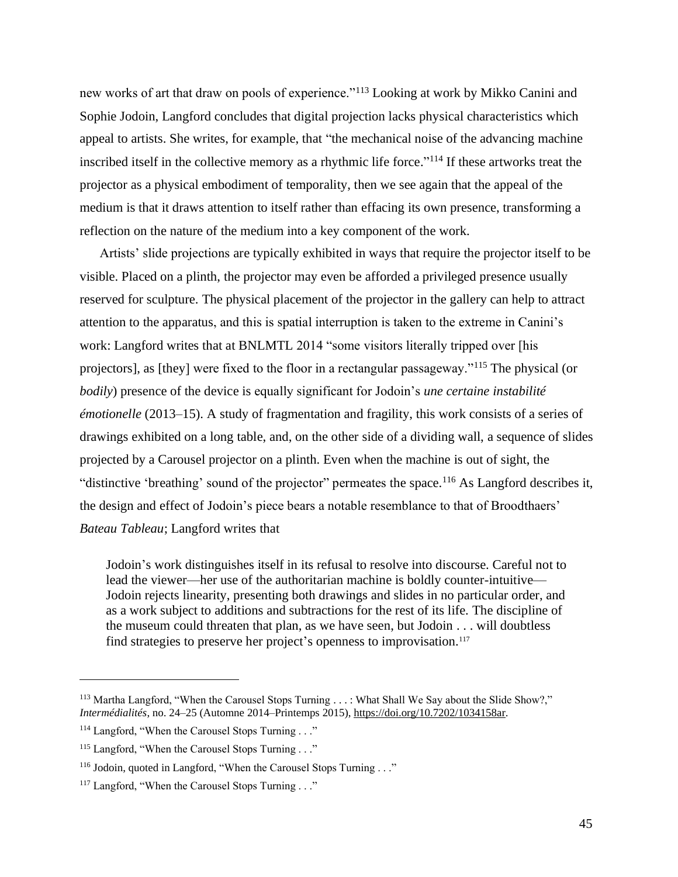new works of art that draw on pools of experience."<sup>113</sup> Looking at work by Mikko Canini and Sophie Jodoin, Langford concludes that digital projection lacks physical characteristics which appeal to artists. She writes, for example, that "the mechanical noise of the advancing machine inscribed itself in the collective memory as a rhythmic life force."<sup>114</sup> If these artworks treat the projector as a physical embodiment of temporality, then we see again that the appeal of the medium is that it draws attention to itself rather than effacing its own presence, transforming a reflection on the nature of the medium into a key component of the work.

Artists' slide projections are typically exhibited in ways that require the projector itself to be visible. Placed on a plinth, the projector may even be afforded a privileged presence usually reserved for sculpture. The physical placement of the projector in the gallery can help to attract attention to the apparatus, and this is spatial interruption is taken to the extreme in Canini's work: Langford writes that at BNLMTL 2014 "some visitors literally tripped over [his projectors], as [they] were fixed to the floor in a rectangular passageway."<sup>115</sup> The physical (or *bodily*) presence of the device is equally significant for Jodoin's *une certaine instabilité émotionelle* (2013–15). A study of fragmentation and fragility, this work consists of a series of drawings exhibited on a long table, and, on the other side of a dividing wall, a sequence of slides projected by a Carousel projector on a plinth. Even when the machine is out of sight, the "distinctive 'breathing' sound of the projector" permeates the space.<sup>116</sup> As Langford describes it, the design and effect of Jodoin's piece bears a notable resemblance to that of Broodthaers' *Bateau Tableau*; Langford writes that

Jodoin's work distinguishes itself in its refusal to resolve into discourse. Careful not to lead the viewer—her use of the authoritarian machine is boldly counter-intuitive— Jodoin rejects linearity, presenting both drawings and slides in no particular order, and as a work subject to additions and subtractions for the rest of its life. The discipline of the museum could threaten that plan, as we have seen, but Jodoin . . . will doubtless find strategies to preserve her project's openness to improvisation.<sup>117</sup>

<sup>&</sup>lt;sup>113</sup> Martha Langford, "When the Carousel Stops Turning . . . : What Shall We Say about the Slide Show?," *Intermédialités*, no. 24–25 (Automne 2014–Printemps 2015)[, https://doi.org/10.7202/1034158ar.](https://doi.org/10.7202/1034158ar)

<sup>&</sup>lt;sup>114</sup> Langford, "When the Carousel Stops Turning . . ."

<sup>&</sup>lt;sup>115</sup> Langford, "When the Carousel Stops Turning . . ."

<sup>&</sup>lt;sup>116</sup> Jodoin, quoted in Langford, "When the Carousel Stops Turning . . ."

<sup>&</sup>lt;sup>117</sup> Langford, "When the Carousel Stops Turning . . ."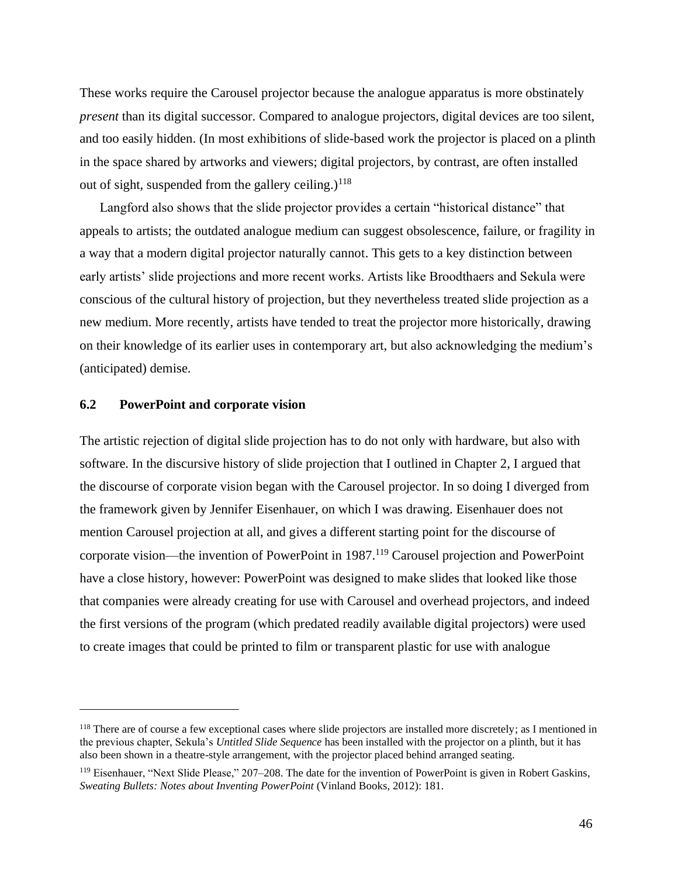These works require the Carousel projector because the analogue apparatus is more obstinately *present* than its digital successor. Compared to analogue projectors, digital devices are too silent, and too easily hidden. (In most exhibitions of slide-based work the projector is placed on a plinth in the space shared by artworks and viewers; digital projectors, by contrast, are often installed out of sight, suspended from the gallery ceiling.) $118$ 

Langford also shows that the slide projector provides a certain "historical distance" that appeals to artists; the outdated analogue medium can suggest obsolescence, failure, or fragility in a way that a modern digital projector naturally cannot. This gets to a key distinction between early artists' slide projections and more recent works. Artists like Broodthaers and Sekula were conscious of the cultural history of projection, but they nevertheless treated slide projection as a new medium. More recently, artists have tended to treat the projector more historically, drawing on their knowledge of its earlier uses in contemporary art, but also acknowledging the medium's (anticipated) demise.

## **6.2 PowerPoint and corporate vision**

The artistic rejection of digital slide projection has to do not only with hardware, but also with software. In the discursive history of slide projection that I outlined in Chapter 2, I argued that the discourse of corporate vision began with the Carousel projector. In so doing I diverged from the framework given by Jennifer Eisenhauer, on which I was drawing. Eisenhauer does not mention Carousel projection at all, and gives a different starting point for the discourse of corporate vision—the invention of PowerPoint in 1987.<sup>119</sup> Carousel projection and PowerPoint have a close history, however: PowerPoint was designed to make slides that looked like those that companies were already creating for use with Carousel and overhead projectors, and indeed the first versions of the program (which predated readily available digital projectors) were used to create images that could be printed to film or transparent plastic for use with analogue

<sup>&</sup>lt;sup>118</sup> There are of course a few exceptional cases where slide projectors are installed more discretely; as I mentioned in the previous chapter, Sekula's *Untitled Slide Sequence* has been installed with the projector on a plinth, but it has also been shown in a theatre-style arrangement, with the projector placed behind arranged seating.

<sup>&</sup>lt;sup>119</sup> Eisenhauer, "Next Slide Please," 207–208. The date for the invention of PowerPoint is given in Robert Gaskins, *Sweating Bullets: Notes about Inventing PowerPoint* (Vinland Books, 2012): 181.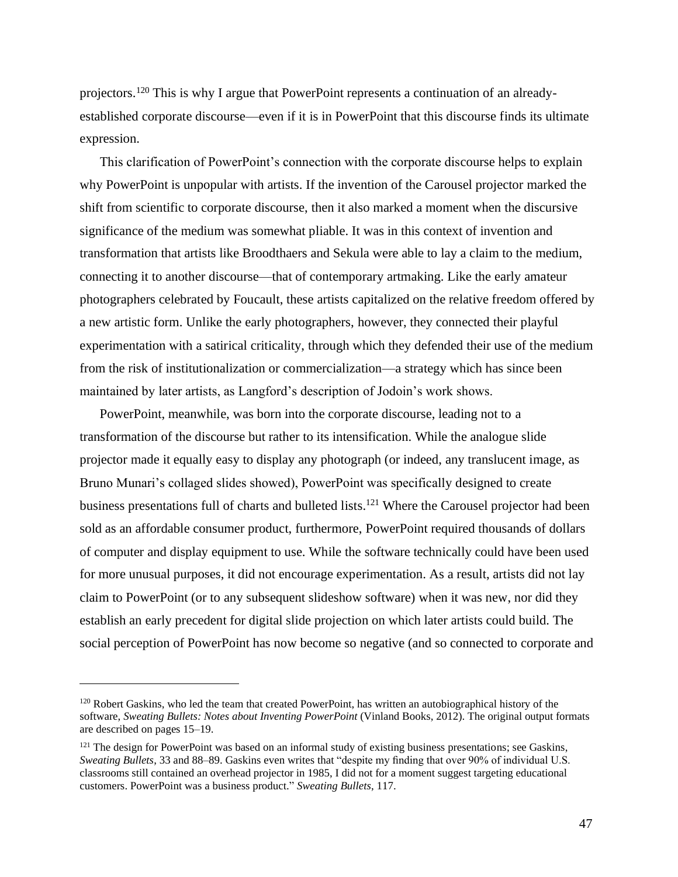projectors.<sup>120</sup> This is why I argue that PowerPoint represents a continuation of an alreadyestablished corporate discourse—even if it is in PowerPoint that this discourse finds its ultimate expression.

This clarification of PowerPoint's connection with the corporate discourse helps to explain why PowerPoint is unpopular with artists. If the invention of the Carousel projector marked the shift from scientific to corporate discourse, then it also marked a moment when the discursive significance of the medium was somewhat pliable. It was in this context of invention and transformation that artists like Broodthaers and Sekula were able to lay a claim to the medium, connecting it to another discourse—that of contemporary artmaking. Like the early amateur photographers celebrated by Foucault, these artists capitalized on the relative freedom offered by a new artistic form. Unlike the early photographers, however, they connected their playful experimentation with a satirical criticality, through which they defended their use of the medium from the risk of institutionalization or commercialization—a strategy which has since been maintained by later artists, as Langford's description of Jodoin's work shows.

PowerPoint, meanwhile, was born into the corporate discourse, leading not to a transformation of the discourse but rather to its intensification. While the analogue slide projector made it equally easy to display any photograph (or indeed, any translucent image, as Bruno Munari's collaged slides showed), PowerPoint was specifically designed to create business presentations full of charts and bulleted lists.<sup>121</sup> Where the Carousel projector had been sold as an affordable consumer product, furthermore, PowerPoint required thousands of dollars of computer and display equipment to use. While the software technically could have been used for more unusual purposes, it did not encourage experimentation. As a result, artists did not lay claim to PowerPoint (or to any subsequent slideshow software) when it was new, nor did they establish an early precedent for digital slide projection on which later artists could build. The social perception of PowerPoint has now become so negative (and so connected to corporate and

<sup>&</sup>lt;sup>120</sup> Robert Gaskins, who led the team that created PowerPoint, has written an autobiographical history of the software, *Sweating Bullets: Notes about Inventing PowerPoint* (Vinland Books, 2012). The original output formats are described on pages 15–19.

<sup>&</sup>lt;sup>121</sup> The design for PowerPoint was based on an informal study of existing business presentations; see Gaskins, *Sweating Bullets*, 33 and 88–89. Gaskins even writes that "despite my finding that over 90% of individual U.S. classrooms still contained an overhead projector in 1985, I did not for a moment suggest targeting educational customers. PowerPoint was a business product." *Sweating Bullets*, 117.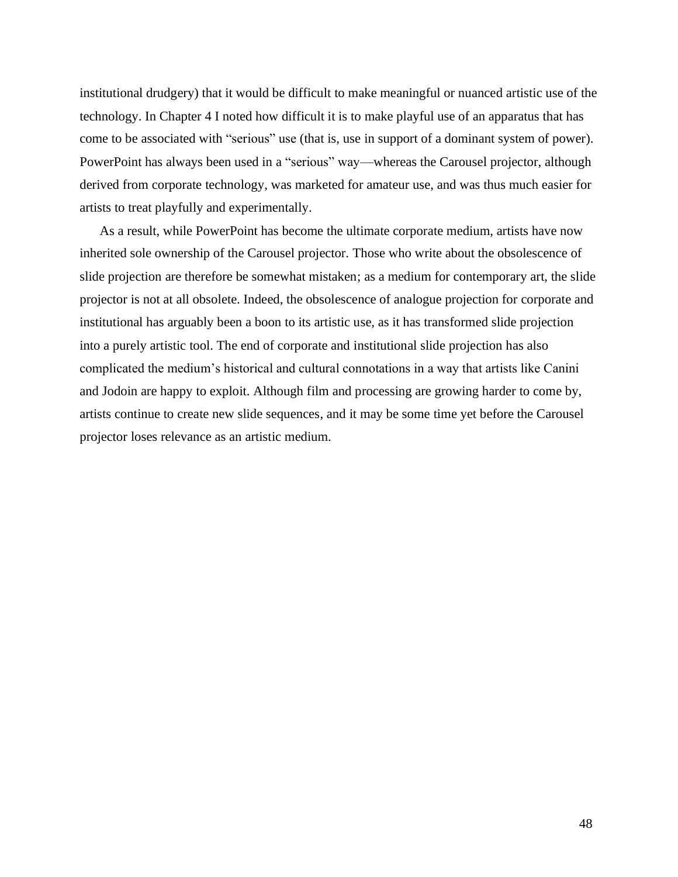institutional drudgery) that it would be difficult to make meaningful or nuanced artistic use of the technology. In Chapter 4 I noted how difficult it is to make playful use of an apparatus that has come to be associated with "serious" use (that is, use in support of a dominant system of power). PowerPoint has always been used in a "serious" way—whereas the Carousel projector, although derived from corporate technology, was marketed for amateur use, and was thus much easier for artists to treat playfully and experimentally.

As a result, while PowerPoint has become the ultimate corporate medium, artists have now inherited sole ownership of the Carousel projector. Those who write about the obsolescence of slide projection are therefore be somewhat mistaken; as a medium for contemporary art, the slide projector is not at all obsolete. Indeed, the obsolescence of analogue projection for corporate and institutional has arguably been a boon to its artistic use, as it has transformed slide projection into a purely artistic tool. The end of corporate and institutional slide projection has also complicated the medium's historical and cultural connotations in a way that artists like Canini and Jodoin are happy to exploit. Although film and processing are growing harder to come by, artists continue to create new slide sequences, and it may be some time yet before the Carousel projector loses relevance as an artistic medium.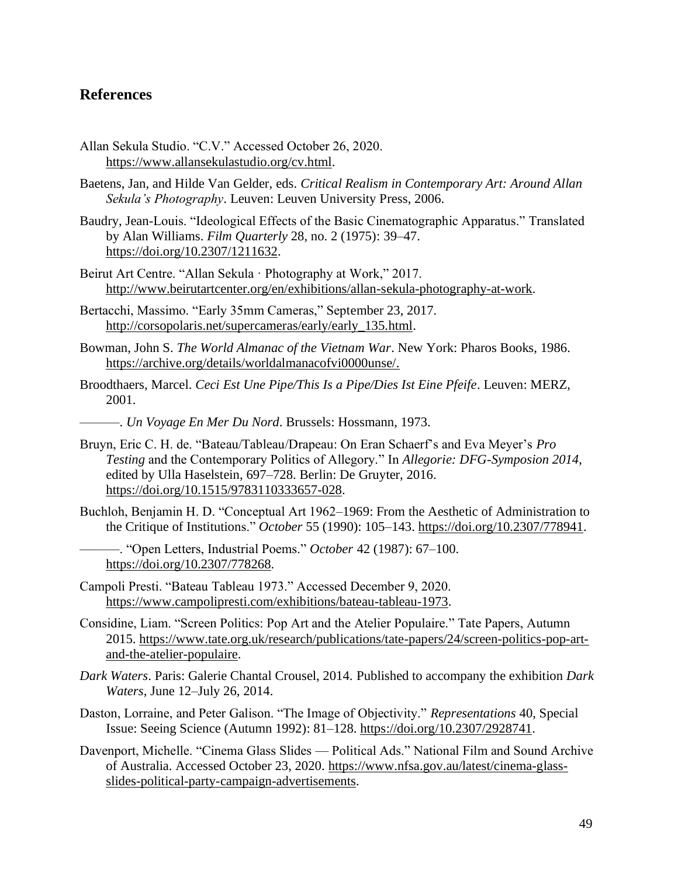## **References**

- Allan Sekula Studio. "C.V." Accessed October 26, 2020. [https://www.allansekulastudio.org/cv.html.](https://www.allansekulastudio.org/cv.html)
- Baetens, Jan, and Hilde Van Gelder, eds. *Critical Realism in Contemporary Art: Around Allan Sekula's Photography*. Leuven: Leuven University Press, 2006.
- Baudry, Jean-Louis. "Ideological Effects of the Basic Cinematographic Apparatus." Translated by Alan Williams. *Film Quarterly* 28, no. 2 (1975): 39–47. [https://doi.org/10.2307/1211632.](https://doi.org/10.2307/1211632)
- Beirut Art Centre. "Allan Sekula · Photography at Work," 2017. [http://www.beirutartcenter.org/en/exhibitions/allan-sekula-photography-at-work.](http://www.beirutartcenter.org/en/exhibitions/allan-sekula-photography-at-work)
- Bertacchi, Massimo. "Early 35mm Cameras," September 23, 2017. [http://corsopolaris.net/supercameras/early/early\\_135.html.](http://corsopolaris.net/supercameras/early/early_135.html)
- Bowman, John S. *The World Almanac of the Vietnam War*. New York: Pharos Books, 1986. [https://archive.org/details/worldalmanacofvi0000unse/.](https://archive.org/details/worldalmanacofvi0000unse/)
- Broodthaers, Marcel. *Ceci Est Une Pipe/This Is a Pipe/Dies Ist Eine Pfeife*. Leuven: MERZ, 2001.
- ———. *Un Voyage En Mer Du Nord*. Brussels: Hossmann, 1973.
- Bruyn, Eric C. H. de. "Bateau/Tableau/Drapeau: On Eran Schaerf's and Eva Meyer's *Pro Testing* and the Contemporary Politics of Allegory." In *Allegorie: DFG-Symposion 2014*, edited by Ulla Haselstein, 697–728. Berlin: De Gruyter, 2016. [https://doi.org/10.1515/9783110333657-028.](https://doi.org/10.1515/9783110333657-028)
- Buchloh, Benjamin H. D. "Conceptual Art 1962–1969: From the Aesthetic of Administration to the Critique of Institutions." *October* 55 (1990): 105–143. [https://doi.org/10.2307/778941.](https://doi.org/10.2307/778941)
- ———. "Open Letters, Industrial Poems." *October* 42 (1987): 67–100. [https://doi.org/10.2307/778268.](https://doi.org/10.2307/778268)
- Campoli Presti. "Bateau Tableau 1973." Accessed December 9, 2020. [https://www.campolipresti.com/exhibitions/bateau-tableau-1973.](https://www.campolipresti.com/exhibitions/bateau-tableau-1973)
- Considine, Liam. "Screen Politics: Pop Art and the Atelier Populaire." Tate Papers, Autumn 2015. [https://www.tate.org.uk/research/publications/tate-papers/24/screen-politics-pop-art](https://www.tate.org.uk/research/publications/tate-papers/24/screen-politics-pop-art-and-the-atelier-populaire)[and-the-atelier-populaire.](https://www.tate.org.uk/research/publications/tate-papers/24/screen-politics-pop-art-and-the-atelier-populaire)
- *Dark Waters*. Paris: Galerie Chantal Crousel, 2014. Published to accompany the exhibition *Dark Waters*, June 12–July 26, 2014.
- Daston, Lorraine, and Peter Galison. "The Image of Objectivity." *Representations* 40, Special Issue: Seeing Science (Autumn 1992): 81–128. [https://doi.org/10.2307/2928741.](https://doi.org/10.2307/2928741)
- Davenport, Michelle. "Cinema Glass Slides Political Ads." National Film and Sound Archive of Australia. Accessed October 23, 2020. [https://www.nfsa.gov.au/latest/cinema-glass](https://www.nfsa.gov.au/latest/cinema-glass-slides-political-party-campaign-advertisements)[slides-political-party-campaign-advertisements.](https://www.nfsa.gov.au/latest/cinema-glass-slides-political-party-campaign-advertisements)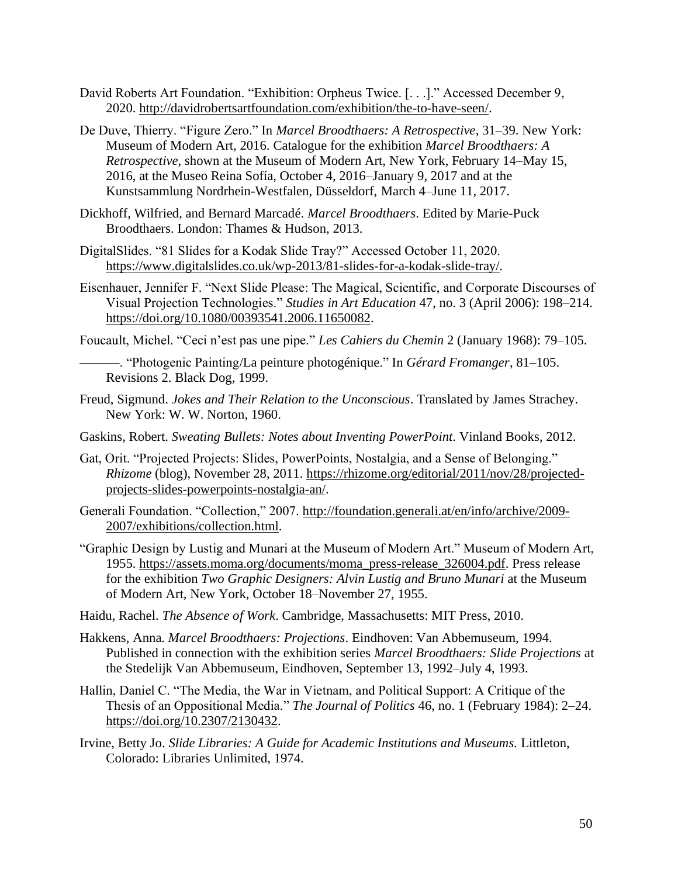- David Roberts Art Foundation. "Exhibition: Orpheus Twice. [. . .]." Accessed December 9, 2020. [http://davidrobertsartfoundation.com/exhibition/the-to-have-seen/.](http://davidrobertsartfoundation.com/exhibition/the-to-have-seen/)
- De Duve, Thierry. "Figure Zero." In *Marcel Broodthaers: A Retrospective*, 31–39. New York: Museum of Modern Art, 2016. Catalogue for the exhibition *Marcel Broodthaers: A Retrospective*, shown at the Museum of Modern Art, New York, February 14–May 15, 2016, at the Museo Reina Sofía, October 4, 2016–January 9, 2017 and at the Kunstsammlung Nordrhein-Westfalen, Düsseldorf, March 4–June 11, 2017.
- Dickhoff, Wilfried, and Bernard Marcadé. *Marcel Broodthaers*. Edited by Marie-Puck Broodthaers. London: Thames & Hudson, 2013.
- DigitalSlides. "81 Slides for a Kodak Slide Tray?" Accessed October 11, 2020. [https://www.digitalslides.co.uk/wp-2013/81-slides-for-a-kodak-slide-tray/.](https://www.digitalslides.co.uk/wp-2013/81-slides-for-a-kodak-slide-tray/)
- Eisenhauer, Jennifer F. "Next Slide Please: The Magical, Scientific, and Corporate Discourses of Visual Projection Technologies." *Studies in Art Education* 47, no. 3 (April 2006): 198–214. [https://doi.org/10.1080/00393541.2006.11650082.](https://doi.org/10.1080/00393541.2006.11650082)
- Foucault, Michel. "Ceci n'est pas une pipe." *Les Cahiers du Chemin* 2 (January 1968): 79–105.
- ———. "Photogenic Painting/La peinture photogénique." In *Gérard Fromanger*, 81–105. Revisions 2. Black Dog, 1999.
- Freud, Sigmund. *Jokes and Their Relation to the Unconscious*. Translated by James Strachey. New York: W. W. Norton, 1960.
- Gaskins, Robert. *Sweating Bullets: Notes about Inventing PowerPoint*. Vinland Books, 2012.
- Gat, Orit. "Projected Projects: Slides, PowerPoints, Nostalgia, and a Sense of Belonging." *Rhizome* (blog), November 28, 2011. [https://rhizome.org/editorial/2011/nov/28/projected](https://rhizome.org/editorial/2011/nov/28/projected-projects-slides-powerpoints-nostalgia-an/)[projects-slides-powerpoints-nostalgia-an/.](https://rhizome.org/editorial/2011/nov/28/projected-projects-slides-powerpoints-nostalgia-an/)
- Generali Foundation. "Collection," 2007. [http://foundation.generali.at/en/info/archive/2009-](http://foundation.generali.at/en/info/archive/2009-2007/exhibitions/collection.html) [2007/exhibitions/collection.html.](http://foundation.generali.at/en/info/archive/2009-2007/exhibitions/collection.html)
- "Graphic Design by Lustig and Munari at the Museum of Modern Art." Museum of Modern Art, 1955. [https://assets.moma.org/documents/moma\\_press-release\\_326004.pdf.](https://assets.moma.org/documents/moma_press-release_326004.pdf) Press release for the exhibition *Two Graphic Designers: Alvin Lustig and Bruno Munari* at the Museum of Modern Art, New York, October 18–November 27, 1955.
- Haidu, Rachel. *The Absence of Work*. Cambridge, Massachusetts: MIT Press, 2010.
- Hakkens, Anna. *Marcel Broodthaers: Projections*. Eindhoven: Van Abbemuseum, 1994. Published in connection with the exhibition series *Marcel Broodthaers: Slide Projections* at the Stedelijk Van Abbemuseum, Eindhoven, September 13, 1992–July 4, 1993.
- Hallin, Daniel C. "The Media, the War in Vietnam, and Political Support: A Critique of the Thesis of an Oppositional Media." *The Journal of Politics* 46, no. 1 (February 1984): 2–24. [https://doi.org/10.2307/2130432.](https://doi.org/10.2307/2130432)
- Irvine, Betty Jo. *Slide Libraries: A Guide for Academic Institutions and Museums.* Littleton, Colorado: Libraries Unlimited, 1974.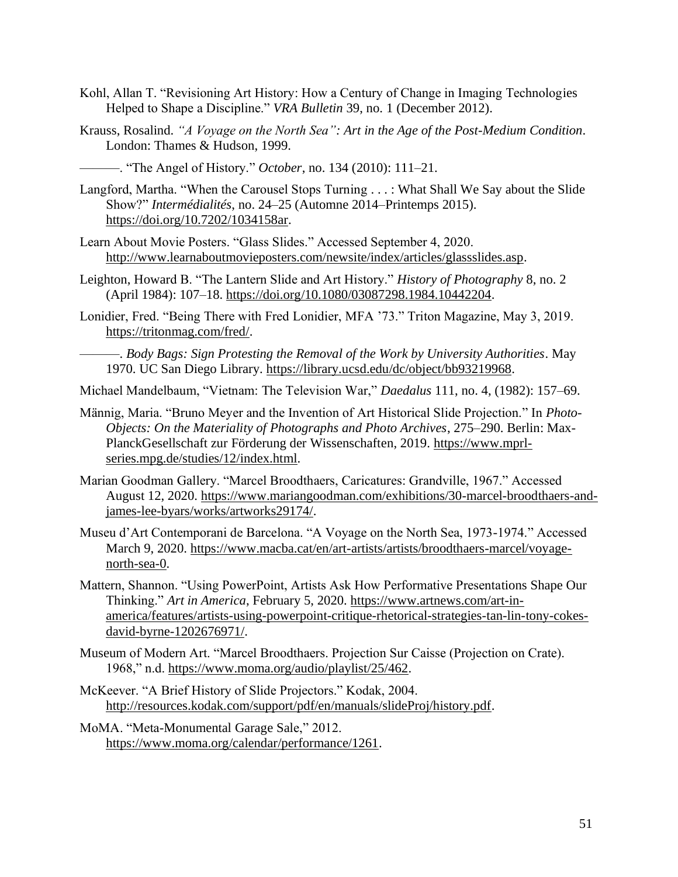- Kohl, Allan T. "Revisioning Art History: How a Century of Change in Imaging Technologies Helped to Shape a Discipline." *VRA Bulletin* 39, no. 1 (December 2012).
- Krauss, Rosalind. *"A Voyage on the North Sea": Art in the Age of the Post-Medium Condition*. London: Thames & Hudson, 1999.

———. "The Angel of History." *October*, no. 134 (2010): 111–21.

- Langford, Martha. "When the Carousel Stops Turning . . . : What Shall We Say about the Slide Show?" *Intermédialités*, no. 24–25 (Automne 2014–Printemps 2015). [https://doi.org/10.7202/1034158ar.](https://doi.org/10.7202/1034158ar)
- Learn About Movie Posters. "Glass Slides." Accessed September 4, 2020. [http://www.learnaboutmovieposters.com/newsite/index/articles/glassslides.asp.](http://www.learnaboutmovieposters.com/newsite/index/articles/glassslides.asp)
- Leighton, Howard B. "The Lantern Slide and Art History." *History of Photography* 8, no. 2 (April 1984): 107–18. [https://doi.org/10.1080/03087298.1984.10442204.](https://doi.org/10.1080/03087298.1984.10442204)
- Lonidier, Fred. "Being There with Fred Lonidier, MFA '73." Triton Magazine, May 3, 2019. [https://tritonmag.com/fred/.](https://tritonmag.com/fred/)
- ———. *Body Bags: Sign Protesting the Removal of the Work by University Authorities*. May 1970. UC San Diego Library. [https://library.ucsd.edu/dc/object/bb93219968.](https://library.ucsd.edu/dc/object/bb93219968)
- Michael Mandelbaum, "Vietnam: The Television War," *Daedalus* 111, no. 4, (1982): 157–69.
- Männig, Maria. "Bruno Meyer and the Invention of Art Historical Slide Projection." In *Photo-Objects: On the Materiality of Photographs and Photo Archives*, 275–290. Berlin: Max-PlanckGesellschaft zur Förderung der Wissenschaften, 2019. [https://www.mprl](https://www.mprl-series.mpg.de/studies/12/index.html)[series.mpg.de/studies/12/index.html.](https://www.mprl-series.mpg.de/studies/12/index.html)
- Marian Goodman Gallery. "Marcel Broodthaers, Caricatures: Grandville, 1967." Accessed August 12, 2020. [https://www.mariangoodman.com/exhibitions/30-marcel-broodthaers-and](https://www.mariangoodman.com/exhibitions/30-marcel-broodthaers-and-james-lee-byars/works/artworks29174/)[james-lee-byars/works/artworks29174/.](https://www.mariangoodman.com/exhibitions/30-marcel-broodthaers-and-james-lee-byars/works/artworks29174/)
- Museu d'Art Contemporani de Barcelona. "A Voyage on the North Sea, 1973-1974." Accessed March 9, 2020. [https://www.macba.cat/en/art-artists/artists/broodthaers-marcel/voyage](https://www.macba.cat/en/art-artists/artists/broodthaers-marcel/voyage-north-sea-0)[north-sea-0.](https://www.macba.cat/en/art-artists/artists/broodthaers-marcel/voyage-north-sea-0)
- Mattern, Shannon. "Using PowerPoint, Artists Ask How Performative Presentations Shape Our Thinking." *Art in America*, February 5, 2020. [https://www.artnews.com/art-in](https://www.artnews.com/art-in-america/features/artists-using-powerpoint-critique-rhetorical-strategies-tan-lin-tony-cokes-david-byrne-1202676971/)[america/features/artists-using-powerpoint-critique-rhetorical-strategies-tan-lin-tony-cokes](https://www.artnews.com/art-in-america/features/artists-using-powerpoint-critique-rhetorical-strategies-tan-lin-tony-cokes-david-byrne-1202676971/)[david-byrne-1202676971/.](https://www.artnews.com/art-in-america/features/artists-using-powerpoint-critique-rhetorical-strategies-tan-lin-tony-cokes-david-byrne-1202676971/)
- Museum of Modern Art. "Marcel Broodthaers. Projection Sur Caisse (Projection on Crate). 1968," n.d. [https://www.moma.org/audio/playlist/25/462.](https://www.moma.org/audio/playlist/25/462)
- McKeever. "A Brief History of Slide Projectors." Kodak, 2004. [http://resources.kodak.com/support/pdf/en/manuals/slideProj/history.pdf.](http://resources.kodak.com/support/pdf/en/manuals/slideProj/history.pdf)
- MoMA. "Meta-Monumental Garage Sale," 2012. [https://www.moma.org/calendar/performance/1261.](https://www.moma.org/calendar/performance/1261)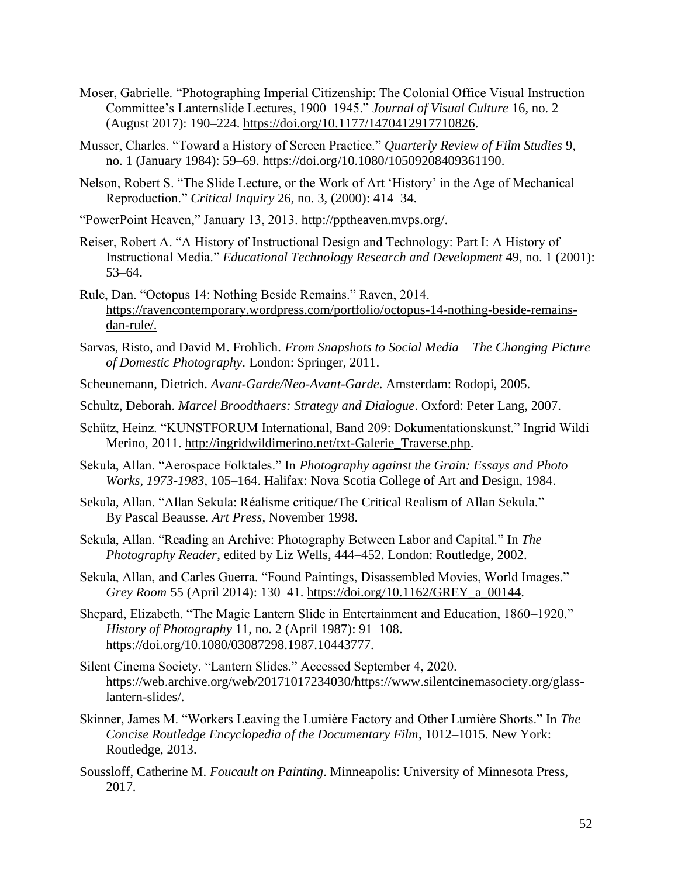- Moser, Gabrielle. "Photographing Imperial Citizenship: The Colonial Office Visual Instruction Committee's Lanternslide Lectures, 1900–1945." *Journal of Visual Culture* 16, no. 2 (August 2017): 190–224. [https://doi.org/10.1177/1470412917710826.](https://doi.org/10.1177/1470412917710826)
- Musser, Charles. "Toward a History of Screen Practice." *Quarterly Review of Film Studies* 9, no. 1 (January 1984): 59-69. [https://doi.org/10.1080/10509208409361190.](https://doi.org/10.1080/10509208409361190)
- Nelson, Robert S. "The Slide Lecture, or the Work of Art 'History' in the Age of Mechanical Reproduction." *Critical Inquiry* 26, no. 3, (2000): 414–34.

"PowerPoint Heaven," January 13, 2013. [http://pptheaven.mvps.org/.](http://pptheaven.mvps.org/)

- Reiser, Robert A. "A History of Instructional Design and Technology: Part I: A History of Instructional Media." *Educational Technology Research and Development* 49, no. 1 (2001): 53–64.
- Rule, Dan. "Octopus 14: Nothing Beside Remains." Raven, 2014. [https://ravencontemporary.wordpress.com/portfolio/octopus-14-nothing-beside-remains](https://ravencontemporary.wordpress.com/portfolio/octopus-14-nothing-beside-remains-dan-rule/)[dan-rule/.](https://ravencontemporary.wordpress.com/portfolio/octopus-14-nothing-beside-remains-dan-rule/)
- Sarvas, Risto, and David M. Frohlich. *From Snapshots to Social Media – The Changing Picture of Domestic Photography*. London: Springer, 2011.
- Scheunemann, Dietrich. *Avant-Garde/Neo-Avant-Garde*. Amsterdam: Rodopi, 2005.
- Schultz, Deborah. *Marcel Broodthaers: Strategy and Dialogue*. Oxford: Peter Lang, 2007.
- Schütz, Heinz. "KUNSTFORUM International, Band 209: Dokumentationskunst." Ingrid Wildi Merino, 2011. [http://ingridwildimerino.net/txt-Galerie\\_Traverse.php.](http://ingridwildimerino.net/txt-Galerie_Traverse.php)
- Sekula, Allan. "Aerospace Folktales." In *Photography against the Grain: Essays and Photo Works, 1973-1983*, 105–164. Halifax: Nova Scotia College of Art and Design, 1984.
- Sekula, Allan. "Allan Sekula: Réalisme critique/The Critical Realism of Allan Sekula." By Pascal Beausse. *Art Press*, November 1998.
- Sekula, Allan. "Reading an Archive: Photography Between Labor and Capital." In *The Photography Reader*, edited by Liz Wells, 444–452. London: Routledge, 2002.
- Sekula, Allan, and Carles Guerra. "Found Paintings, Disassembled Movies, World Images." *Grey Room* 55 (April 2014): 130–41. [https://doi.org/10.1162/GREY\\_a\\_00144.](https://doi.org/10.1162/GREY_a_00144)
- Shepard, Elizabeth. "The Magic Lantern Slide in Entertainment and Education, 1860–1920." *History of Photography* 11, no. 2 (April 1987): 91–108. [https://doi.org/10.1080/03087298.1987.10443777.](https://doi.org/10.1080/03087298.1987.10443777)
- Silent Cinema Society. "Lantern Slides." Accessed September 4, 2020. [https://web.archive.org/web/20171017234030/https://www.silentcinemasociety.org/glass](https://web.archive.org/web/20171017234030/https:/www.silentcinemasociety.org/glass-lantern-slides/)[lantern-slides/.](https://web.archive.org/web/20171017234030/https:/www.silentcinemasociety.org/glass-lantern-slides/)
- Skinner, James M. "Workers Leaving the Lumière Factory and Other Lumière Shorts." In *The Concise Routledge Encyclopedia of the Documentary Film*, 1012–1015. New York: Routledge, 2013.
- Soussloff, Catherine M. *Foucault on Painting*. Minneapolis: University of Minnesota Press, 2017.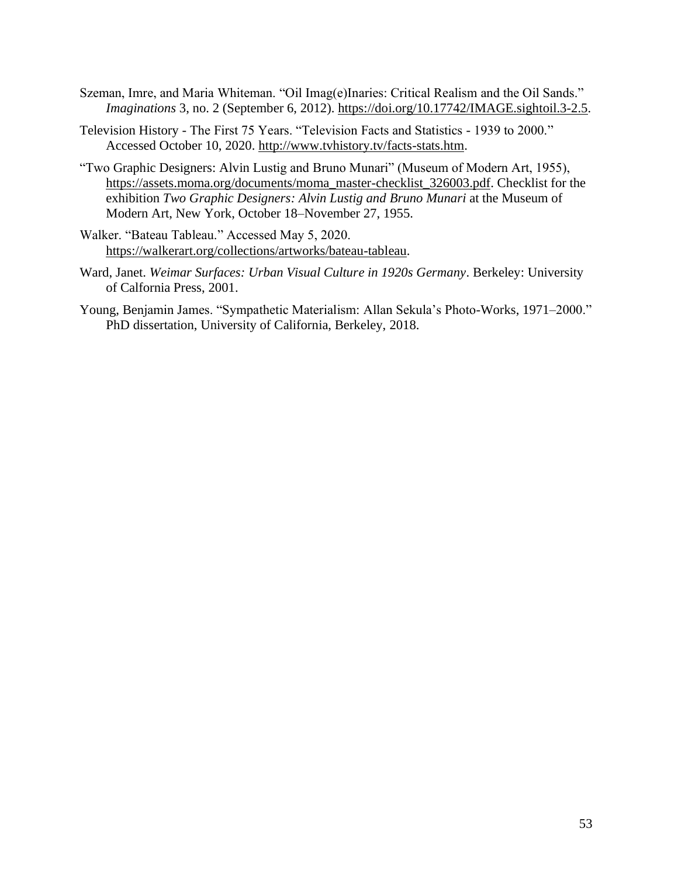- Szeman, Imre, and Maria Whiteman. "Oil Imag(e)Inaries: Critical Realism and the Oil Sands." *Imaginations* 3, no. 2 (September 6, 2012). [https://doi.org/10.17742/IMAGE.sightoil.3-2.5.](https://doi.org/10.17742/IMAGE.sightoil.3-2.5)
- Television History The First 75 Years. "Television Facts and Statistics 1939 to 2000." Accessed October 10, 2020. [http://www.tvhistory.tv/facts-stats.htm.](http://www.tvhistory.tv/facts-stats.htm)
- "Two Graphic Designers: Alvin Lustig and Bruno Munari" (Museum of Modern Art, 1955), [https://assets.moma.org/documents/moma\\_master-checklist\\_326003.pdf.](https://assets.moma.org/documents/moma_master-checklist_326003.pdf) Checklist for the exhibition *Two Graphic Designers: Alvin Lustig and Bruno Munari* at the Museum of Modern Art, New York, October 18–November 27, 1955.
- Walker. "Bateau Tableau." Accessed May 5, 2020. [https://walkerart.org/collections/artworks/bateau-tableau.](https://walkerart.org/collections/artworks/bateau-tableau)
- Ward, Janet. *Weimar Surfaces: Urban Visual Culture in 1920s Germany*. Berkeley: University of Calfornia Press, 2001.
- Young, Benjamin James. "Sympathetic Materialism: Allan Sekula's Photo-Works, 1971–2000." PhD dissertation, University of California, Berkeley, 2018.